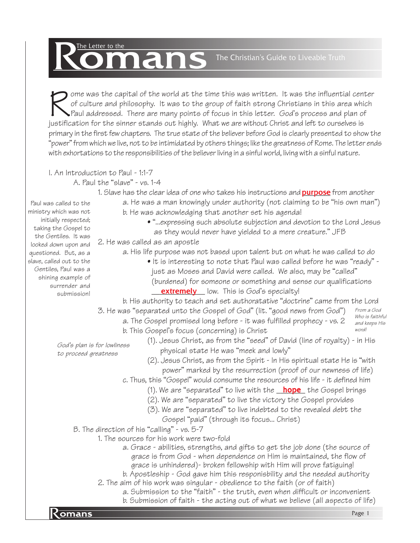# The Letter to the The Letter to the **Reduction Contains Containers Containers** The Christian's Guide to Liveable Truth

ome was the capital of the world at the time this was written. It was the influential cen<br>of culture and philosophy. It was to the group of faith strong Christians in this area whi<br>Paul addressed. There are many points of ome was the capital of the world at the time this was written. It was the influential center of culture and philosophy. It was to the group of faith strong Christians in this area which Paul addressed. There are many points of focus in this letter. God's process and plan of primary in the first few chapters. The true state of the believer before God is clearly presented to show the "power" from which we live, not to be intimidated by others things; like the greatness of Rome. The letter ends with exhortations to the responsibilities of the believer living in a sinful world, living with a sinful nature.

I. An Introduction to Paul - 1:1-7

Paul was called to the ministry which was not initially respected; taking the Gospel to the Gentiles. It was

questioned. But, as a slave, called out to the Gentiles, Paul was a shining example of surrender and submission!

A. Paul the "slave" - vs. 1-4

1. Slave has the clear idea of one who takes his instructions and <mark>purpose</mark> from another

a. He was a man knowingly under authority (not claiming to be "his own man")

- b. He was acknowledging that another set his agenda!
	- "...expressing such absolute subjection and devotion to the Lord Jesus as they would never have yielded to a mere creature." JFB
- 2. He was called as an apostle looked down upon and
	- a. His life purpose was not based upon talent but on what he was called to do
		- It is interesting to note that Paul was called before he was "ready" just as Moses and David were called. We also, may be "called" (burdened) for someone or something and sense our qualifications **extremely** low. This is God's specialty!

b. His authority to teach and set authoratative "doctrine" came from the Lord

- 3. He was "separated unto the Gospel of God" (lit. "good news from God") From a God
	- a. The Gospel promised long before it was fulfilled prophecy vs. 2
	- b. This Gospel's focus (concerning) is Christ

Who is faithful and keeps His word!

- God's plan is for lowliness to proceed greatness
- (1). Jesus Christ, as from the "seed" of David (line of royalty) in His physical state He was "meek and lowly"
- (2). Jesus Christ, as from the Spirit In His spiritual state He is "with power" marked by the resurrection (proof of our newness of life)
- c. Thus, this "Gospel" would consume the resources of his life it defined him
	- (1). We are "separated" to live with the <u>\_\_**hope**\_</u> the Gospel brings
	- (2). We are "separated" to live the victory the Gospel provides
	- (3). We are "separated" to live indebted to the revealed debt the
		- Gospel "paid" (through its focus... Christ)

B. The direction of his "calling" - vs. 5-7

- 1. The sources for his work were two-fold
	- a. Grace abilities, strengths, and gifts to get the job done (the source of grace is from God - when dependence on Him is maintained, the flow of grace is unhindered)- broken fellowship with Him will prove fatiguing!
	- b. Apostleship God gave him this responisbility and the needed authority
	- 2. The aim of his work was singular obedience to the faith (or of faith)
- Romans Page 1 a. Submission to the "faith" - the truth, even when difficult or inconvenient b. Submission of faith - the acting out of what we believe (all aspects of life)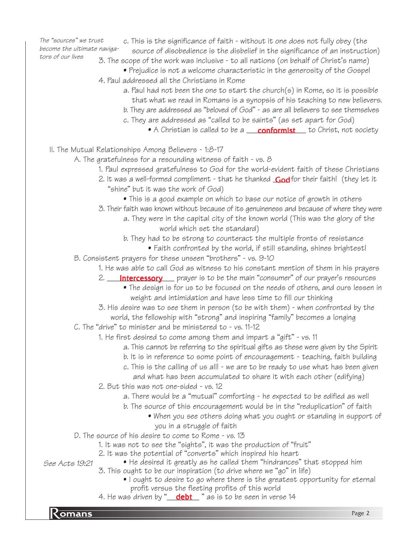The "sources" we trust become the ultimate navigators of our lives

- c. This is the significance of faith without it one does not fully obey (the
- source of disobedience is the disbelief in the significance of an instruction)
- 3. The scope of the work was inclusive to all nations (on behalf of Christ's name)
- Prejudice is not a welcome characteristic in the generosity of the Gospel 4. Paul addressed all the Christians in Rome
	- a. Paul had not been the one to start the church(s) in Rome, so it is possible that what we read in Romans is a synopsis of his teaching to new believers.
	- b. They are addressed as "beloved of God" as are all believers to see themselves
	- c. They are addressed as "called to be saints" (as set apart for God)
		- $\bullet$  A Christian is called to be a  $\underline{\quad \text{conformist} \quad}$  to Christ, not society
- II. The Mutual Relationships Among Believers 1:8-17

A. The gratefulness for a resounding witness of faith - vs. 8

- 1. Paul expressed gratefulness to God for the world-evident faith of these Christians
- 2. It was a well-formed compliment that he thanked **God** for their faith! (they let it "shine" but it was the work of God)
	- This is a good example on which to base our notice of growth in others
- 3. Their faith was known without because of its genuineness and because of where they were
	- a. They were in the capital city of the known world (This was the glory of the world which set the standard)
	- b. They had to be strong to counteract the multiple fronts of resistance
	- Faith confronted by the world, if still standing, shines brightest!
- B. Consistent prayers for these unseen "brothers" vs. 9-10
	- 1. He was able to call God as witness to his constant mention of them in his prayers
		- 2. <u>\_\_**\_\_Intercessory** \_\_\_</u> prayer is to be the main "consumer" of our prayer's resources
			- The design is for us to be focused on the needs of others, and ours lessen in weight and intimidation and have less time to fill our thinking
		- 3. His desire was to see them in person (to be with them) when confronted by the world, the fellowship with "strong" and inspiring "family" becomes a longing
- C. The "drive" to minister and be ministered to vs. 11-12
	- 1. He first desired to come among them and impart a "gift" vs. 11
		- a. This cannot be referring to the spiritual gifts as these were given by the Spirit
		- b. It is in reference to some point of encouragement teaching, faith building
		- c. This is the calling of us all! we are to be ready to use what has been given and what has been accumulated to share it with each other (edifying)
		- 2. But this was not one-sided vs. 12
			- a. There would be a "mutual" comforting he expected to be edified as well
			- b. The source of this encouragement would be in the "reduplication" of faith
				- When you see others doing what you ought or standing in support of you in a struggle of faith
- D. The source of his desire to come to Rome vs. 13
	- 1. It was not to see the "sights", it was the production of "fruit"
	- 2. It was the potential of "converts" which inspired his heart
- See Acts 19:21
- He desired it greatly as he called them "hindrances" that stopped him 3. This ought to be our inspiration (to drive where we "go" in life)
	- I ought to desire to go where there is the greatest opportunity for eternal profit versus the fleeting profits of this world
- 4. He was driven by "\_\_\_<mark>debt</mark>\_\_" as is to be seen in verse 14

**Romans** Page 2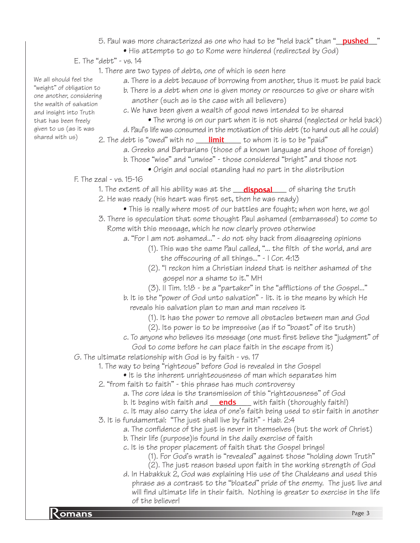- 5. Paul was more characterized as one who had to be "held back" than "<mark>\_\_\_pushed\_\_\_</mark>"
	- His attempts to go to Rome were hindered (redirected by God)
- E. The "debt" vs. 14
	- 1. There are two types of debts, one of which is seen here
		- a. There is a debt because of borrowing from another, thus it must be paid back
		- b. There is a debt when one is given money or resources to give or share with another (such as is the case with all believers)
		- c. We have been given a wealth of good news intended to be shared
			- The wrong is on our part when it is not shared (neglected or held back)
	- d. Paul's life was consumed in the motivation of this debt (to hand out all he could) 2. The debt is "owed" with no \_\_\_\_<mark>limit</mark>\_\_\_\_\_ to whom it is to be "paid"
		- a. Greeks and Barbarians (those of a known language and those of foreign)
			- b. Those "wise" and "unwise" those considered "bright" and those not
				- Origin and social standing had no part in the distribution
- F. The zeal vs. 15-16
	- 1. The extent of all his ability was at the \_\_\_**disposal**\_\_\_\_ of sharing the truth 2. He was ready (his heart was first set, then he was ready)
		- This is really where most of our battles are fought; when won here, we go!
	- 3. There is speculation that some thought Paul ashamed (embarrassed) to come to Rome with this message, which he now clearly proves otherwise
		- a. "For I am not ashamed..." do not shy back from disagreeing opinions
			- (1). This was the same Paul called, "... the filth of the world, and are the offscouring of all things..." - I Cor. 4:13
			- (2). "I reckon him a Christian indeed that is neither ashamed of the gospel nor a shame to it." MH
			- (3). II Tim. 1:18 be a "partaker" in the "afflictions of the Gospel..."
		- b. It is the "power of God unto salvation" lit. it is the means by which He reveals his salvation plan to man and man receives it
			- (1). It has the power to remove all obstacles between man and God
			- (2). Its power is to be impressive (as if to "boast" of its truth)
		- c. To anyone who believes its message (one must first believe the "judgment" of God to come before he can place faith in the escape from it)
- G. The ultimate relationship with God is by faith vs. 17
	- 1. The way to being "righteous" before God is revealed in the Gospel
		- It is the inherent unrighteousness of man which separates him
	- 2. "from faith to faith" this phrase has much controversy
		- a. The core idea is the transmission of this "righteousness" of God
		- b. It begins with faith and \_\_\_**ends** \_\_\_\_ with faith (thoroughly faith!)
	- c. It may also carry the idea of one's faith being used to stir faith in another 3. It is fundamental: "The just shall live by faith" - Hab. 2:4
		- a. The confidence of the just is never in themselves (but the work of Christ)
		- b. Their life (purpose)is found in the daily exercise of faith
		- c. It is the proper placement of faith that the Gospel brings!
			- (1). For God's wrath is "revealed" against those "holding down Truth"
			- (2). The just reason based upon faith in the working strength of God
- **Romans** Page 3 d. In Habakkuk 2, God was explaining His use of the Chaldeans and used this phrase as a contrast to the "bloated" pride of the enemy. The just live and will find ultimate life in their faith. Nothing is greater to exercise in the life of the believer!

We all should feel the "weight" of obligation to one another, considering the wealth of salvation and insight into Truth that has been freely given to us (as it was shared with us)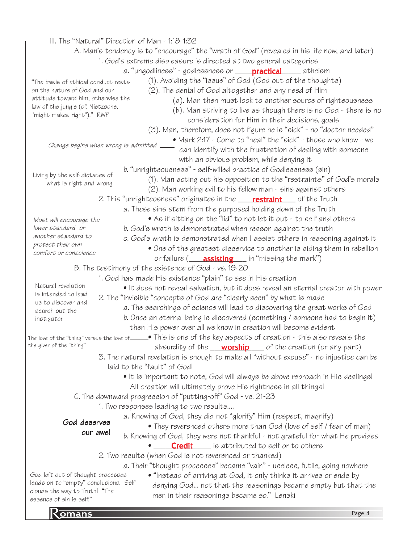#### particular contract to the contract of the contract of the contract of the contract of the contract of the contract of the contract of the contract of the contract of the contract of the contract of the contract of the con III. The "Natural" Direction of Man - 1:18-1:32 A. Man's tendency is to "encourage" the "wrath of God" (revealed in his life now, and later) 1. God's extreme displeasure is directed at two general categories a. "ungodliness" - godlessness or \_\_\_\_\_<mark>practical</mark>\_\_\_\_\_\_ atheism (1). Avoiding the "issue" of God (God out of the thoughts) (2). The denial of God altogether and any need of Him (a). Man then must look to another source of righteousness (b). Man striving to live as though there is no God - there is no consideration for Him in their decisions, goals (3). Man, therefore, does not figure he is "sick" - no "doctor needed" • Mark 2:17 - Come to "heal" the "sick" - those who know - we can identify with the frustration of dealing with someone with an obvious problem, while denying it b. "unrighteousness" - self-willed practice of Godlessness (sin) (1). Man acting out his opposition to the "restraints" of God's morals (2). Man working evil to his fellow man - sins against others 2. This "unrighteosness" originates in the \_\_\_\_\_**restraint**\_\_\_\_ of the Truth a. These sins stem from the purposed holding down of the Truth • As if sitting on the "lid" to not let it out - to self and others b. God's wrath is demonstrated when reason against the truth c. God's wrath is demonstrated when I assist others in reasoning against it • One of the greatest disservice to another is aiding them in rebellion or failure (\_\_\_\_**assisting\_\_\_\_** in "missing the mark") B. The testimony of the existence of God - vs. 19-20 1. God has made His existence "plain" to see in His creation • It does not reveal salvation, but it does reveal an eternal creator with power 2. The "invisible "concepts of God are "clearly seen" by what is made a. The searchings of science will lead to discovering the great works of God b. Once an eternal being is discovered (something / someone had to begin it) then His power over all we know in creation will become evident • This is one of the key aspects of creation - this also reveals the The love of the "thing" versus the love of absurdity of the \_\_\_\_\_\_\_\_\_\_\_\_\_ of the creation (or any part) worship3. The natural revelation is enough to make all "without excuse" - no injustice can be laid to the "fault" of God! • It is important to note, God will always be above reproach in His dealings! All creation will ultimately prove His rightness in all things! C. The downward progression of "putting-off" God - vs. 21-23 1. Two responses leading to two results.... a. Knowing of God, they did not "glorify" Him (respect, magnify) • They reverenced others more than God (love of self / fear of man) b. Knowing of God, they were not thankful - not grateful for what He provides **• Credit** is attributed to self or to others 2. Two results (when God is not reverenced or thanked) a. Their "thought processes" became "vain" - useless, futile, going nowhere • "Instead of arriving at God, it only thinks it arrives or ends by denying God... not that the reasonings became empty but that the men in their reasonings became so." Lenski "The basis of ethical conduct rests on the nature of God and our attitude toward him, otherwise the law of the jungle (cf. Nietzsche, "might makes right")." RWP Most will encourage the lower standard or another standard to protect their own comfort or conscience Living by the self-dictates of what is right and wrong Natural revelation is intended to lead us to discover and search out the instigator the giver of the "thing" God deserves our awe! God left out of thought processes leads on to "empty" conclusions. Self clouds the way to Truth! "The essence of sin is self." Change begins when wrong is admitted  $\overline{\phantom{a}}$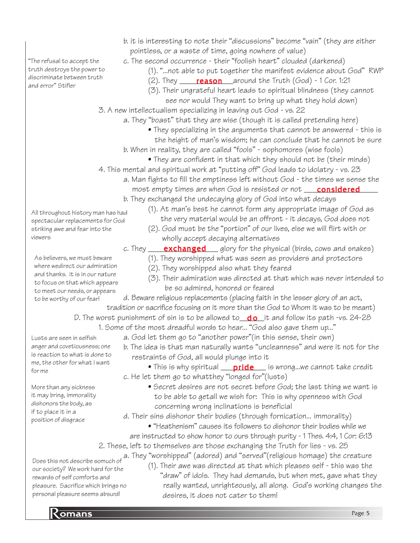"The refusal to accept the truth destroys the power to discriminate between truth and error" Stifler

- b. it is interesting to note their "discussions" become "vain" (they are either pointless, or a waste of time, going nowhere of value)
- c. The second occurrence their "foolish heart" clouded (darkened)
	- (1). "...not able to put together the manifest evidence about God" RWP
	- (2). They  $\frac{\cdot}{\cdot}$  **reason** around the Truth (God) 1 Cor. 1:21
	- (3). Their ungrateful heart leads to spiritual blindness (they cannot
	- see nor would They want to bring up what they hold down)
- 3. A new intellectualism specializing in leaving out God vs. 22
	- a. They "boast" that they are wise (though it is called pretending here)
		- They specializing in the arguments that cannot be answered this is the height of man's wisdom; he can conclude that he cannot be sure
		- b. When in reality, they are called "fools" sophomores (wise fools)
			- They are confident in that which they should not be (their minds)
- 4. This mental and spiritual work at "putting off" God leads to idolatry vs. 23
	- a. Man fights to fill the emptiness left without God the times we sense the most empty times are when God is resisted or not **\_\_\_\_<u>considered</u>\_\_\_\_**
	- b. They exchanged the undecaying glory of God into what decays
- All throughout history man has had spectacular replacements for God striking awe and fear into the viewers
- (1). At man's best he cannot form any appropriate image of God as the very material would be an offront - it decays, God does not
- (2). God must be the "portion" of our lives, else we will flirt with or wholly accept decaying alternatives
- c. They \_\_\_\_\_\_\_\_\_\_\_\_\_\_\_\_\_ glory for the physical (birds, cows and snakes) exchanged
	- (1). They worshipped what was seen as providers and protectors
	- (2). They worshipped also what they feared
	- (3). Their admiration was directed at that which was never intended to be so admired, honored or feared
- d. Beware religious replacements (placing faith in the lesser glory of an act, tradition or sacrifice focusing on it more than the God to Whom it was to be meant)
- D. The worst punishment of sin is to be allowed to\_**do\_**it and follow its path -vs. 24-28
	- 1. Some of the most dreadful words to hear... "God also gave them up..."
		- a. God let them go to "another power"(in this sense, their own)
		- b. The idea is that man naturally wants "uncleanness" and were it not for the restraints of God, all would plunge into it
		- $\bullet$  This is why spiritual  $\_\_ \text{pride} \_\_$  is wrong...we cannot take credit c. He let them go to whatthey "longed for"(lusts)
			- Secret desires are not secret before God; the last thing we want is to be able to getall we wish for: This is why openness with God concerning wrong inclinations is beneficial
		- d. Their sins dishonor their bodies (through fornication... immorality)
			- "Heathenism" causes its followers to dishonor their bodies while we are instructed to show honor to ours through purity - 1 Thes. 4:4, 1 Cor: 6:13
	- 2. These, left to themselves are those exchanging the Truth for lies vs. 25
	- a. They "worshipped" (adored) and "served"(religious homage) the creature

Does this not describe somuch of our society? We work hard for the rewards of self comforts and pleasure. Sacrifice which brings no personal pleasure seems absurd!

(1). Their awe was directed at that which pleases self - this was the "draw" of idols. They had demands, but when met, gave what they really wanted, unrighteously, all along. God's working changes the desires, it does not cater to them!

As believers, we must beware where wedirect our admiration and thanks. it is in our nature to focus on that which appears to meet our needs, or appears

to be worthy of our fear!

Lusts are seen in selfish anger and covetiousness; one is reaction to what is done to me, the other for what I want

More than any sickness it may bring, immorality dishonors the body, as if to place it in a position of disgrace

for me

**Romans** Page 5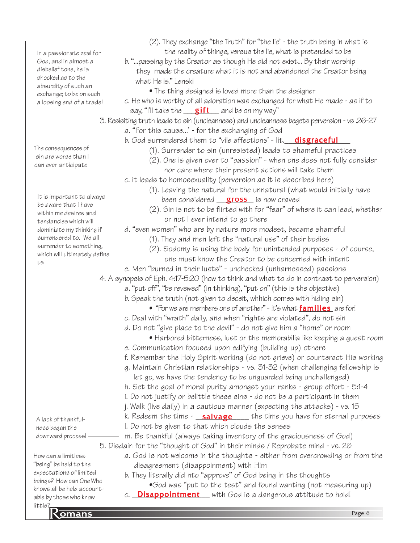In a passionate zeal for God, and in almost a disbelief tone, he is shocked as to the absurdity of such an exchange; to be on such a loosing end of a trade!

The consequences of sin are worse than I can ever anticipate

It is important to always be aware that I have within me desires and tendancies which will dominiate my thinking if surrendered to. We all surrender to something, which will ultimately define us.

A lack of thankfulness began the downward process!

How can a limitless "being" be held to the expectations of limited beings? How can One Who knows all be held accountable by those who know little?

- (2). They exchange "the Truth" for "the lie' the truth being in what is the reality of things, versus the lie, what is pretended to be
- b. "...passing by the Creator as though He did not exist... By their worship they made the creature what it is not and abandoned the Creator being what He is." Lenski
	- The thing designed is loved more than the designer
- say, "I'll take the saift and be on my way" c. He who is worthy of all adoration was exchanged for what He made - as if to
- 3. Resisiting truth leads to sin (uncleanness) and uncleanness begets perversion vs .26-27 a. "For this cause...' - for the exchanging of God
	- b. God surrendered them to "vile affections' lit.\_\_<mark>disgraceful</mark>\_\_\_
		- (1). Surrender to sin (unresisted) leads to shameful practices
		- (2). One is given over to "passion" when one does not fully consider nor care where their present actions will take them
	- c. it leads to homosexuality (perversion as it is described here)
		- been considered **gross** is now craved (1). Leaving the natural for the unnatural (what would initially have
		- (2). Sin is not to be flirted with for "fear" of where it can lead, whether or not I ever intend to go there

d. "even women" who are by nature more modest, became shameful

- (1). They and men left the "natural use" of their bodies
- (2). Sodomy is using the body for unintended purposes of course, one must know the Creator to be concerned with intent
- e. Men "burned in their lusts" unchecked (unharnessed) passions

4. A synopsis of Eph. 4:17-5:20 (how to think and what to do in contrast to perversion)

- a. "put off", "be revewed" (in thinking), "put on" (this is the objective)
- b. Speak the truth (not given to deceit, whhich comes with hiding sin)
	- $\bullet$  "For we are members one of another" it's what  $\operatorname{families}$  are for!
- c. Deal with "wrath" daily, and when "rights are violated", do not sin
- d. Do not "give place to the devil" do not give him a "home" or room
	- Harbored bitterness, lust or the memorabilia like keeping a guest room
- e. Communication focused upon edifying (building up) others
- f. Remember the Holy Spirit working (do not grieve) or counteract His working
- g. Maintain Christian relationships vs. 31-32 (when challenging fellowship is let go, we have the tendency to be unguarded being unchallenged)
- h. Set the goal of moral purity amongst your ranks group effort 5:1-4
- i. Do not justify or belittle these sins do not be a participant in them
- j. Walk (live daily) in a cautious manner (expecting the attacks) vs. 15
- k. Redeem the time <u>\_\_**salvage** \_\_\_</u>\_ the time you have for eternal purposes
- l. Do not be given to that which clouds the senses m. Be thankful (always taking inventory of the graciousness of God)

5. Disdain for the "thought of God" in their minds / Reprobate mind - vs. 28

- a. God is not welcome in the thoughts either from overcrowding or from the disagreement (disappoinment) with Him
- b. They literally did nto "approve" of God being in the thoughts
	- •God was "put to the test" and found wanting (not measuring up)
- c. Disappointment with God is a dangerous attitude to hold!

<u>regionalis</u><br>Romans Page 6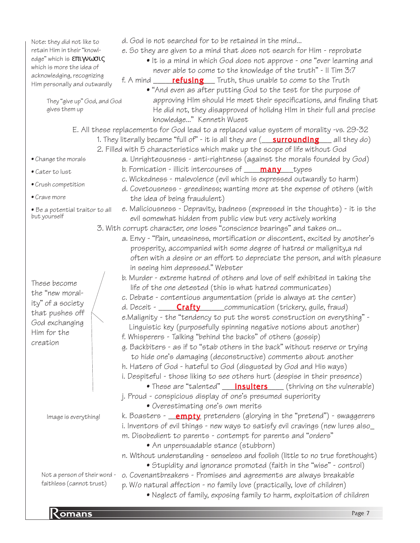Note: they did not like to retain Him in their "knowledge" which is επιγνωσις which is more the idea of acknowledging, recognizing Him personally and outwardly

> They "give up" God, and God gives them up

- d. God is not searched for to be retained in the mind...
- e. So they are given to a mind that does not search for Him reprobate
	- It is a mind in which God does not approve one "ever learning and never able to come to the knowledge of the truth" - II Tim 3:7
- f. A mind \_\_\_\_\_\_\_**refusing** \_\_\_ Truth, thus unable to come to the Truth
	- "And even as after putting God to the test for the purpose of approving HIm should He meet their specifications, and finding that He did not, they disapproved of holidng HIm in their full and precise knowledge..." Kenneth Wuest

E. All these replacements for God lead to a replaced value system of morality -vs. 29-32

- 1. They literally became "full of" it is all they are (\_\_\_<mark>surrounding</mark> \_\_\_ all they do)
	- 2. Filled with 5 characteristics which make up the scope of life without God
		- a. Unrighteousness anti-rightness (against the morals founded by God)
			- b. Fornication illicit intercourses of \_\_\_<mark>\_many</mark> \_\_types
			- c. Wickedness malevolence (evil which is expressed outwardly to harm)

evil somewhat hidden from public view but very actively working

 life of the one detested (this is what hatred communicates) c. Debate - contentious argumentation (pride is always at the center) d. Deceit - \_\_\_\_\_\_**Crafty** \_\_\_\_\_\_communication (trickery, guile, fraud)

f. Whisperers - Talking "behind the backs" of others (gossip)

j. Proud - conspicious display of one's presumed superiority

m. Disobedient to parents - contempt for parents and "orders"

• Overestimating one's own merits

• An unpersuadable stance (stubborn)

3. With corrupt character, one loses "conscience bearings" and takes on...

in seeing him depressed." Webster

d. Covetousness - greediness; wanting more at the expense of others (with the idea of being fraudulent)

e. Maliciousness - Depravity, badness (expressed in the thoughts) - it is the

a. Envy - "Pain, uneasiness, mortification or discontent, excited by another's prosperity, accompanied with some degree of hatred or malignity,a nd

b. Murder - extreme hatred of others and love of self exhibited in taking the

e.Malignity - the "tendency to put the worst construction on everything" - Linguistic key (purposefully spinning negative notions about another)

g. Backbiters - as if to "stab others in the back" without reserve or trying to hide one's damaging (deconstructive) comments about another h. Haters of God - hateful to God (disgusted by God and His ways) i. Despiteful - those liking to see others hurt (despise in their presence)

 $\bullet$  These are "talented"  $\underline{\quad}$  insulters  $\underline{\quad}$  (thriving on the vulnerable)

often with a desire or an effort to depreciate the person, and with pleasure

• Be a potential traitor to all but yourself

• Change the morals

• Crush competition

• Cater to lust

• Crave more

These become the "new morality" of a society that pushes off God exchanging Him for the creation

Image is everything!

- Not a person of their word faithless (cannot trust)
- Stupidity and ignorance promoted (faith in the "wise" control) o. Covenantbreakers - Promises and agreements are always breakable p. W/o natural affection - no family love (practically, love of children) • Neglect of family, exposing family to harm, exploitation of children

k. Boasters - <u>\_\_**empty**</u> pretenders (glorying in the "pretend") - swaggerers i. Inventors of evil things - new ways to satisfy evil cravings (new lures also\_

n. Without understanding - senseless and foolish (little to no true forethought)

**Romans** Page 7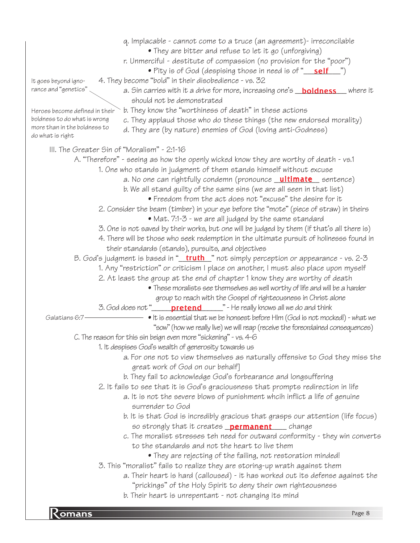provided a series of the series of the series of the series of the series of the series of the series of the s<br>Page 8 q. Implacable - cannot come to a truce (an agreement)- irreconcilable • They are bitter and refuse to let it go (unforgiving) r. Unmerciful - destitute of compassion (no provision for the "poor") • Pity is of God (despising those in need is of "<u>\_\_\_\_\_\_\_\_\_\_\_\_</u>") 4. They become "bold" in their disobedience - vs. 32 *a.* Sin carries with it a drive for more, increasing one's \_\_<mark>boldness</mark>\_\_\_where it should not be demonstrated b. They know the "worthiness of death" in these actions c. They applaud those who do these things (the new endorsed morality) d. They are (by nature) enemies of God (loving anti-Godness) III. The Greater Sin of "Moralism" - 2:1-16 A. "Therefore" - seeing as how the openly wicked know they are worthy of death - vs.1 1. One who stands in judgment of them stands himself without excuse a. No one can rightfully condemn (pronounce <u>\_**ultimate** \_</u> sentence) b. We all stand guilty of the same sins (we are all seen in that list) • Freedom from the act does not "excuse" the desire for it 2. Consider the beam (timber) in your eye before the "mote" (piece of straw) in theirs • Mat. 7:1-3 - we are all judged by the same standard 3. One is not saved by their works, but one will be judged by them (if that's all there is) 4. There will be those who seek redemption in the ultimate pursuit of holinesss found in their standards (stands), pursuits, and objectives B. God's judgment is based in "<u>\_\_**truth\_**\_</u>" not simply perception or appearance - vs. 2-3 1. Any "restriction" or criticism I place on another, I must also place upon myself 2. At least the group at the end of chapter 1 know they are worthy of death • These moralists see themselves as well worthy of life and will be a harder group to reach with the Gospel of righteousness in Christ alone 3. God does not "\_\_\_\_\_\_\_<mark>pretend</mark>\_\_\_\_\_\_" - He really knows all we do and think • It is essential that we be honsest before HIm (God is not mocked!) - what we "sow" (how we really live) we will reap (receive the foreordained consequences) C. The reason for this sin beign even more "sickening" - vs. 4-6 1. It despises God's wealth of generosity towards us a. For one not to view themselves as naturally offensive to God they miss the great work of God on our behalf] b. They fail to acknowledge God's forbearance and longsuffering 2. It fails to see that it is God's graciousness that prompts redirection in life a. It is not the severe blows of punishment whcih inflict a life of genuine surrender to God b. It is that God is incredibly gracious that grasps our attention (life focus) so strongly that it creates **\_permanent** \_\_\_\_ change c. The moralist stresses teh need for outward conformity - they win converts to the standards and not the heart to live them • They are rejecting of the failing, not restoration minded! 3. This "moralist" fails to realize they are storing-up wrath against them a. Their heart is hard (calloused) - it has worked out its defense against the "prickings" of the Holy Spirit to deny their own righteousness b. Their heart is unrepentant - not changing its mind It goes beyond ignorance and "genetics" Heroes become defined in their boldness to do what is wrong more than in the boldness to do what is right Galatians 6:7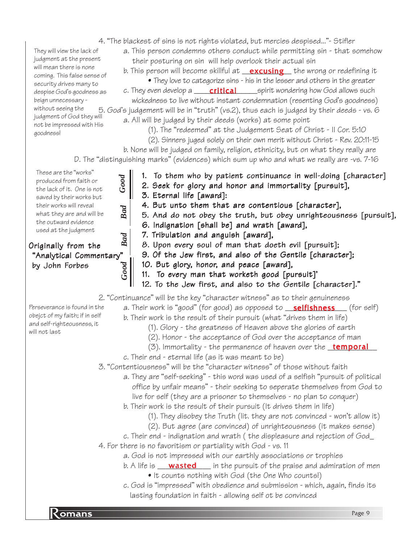- 4. "The blackest of sins is not rights violated, but mercies despised..."- Stifler
	- a. This person condemns others conduct while permitting sin that somehow their posturing on sin will help overlook their actual sin
		- b. This person will become skillful at <u>\_\_**excusing\_\_\_**</u> the wrong or redefining it
			- They love to categorize sins his in the lesser and others in the greater

\_\_\_spirit wondering how God allows such wickedness to live without instant condemnation (resenting God's goodness) 5. God's judgement will be in "truth" (vs.2), thus each is judged by their deeds - vs. 6 a. All will be judged by their deeds (works) at some point c. They even develop a critical

(1). The "redeemed" at the Judgement Seat of Christ - II Cor. 5:10

(2). Sinners juged solely on their own merit without Christ - Rev. 20:11-15

b. None will be judged on family, religion, ethnicity, but on what they really are D. The "distinguishing marks" (evidences) which sum up who and what we really are -vs. 7-16

- 1. To them who by patient continuance in well-doing [character]
	- 2. Seek for glory and honor and immortality [pursuit],
	- 3. Eternal life [award]:
	- 4. But unto them that are contentious [character],
- 5. And do not obey the truth, but obey unrighteousness [pursuit],
- 6. Indignation [shall be] and wrath [award],
- 7. Tribulation and anguish [award],
- 8. Upon every soul of man that doeth evil [pursuit];
- 9. Of the Jew first, and also of the Gentile [character];
- 10. But glory, honor, and peace [award],
- 11. To every man that worketh good [pursuit]'
- 12. To the Jew first, and also to the Gentile [character]."

2. "Continuance" will be the key "character witness" as to their genuineness

a. Their work is "good" (for good) as opposed to \_\_<mark>selfishness</mark>\_\_\_(for self)

b. Their work is the result of their pursuit (what "drives them in life)

- (1). Glory the greatness of Heaven above the glories of earth
- (2). Honor the acceptance of God over the acceptance of man
- (3). Immortality the permanence of heaven over the <u>\_temporal\_</u>
- c. Their end eternal life (as it was meant to be)
- 3. "Contentiousness" will be the "character witness" of those without faith
	- a. They are "self-seeking" this word was used of a selfish "pursuit of political office by unfair means" - their seeking to seperate themselves from God to live for self (they are a prisoner to themselves - no plan to conquer)
	- b. Their work is the result of their pursuit (It drives them in life)
		- (1). They disobey the Truth (lit. they are not convinced won't allow it)
		- (2). But agree (are convinced) of unrighteousness (it makes sense)
	- c. Their end indignation and wrath ( the displeasure and rejection of God\_
- 4. For there is no favoritism or partiality with God vs. 11
	- a. God is not impressed with our earthly associations or trophies
	- b. A life is \_\_\_\_**wasted** \_\_\_\_ in the pursuit of the praise and admiration of men • It counts nothing with God (the One Who counts!)
	- c. God is "impressed" with obedience and submission which, again, finds its lasting foundation in faith - allowing self ot be convinced

Perseverance is found in the obejct of my faith; if in self and self-righteousness, it will not last

These are the "works" produced from faith or the lack of it. One is not saved by their works but their works will reveal what they are and will be the outward evidence used at the judgment

They will view the lack of judgment at the present will mean there is none coming. This false sense of security drives many to despise God's goodness as beign unnecessary without seeing the judgment of God they will not be impressed with His

goodness!

*Good*

*Bad*

## *Bad Good* Originally from the "Analytical Commentary" by John Forbes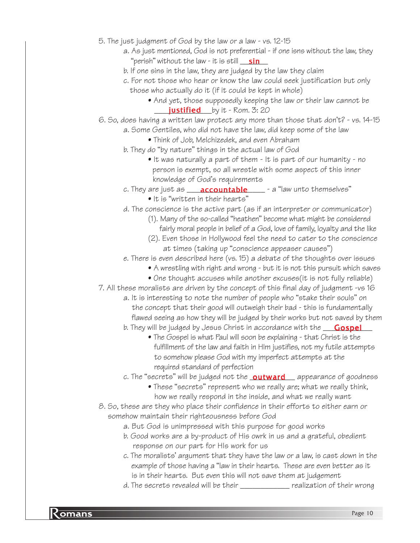- 5. The just judgment of God by the law or a law vs. 12-15
	- a. As just mentioned, God is not preferential if one isns without the law, they "perish" without the law - it is still \_\_\_<u>sin</u>
	- b. If one sins in the law, they are judged by the law they claim
	- c. For not those who hear or know the law could seek justification but only those who actually do it (if it could be kept in whole)
		- And yet, those supposedly keeping the law or their law cannot be **justified** by it - Rom. 3: 20
- 6. So, does having a written law protect any more than those that don't? vs. 14-15
	- a. Some Gentiles, who did not have the law, did keep some of the law
		- Think of Job, Melchizedek, and even Abraham
	- b. They do "by nature" things in the actual law of God
		- It was naturally a part of them It is part of our humanity no person is exempt, so all wrestle with some aspect of this inner knowledge of God's requirements
	- c. They are just as \_\_\_\_\_**accountable** \_\_\_\_\_\_- a "law unto themselves"
		- It is "written in their hearts"
	- d. The conscience is the active part (as if an interpreter or communicator)
		- (1). Many of the so-called "heathen" become what might be considered fairly moral people in belief of a God, love of family, loyalty and the like
		- (2). Even those in Hollywood feel the need to cater to the conscience at times (taking up "conscience appeaser causes")
	- e. There is even described here (vs. 15) a debate of the thoughts over issues
		- A wrestling with right and wrong but it is not this pursuit which saves
		- One thought accuses while another excuses(it is not fully reliable)
- 7. All these moralists are driven by the concept of this final day of judgment -vs 16
	- a. It is interesting to note the number of people who "stake their souls" on the concept that their good will outweigh their bad - this is fundamentally flawed seeing as how they will be judged by their works but not saved by them
	- b. They will be judged by Jesus Christ in accordance with the \_\_\_\_<mark>Gospel</mark>\_\_\_
		- The Gospel is what Paul will soon be explaining that Christ is the fulfillment of the law and faith in HIm justifies, not my futile attempts to somehow please God with my imperfect attempts at the required standard of perfection
	- c. The "secrets" will be judged not the <u>\_**outward\_\_\_**\_</u> appearance of goodness
		- These "secrets" represent who we really are; what we really think, how we really respond in the inside, and what we really want
- 8. So, these are they who place their confidence in their efforts to either earn or somehow maintain their righteousness before God
	- a. But God is unimpressed with this purpose for good works
	- b. Good works are a by-product of His owrk in us and a grateful, obedient response on our part for HIs work for us
	- c. The moralists' argument that they have the law or a law, is cast down in the example of those having a "law in their hearts. These are even better as it is in their hearts. But even this will not save them at judgement
	- d. The secrets revealed will be their \_\_\_\_\_\_\_\_\_\_\_\_ realization of their wrong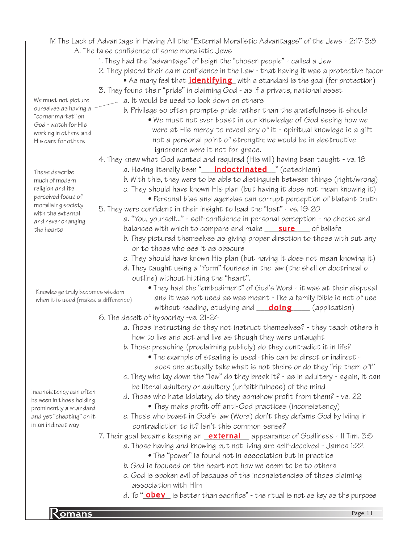- IV. The Lack of Advantage in Having All the "External Moralistic Advantages" of the Jews 2:17-3:8 A. The false confidence of some moralistic Jews
	- 1. They had the "advantage" of beign the "chosen people" called a Jew
	- 2. They placed their calm confidence in the Law that having it was a protective facor
		- $\bullet$  As many feel that  $\underline{\text{identifying}}$  with a standard is the goal (for protection)
	- 3. They found their "pride" in claiming God as if a private, national asset
		- a. It would be used to look down on others
			- b. Privilege so often prompts pride rather than the gratefulness it should • We must not ever boast in our knowledge of God seeing how we were at His mercy to reveal any of it - spiritual knowlege is a gift not a personal point of strength; we would be in destructive ignorance were it not for grace.
	- 4. They knew what God wanted and required (His will) having been taught vs. 18
		- a. Having literally been "\_\_\_\_<mark>indoctrinated</mark>\_\_" (catechism)
		- b. With this, they were to be able to distinguish between things (right/wrong)
		- c. They should have known HIs plan (but having it does not mean knowing it)
	- Personal bias and agendas can corrupt perception of blatant truth 5. They were confident in their insight to lead the "lost" - vs. 19-20
		- a. "You, yourself..." self-confidence in personal perception no checks and balances with which to compare and make <u>sure</u> fof beliefs
			- b. They pictured themselves as giving proper direction to those with out any or to those who see it as obscure
			- c. They should have known His plan (but having it does not mean knowing it)
			- d. They taught using a "form" founded in the law (the shell or doctrineal o outline) without hitting the "heart".
- Knowledge truly becomes wisdom when it is used (makes a difference)
- They had the "embodiment" of God's Word it was at their disposal and it was not used as was meant - like a family Bible is not of use without reading, studying and **\_\_\_\_\_<u>\_\_\_\_\_\_\_\_\_\_\_\_\_\_</u>** (application)
- 6. The deceit of hypocrisy -vs. 21-24
	- a. Those instructing do they not instruct themselves? they teach others h how to live and act and live as though they were untaught
	- b. Those preaching (proclaiming publicly) do they contradict it in life?
		- The example of stealing is used -this can be direct or indirect does one actually take what is not theirs or do they "rip them off"
	- c. They who lay down the "law" do they break it? as in adultery again, it can be literal adultery or adultery (unfaithfulness) of the mind
	- d. Those who hate idolatry, do they somehow profit from them? vs. 22 • They make profit off anti-God practices (inconsistency)
	- e. Those who boast in God's law (Word) don't they defame God by lviing in contradiction to it? Isn't this common sense?
- 7. Their goal became keeping an <u>external</u> appearance of Godliness Il Tim. 3:5
	- a. Those having and knowing but not living are self-deceived James 1:22
		- The "power" is found not in association but in practice
	- b. God is focused on the heart not how we seem to be to others
	- c. God is spoken evil of because of the inconsistencies of those claiming association with HIm
	- d. To "<u>\_**obey**\_\_</u> is better than sacrifice" the ritual is not as key as the purpose

We must not picture ourselves as having a "corner market" on God - watch for HIs working in others and His care for others

These describe much of modern religion and its perceived focus of moralising society with the external and never changing the hearts

Inconsistency can often be seen in those holding prominently a standard and yet "cheating" on it in an indirect way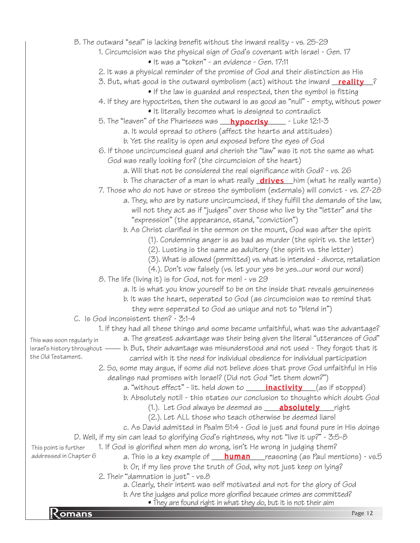• They are found right in what they do, but it is not their aim<br>Page 12 B. The outward "seal" is lacking benefit without the inward reality - vs. 25-29 1. Circumcision was the physical sign of God's covenant with Israel - Gen. 17 • It was a "token" - an evidence - Gen. 17:11 2. It was a physical reminder of the promise of God and their distinction as His 3. But, what good is the outward symbolism (act) without the inward <u>Feality 2</u> • If the law is guarded and respected, then the symbol is fitting 4. If they are hypoctrites, then the outward is as good as "null" - empty, without power • It literally becomes what is designed to contradict 5. The "leaven" of the Pharisees was \_\_\_<mark>hypocrisy</mark>\_\_\_\_\_\_ - Luke 12:1-3 a. It would spread to others (affect the hearts and attitudes) b. Yet the reality is open and exposed before the eyes of God 6. If those uncircumcised guard and cherish the "law" was it not the same as what God was really looking for? (the circumcision of the heart) a. Will that not be considered the real significance with God? - vs. 26 b. The character of a man is what really <u>**drives** \_\_</u>him (what he really wants) 7. Those who do not have or stress the symbolism (externals) will convict - vs. 27-28 a. They, who are by nature uncircumcised, if they fulfill the demands of the law, will not they act as if "judges" over those who live by the "letter" and the "expression" (the appearance, stand, "conviction") b. As Christ clarified in the sermon on the mount, God was after the spirit (1). Condemning anger is as bad as murder (the spirit vs. the letter) (2). Lusting is the same as adultery (the spirit vs. the letter) (3). What is allowed (permitted) vs. what is intended - divorce, retaliation (4.). Don't vow falsely (vs. let your yes be yes...our word our word) 8. The life (living it) is for God, not for men! - vs 29 a. It is what you know yourself to be on the inside that reveals genuineness b. It was the heart, seperated to God (as circumcision was to remind that they were seperated to God as unique and not to "blend in") C. Is God inconsistent then? - 3:1-4 1. If they had all these things and some became unfaithful, what was the advantage? a. The greatest advantage was their being given the literal "utterances of God" Israel's history throughout —— b. But, their advantage was misunderstood and not used - They forgot that it carried with it the need for individual obedience for individual participation 2. So, some may argue, if some did not believe does that prove God unfaithful in His dealings nad promises with Israel? (Did not God "let them down?") a. "without effect" - lit. held down to \_\_\_\_\_\_<mark>inactivity</mark> \_\_\_(as if stopped) b. Absolutely not!! - this states our conclusion to thoughts which doubt God (1.). Let God always be deemed as **\_\_\_\_\_<u>absolutely</u>** \_\_\_\_\_right (2.). Let ALL those who teach otherwise be deemed liars! c. As David admitted in Psalm 51:4 - God is just and found pure in His doings D. Well, if my sin can lead to glorifying God's rightness, why not "live it up?" - 3:5-8 1. If God is glorified when men do wrong, isn't He wrong in judging them? a. This is a key example of \_\_\_\_<mark>human</mark>\_\_\_\_reasoning (as Paul mentions) - vs.5 b. Or, if my lies prove the truth of God, why not just keep on lying? 2. Their "damnation is just" - vs.8 a. Clearly, their intent was self motivated and not for the glory of God b. Are the judges and police more glorified because crimes are committed? This was soon regularly in the Old Testament. This point is further addressed in Chapter 6

 $\mathbf{K}$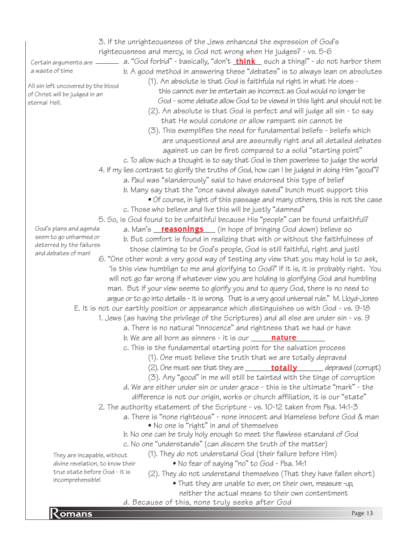3. If the unrighteousness of the Jews enhanced the expression of God's righteousness and mercy, is God not wrong when He judges? - vs. 5-6 Certain arguments are \_\_\_\_\_\_\_\_ a. "God forbid" - basically, "don't <u>\_**think**\_\_</u> such a thing!" - do not harbor them b. A good method in answering these "debates" is to always lean on absolutes (1). An absolute is that God is faithfula nd right in what He does this cannot ever be entertain as incorrect as God would no longer be God - some debate allow God to be viewed in this light and should not be (2). An absolute is that God is perfect and will judge all sin - to say that He would condone or allow rampant sin cannot be (3). This exemplifies the need for fundamental beliefs - beliefs which are unquestioned and are assuredly right and all detailed debates against us can be first compared to a solid "starting point" c. To allow such a thought is to say that God is then powerless to judge the world 4. If my lies contrast to glorify the truths of God, how can I be judged in doing Him "good"? a. Paul was "slanderously" said to have endorsed this type of belief b. Many say that the "once saved always saved" bunch must support this • Of course, in light of this passage and many others, this is not the case c. Those who believe and live this will be justly "damned" 5. So, is God found to be unfaithful because His "people" can be found unfaithful? a. Man's <mark>\_\_\_reasonings</mark> \_\_\_\_ (in hope of bringing God down) believe so b. But comfort is found in realizing that with or without the faithfulness of those claiming to be God's people, God is still faithful, right and just! 6. "One other word: a very good way of testing any view that you may hold is to ask, 'Is this view humblign to me and glorifying to God?' If it is, it is probably right. You will not go far wrong if whatever view you are holding is glorifying God and humbling man. But if your view seems to glorify you and to query God, there is no need to argue or to go into details - it is wrong. That is a very good universal rule." M. Lloyd-Jones E. It is not our earthly position or appearance which distinguishes us with God - vs. 9-18 1. Jews (as having the privilege of the Scriptures) and all else are under sin - vs. 9 a. There is no natural "innocence" and rightness that we had or have b. We are all born as sinners - it is our **\_\_\_\_\_\_<mark>nature</mark>\_\_\_\_\_\_**\_ c. This is the fundamental starting point for the salvation process (1). One must believe the truth that we are totally depraved (2). One must see that they are **\_\_\_\_\_\_\_\_\_\_\_\_\_totally** \_\_\_\_\_\_\_\_\_ depraved (corrupt) (3). Any "good" in me will still be tainted with the tinge of corruption d. We are either under sin or under grace - this is the ultimate "mark" - the difference is not our origin, works or church affiliation, it is our "state" 2. The authority statement of the Scripture - vs. 10-12 taken from Psa. 14:1-3 a. There is "none righteous" - none innocent and blameless before God & man • No one is "right" in and of themselves b. No one can be truly holy enough to meet the flawless standard of God c. No one "understands" (can discern the truth of the matter) (1). They do not understand God (their failure before HIm) • No fear of saying "no" to God - Psa. 14:1 (2). They do not understand themselves (That they have fallen short) • That they are unable to ever, on their own, measure -up, neither the actual means to their own contentment a waste of time All sin left uncovered by the blood of Christ will be judged in an eternal Hell. God's plans and agenda seem to go unharmed or deterred by the failures and debates of man! They are incapable, without divine revelation, to know their true state before God - it is incomprehensible!

a. Decause of this, none truly seeks after God<br>Romans Page 13 d. Because of this, none truly seeks after God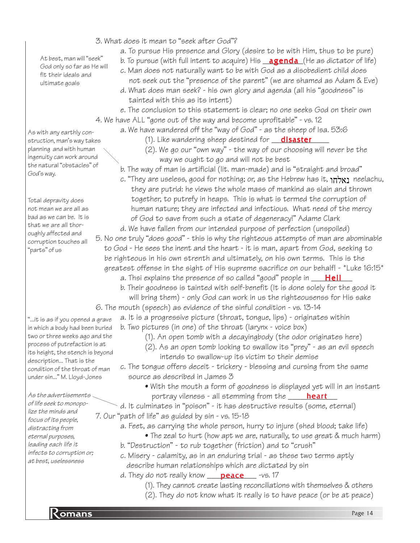3. What does it mean to "seek after God"?

a. To pursue His presence and Glory (desire to be with Him, thus to be pure)

b. To pursue (with full intent to acquire) His <u>\_**agenda** (</u>He as dictator of life)

- c. Man does not naturally want to be with God as a disobedient child does not seek out the "presence of the parent" (we are shamed as Adam & Eve)
- d. What does man seek? his own glory and agenda (all his "goodness" is tainted with this as its intent)
- e. The conclusion to this statement is clear; no one seeks God on their own 4. We have ALL "gone out of the way and become uprofitable" - vs. 12
	- a. We have wandered off the "way of God" as the sheep of Isa. 53:6
		- (1). Like wandering sheep destined for <u>\_\_**\_\_disaster\_\_\_\_\_\_\_**</u>
		- (2). We go our "own way" the way of our choosing will never be the way we ought to go and will not be best

b. The way of man is artificial (lit. man-made) and is "straight and broad"

c. "They are useless, good for nothing; or, as the Hebrew has it, **נאלחו** neelachu, they are putrid: he views the whole mass of mankind as slain and thrown together, to putrefy in heaps. This is what is termed the corruption of human nature; they are infected and infectious. What need of the mercy of God to save from such a state of degeneracy!" Adame Clark

d. We have fallen from our intended purpose of perfection (unspoiled) 5. No one truly "does good" - this is why the righteous attempts of man are abominable to God - He sees the inent and the heart - it is man, apart from God, seeking to be righteous in his own strenth and ultimately, on his own terms. This is the greatest offense in the sight of His supreme sacrifice on our behalf! - \*Luke 16:15\*

- a. Thsi explains the presence of so called "good" people in \_\_\_\_<mark>Hell</mark>\_\_\_
- b. Their goodness is tainted with self-benefit (It is done solely for the good it will bring them) - only God can work in us the righteousenss for His sake

6. The mouth (speech) as evidence of the sinful condition - vs. 13-14

a. It is a progressive picture (throat, tongue, lips) - originates within b. Two pictures (in one) of the throat (larynx - voice box)

- (1). An open tomb with a decayingbody (the odor originates here)
- (2). As an open tomb looking to swallow its "prey" as an evil speech
	- intends to swallow-up its victim to their demise
- c. The tongue offers deceit trickery blessing and cursing from the same source as described in James 3
	- With the mouth a form of goodness is displayed yet will in an instant portray vileness - all stemming from the \_\_\_\_\_\_<mark>heart</mark>\_\_\_
- d. It culminates in "poison" it has destructive results (some, eternal) 7. Our "path of life" as guided by sin - vs. 15-18

a. Feet, as carrying the whole person, hurry to injure (shed blood; take life)

- The zeal to hurt (how apt we are, naturally, to use great & much harm)
- b. "Destruction" to rub together (friction) and to "crush"
- c. Misery calamity, as in an enduring trial as these two terms aptly describe human relationships which are dictated by sin
- d. They do not really know \_\_\_\_\_<mark>peace</mark>\_\_\_\_\_ -vs. 17
	- (1). They cannot create lasting reconciliations with themselves & others
	- (2). They do not know what it really is to have peace (or be at peace)

At best, man will "seek" God only so far as He will fit their ideals and ultimate goals

As with any earthly construction, man's way takes planning and with human ingenuity can work around the natural "obstacles" of God's way.

Total depravity does not mean we are all as bad as we can be. It is that we are all thoroughly affected and corruption touches all "parts" of us

"...it is as if you opened a grave in which a body had been buried two or three weeks ago and the process of putrefaction is at its height, the stench is beyond description... That is the condition of the throat of man under sin..." M. Lloyd-Jones

As the advertisements of life seek to monopolize the minds and focus of its people, distracting from eternal purposes, leading each life it infects to corruption or; at best, uselessness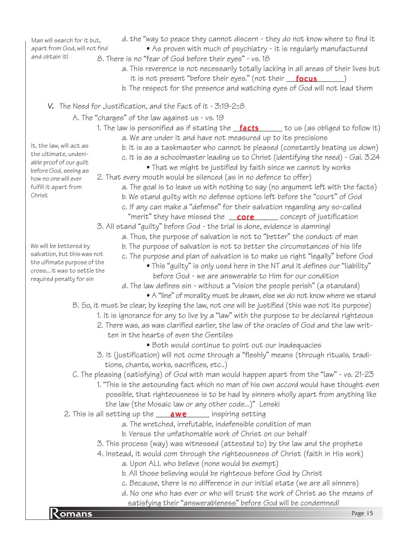d. the "way to peace they cannot discern - they do not know where to find it • As proven with much of psychiatry - it is regularly manufactured 8. There is no "fear of God before their eyes" - vs. 18 a. This reverence is not necessarily totally lacking in all areas of their lives but it is not present "before their eyes." (not their <u>\_\_**focus**\_\_\_</u>\_\_\_\_) b. The respect for the presence and watching eyes of God will not lead them v. The Need for Justification, and the Fact of it - 3:19-2::8 A. The "charges" of the law against us - vs. 19 1. The law is personified as if stating the <u>\_**facts**\_\_\_\_\_</u> to us (as obliged to follow it) a. We are under it and have not measured up to its precisions b. It is as a taskmaster who cannot be pleased (constantly beating us down) c. It is as a schoolmaster leading us to Christ (identifying the need) - Gal. 3.24 • That we might be justified by faith since we cannot by works 2. That every mouth would be silenced (as in no defence to offer) a. The goal is to leave us with nothing to say (no argument left with the facts) b. We stand guilty with no defense options left before the "court" of God c. If any can make a "defense" for their salvation regarding any so-called "merit" they have missed the word concept of justification 3. All stand "guilty" before God - the trial is done, evidence is damning! a. Thus, the purpose of salvation is not to "better" the conduct of man b. The purpose of salvation is not to better the circumstances of his life c. The purpose and plan of salvation is to make us right "legally" before God • This "guilty" is only used here in the NT and it defines our "liability" before God - we are answerable to Him for our condition d. The law defines sin - without a "vision the people perish" (a standard) • A "line" of morality must be drawn, else we do not know where we stand B. So, it must be clear, by keeping the law, not one will be justified (this was not its purpose) 1. It is ignorance for any to live by a "law" with the purpose to be declared righteous 2. There was, as was clarified earlier, the law of the oracles of God and the law writ ten in the hearts of even the Gentiles • Both would continue to point out our inadequacies 3. It (justification) will not ocme through a "fleshly" means (through rituals, tradi tions, chants, works, sacrifices, etc..) C. The pleasing (satisfying) of God with man would happen apart from the "law" - vs. 21-23 1. "This is the astounding fact which no man of his own accord would have thought even possible, that righteousness is to be had by sinners wholly apart from anything like the law (the Mosaic law or any other code...)" Lenski 2. This is all setting up the \_\_\_\_<mark>awe</mark> \_\_\_\_\_ inspiring setting a. The wretched, irrefutable, indefensible condition of man b. Versus the unfathomable work of Christ on our behalf 3. This process (way) was witnessed (attested to) by the law and the prophets 4. Instead, it would com through the righteousness of Christ (faith in His work) a. Upon ALL who believe (none would be exempt) b. All those believing would be righteous before God by Christ c. Because, there is no difference in our initial state (we are all sinners) It, the law, will act as the ultimate, undeniable proof of our guilt before God, seeing as how no one will ever fulfill it apart from Christ We will be bettered by salvation, but this was not the ulfimate purpose of the cross... it was to settle the required penalty for sin Man will search for it but, apart from God, will not find and obtain it!

satisfying their "answerableness" before God will be condemned!<br>Pomans d. No one who has ever or who will trust the work of Christ as the means of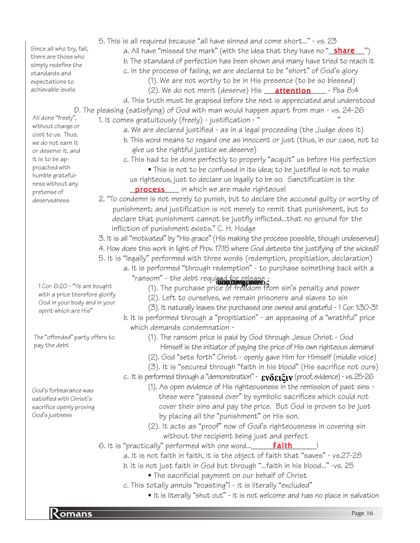Since all who try, fail, there are those who simply redefine the standards and expectations to achievable levels

All done "freely", without charge or cost to us. Thus, we do not earn it or deserve it, and it is to be approached with humble gratefulness without any pretense of deservedness

> 1 Cor. 6:20 - "Ye are bought with a price therefore glorify God in your body and in your spirit which are His"

The "offended" party offers to pay the debt

God's forbearance was satisfied with Christ's sacrifice openly proving God's justness

- 5. This is all required because "all have sinned and come short..." vs. 23
	- *a.* All have "missed the mark" (with the idea that they have no "<u>\_**share\_\_\_**")</u>
		- b. The standard of perfection has been shown and many have tried to reach it
		- c. In the process of failing, we are declared to be "short" of God's glory
			- (1). We are not worthy to be in His presence (to be so blessed)
			- (2). We do not merit (deserve) His **\_\_\_\_attention** \_\_\_\_\_- Psa &:4
- d. This truth must be grapsed before the next is appreciated and understood D. The pleasing (satisfying) of God with man would happen apart from man - vs. 24-26
	- 1. It comes gratuitously (freely) justification " "
		- a. We are declared justified as in a legal proceeding (the Judge does it)
		- b. This word means to regard one as innocent or just (thus, in our case, not to give us the rightful justice we deserve)
		- c. This had to be done perfectly to properly "acquit" us before His perfection • This is not to be confused in its idea; to be justified is not to make us righteous, just to declare us legally to be so. Sanctification is the
		- **process** in which we are made righteous!

2. "To condemn is not merely to punish, but to declare the accused guilty or worthy of punishment; and justification is not merely to remit that punishment, but to declare that punishment cannot be justfly inflicted...that no ground for the infliction of punishment exists." C. H. Hodge

- 3. It is all "motivated" by "His grace" (His making the process possible, though undeserved)
- 4. How does this work in light of Prov. 17:15 where God detests the justifying of the wicked?
- 5. It is "legally" performed with three words (redemption, propitiation, declaration)
	- a. It is performed "through redemption" to purchase something back with a "ransom" - the debt required for release **ικεα τοr release**<br>**αισμένουμενοι κ** 
		- (1). The purchase price of freedom from sin's penalty and power
		- (2). Left to ourselves, we remain prisoners and slaves to sin
		- (3). It naturally leaves the purchased one owned and grateful 1 Cor. 1:30-31
		- b. It is performed through a "propitiation" an appeasing of a "wrathful" price which demands condemnation -
			- (1). The ransom price is paid by God through Jesus Christ God
				- Himself is the initiator of paying the price of His own righteous demand
			- (2). God "sets forth" Christ openly gave Him for HImself (middle voice)
			- (3). It is "secured through "faith in his blood" (His sacrifice not ours)
		- c. It is performed through a "demonstration"  $\epsilon$ **v** $\delta$ **ειξιν** (proof, evidence) vs. 25-26
			- (1). As open evidence of His righteousness in the remission of past sins these were "passed over" by symbolic sacrifices which could not cover their sins and pay the price. But God is proven to be just by placing all the "punishment" on His son.
			- (2). It acts as "proof" now of God's righteousness in covering sin without the recipient being just and perfect

6. It is "practically" performed with one word...\_\_\_\_\_\_<mark>Faith</mark>\_\_\_\_\_\_!

- a. It is not faith in faith, it is the object of faith that "saves" vs.27-28
	- b. It is not just faith in God but through "...faith in his blood..." -vs. 25
		- The sacrificial payment on our behalf of Christ
	- c. This totally annuls "boasting"! it is literally "excluded"
		- It is literally "shut out" it is not welcome and has no place in salvation

**R** omans Page 16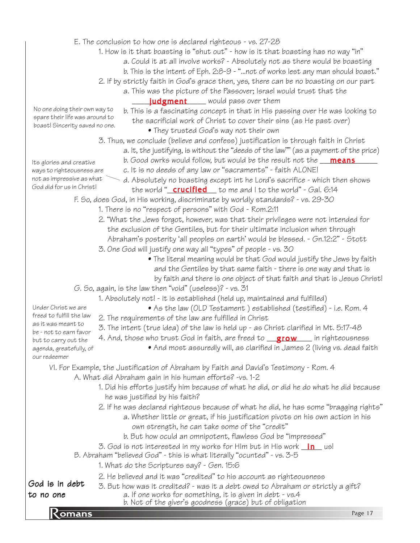- E. The conclusion to how one is declared righteous vs. 27-28
	- 1. How is it that boasting is "shut out" how is it that boasting has no way "in"
		- a. Could it at all involve works? Absolutely not as there would be boasting
		- b. This is the intent of Eph. 2:8-9 "...not of works lest any man should boast."
	- 2. If by strictly faith in God's grace then, yes, there can be no boasting on our part
		- a. This was the picture of the Passover; Israel would trust that the **judgment** Would pass over them
- No one doing their own way to spare their life was around to boast! Sincerity saved no one.
	- b. This is a fascinating concept in that in His passing over He was looking to the sacrificial work of Christ to cover their sins (as He past over)
		- They trusted God's way not their own
	- 3. Thus, we conclude (believe and confess) justification is through faith in Christ
		- a. It, the justifying, is without the "deeds of the law"" (as a payment of the price)
		- b. Good owrks would follow, but would be the result not the <u>\_\_\_\_\_\_\_\_\_\_\_\_\_\_\_\_\_\_\_\_</u>
		- c. It is no deeds of any law or "sacraments" faith ALONE!
- ways to righteousness are not as impressive as what God did for us in Christ!

Its glories and creative

- d. Absolutely no boasting except int he Lord's sacrifice which then shows the world "\_\_<mark>crucified</mark> \_\_ to me and I to the world" - Gal. 6:14
- F. So, does God, in His working, discriminate by worldly standards? vs. 29-30
	- 1. There is no "respect of persons" with God Rom.2:11
	- 2. "What the Jews forgot, however, was that their privileges were not intended for the exclusion of the Gentiles, but for their ultimate inclusion when through Abraham's posterity 'all peoples on earth' would be blessed. - Gn.12:2" - Stott
	- 3. One God will justify one way all "types" of people vs. 30
		- The literal meaning would be that God would justify the Jews by faith and the Gentiles by that same faith - there is one way and that is by faith and there is one object of that faith and that is Jesus Christ!
- G. So, again, is the law then "void" (useless)? vs. 31
	- 1. Absolutely not! it is established (held up, maintained and fulfilled)

Under Christ we are freed to fulfill the law as it was meant to be - not to earn favor but to carry out the agenda, greatefully, of our redeemer

- 2. The requirements of the law are fulfilled in Christ
- 3. The intent (true idea) of the law is held up as Christ clarified in Mt. 5:17-48
- 4. And, those who trust God in faith, are freed to \_\_<mark>grow</mark> \_\_\_ in righteousness
	- And most assuredly will, as clarified in James 2 (living vs. dead faith

• As the law (OLD Testament ) established (testified) - i.e. Rom. 4

- VI. For Example, the Justification of Abraham by Faith and David's Testimony Rom. 4
	- A. What did Abraham gain in his human efforts? -vs. 1-2
		- 1. Did his efforts justify him because of what he did, or did he do what he did because he was justified by his faith?
		- 2. If he was declared righteous because of what he did, he has some "bragging rights"
			- a. Whether little or great, if his justification pivots on his own action in his own strength, he can take some of the "credit"
			- b. But how oculd an omnipotent, flawless God be "impressed"
		- 3. God is not interested in my works for HIm but in His work <u>\_**in**\_</u> us!
	- B. Abraham "believed God" this is what literally "ocunted" vs. 3-5
		- 1. What do the Scriptures say? Gen. 15:6
		- 2. He believed and it was "credited" to his account as righteousness

God is in debt to no one

- 3. But how was it credited? was it a debt owed to Abraham or strictly a gift? a. If one works for something, it is given in debt - vs.4
- b. Not of the giver's goodness (grace) but of obligation<br>Page 17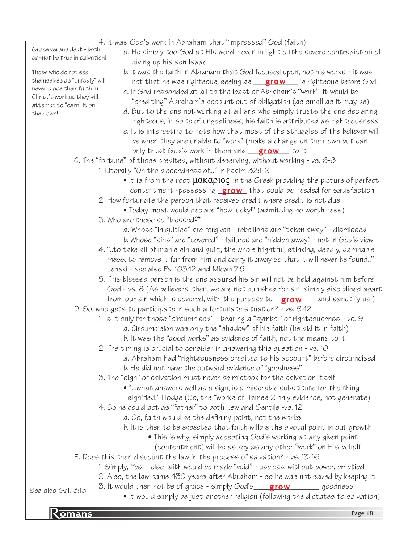Grace versus debt - both cannot be true in salvation!

Those who do not see themselves as "unfodly" will never place their faith in Christ's work as they will attempt to "earn" it on their own!

- 4. It was God's work in Abraham that "impressed" God (faith)
	- a. He simply too God at HIs word even in light o fthe severe contradiction of giving up his son Isaac
	- b. It was the faith in Abraham that God focused upon, not his works it was not that he was righteous, seeing as **grow** is righteous before God!
	- c. If God responded at all to the least of Abraham's "work" it would be "crediting" Abraham's account out of obligation (as small as it may be)
	- d. But to the one not working at all and who simply trusts the one declaring righteous, in spite of ungodliness, his faith is attributed as righteousness
	- e. It is interesting to note how that most of the struggles of the believer will be when they are unable to "work" (make a change on their own but can only trust God's work in them and \_\_<mark>\_\_\_\_\_\_\_\_\_\_\_\_\_\_</mark> to it

C. The "fortune" of those credited, without deserving, without working - vs. 6-8

- 1. Literally "Oh the blessedness of..." in Psalm 32:1-2
	- $\bullet$  It is from the root  $\mu$ ακαριος in the Greek providing the picture of perfect contentment -possessing **\_grow\_** that could be needed for satisfaction
- 2. How fortunate the person that receives credit where credit is not due
	- Today most would declare "how lucky!" (admitting no worthiness)
- 3. Who are these so "blessed?"
	- a. Whose "iniquities" are forgiven rebellions are "taken away" dismissed b. Whose "sins" are "covered" - failures are "hidden away" - not in God's view
- 4. "..to take all of man's sin and guilt, the whole frightful, stinking, deadly, damnable mess, to remove it far from him and carry it away so that it will never be found.." Lenski - see also Ps. 103:12 and Micah 7:9
- 5. This blessed person is the one assured his sin will not be held against him before God - vs. 8 (As believers, then, we are not punished for sin, simply disciplined apart from our sin which is covered, with the purpose to **grow** and sanctify us!)
- D. So, who gets to participate in such a fortunate situation? vs. 9-12
	- 1. Is it only for those "circumcised" bearing a "symbol" of righteousenss vs. 9
		- a. Circumcision was only the "shadow" of his faith (he did it in faith)
		- b. It was the "good works" as evidence of faith, not the means to it
	- 2. The timing is crucial to consider in answering this question vs. 10
		- a. Abraham had "righteousness credited to his account" before circumcised b. He did not have the outward evidence of "goodness"
	- 3. The "sign" of salvation must never be mistook for the salvation itself!
		- "...what answers well as a sign, is a miserable substitute for the thing
		- signified." Hodge (So, the "works of James 2 only evidence, not generate)
	- 4. So he could act as "father" to both Jew and Gentile -vs. 12
		- a. So, faith would be the defining point, not the works
		- b. It is then to be expected that faith willb e the pivotal point in out growth
			- This is why, simply accepting God's working at any given point (contentment) will be as key as any other "work" on HIs behalf
- E. Does this then discount the law in the process of salvation? vs. 13-16
	- 1. Simply, Yes! else faith would be made "void" useless, without power, emptied
	- 2. Also, the law came 430 years after Abraham so he was not saved by keeping it

See also Gal. 3:18

3. It would then not be of grace - simply God's\_\_\_\_<mark>grow</mark>\_\_\_\_\_\_\_\_\_ goodness • It would simply be just another religion (following the dictates to salvation)

**Romans** Page 18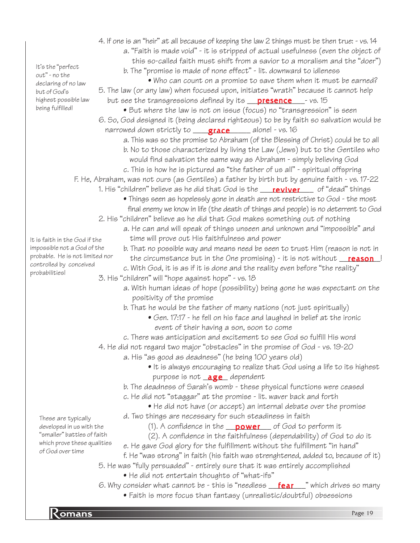| It's the "perfect                                          | a. "Faith is made void" - it is stripped of actual usefulness (even the object of<br>this so-called faith must shift from a savior to a moralism and the "doer") |
|------------------------------------------------------------|------------------------------------------------------------------------------------------------------------------------------------------------------------------|
|                                                            | b. The "promise is made of none effect" - lit. downward to idleness                                                                                              |
| out" - no the                                              | • Who can count on a promise to save them when it must be earned?                                                                                                |
| declaring of no law<br>but of God's                        | 5. The law (or any law) when focused upon, initiates "wrath" because it cannot help                                                                              |
| highest possible law                                       | but see the transgressions defined by its <b>presence</b> __- vs. 15                                                                                             |
| being fulfilled!                                           | • But where the law is not on issue (focus) no "transgression" is seen                                                                                           |
|                                                            | 6. So, God designed it (being declared righteous) to be by faith so salvation would be                                                                           |
|                                                            | narrowed down strictly to <b>grace</b> ____ alone! - vs. 16                                                                                                      |
|                                                            | a. This was so the promise to Abraham (of the Blessing of Christ) could be to all                                                                                |
|                                                            | b. No to those characterized by living the Law (Jews) but to the Gentiles who                                                                                    |
|                                                            | would find salvation the same way as Abraham - simply believing God                                                                                              |
|                                                            | c. This is how he is pictured as "the father of us all" - spiritual offspring                                                                                    |
|                                                            | F. He, Abraham, was not ours (as Gentiles) a father by birth but by genuine faith - vs. 17-22                                                                    |
|                                                            | 1. His "children" believe as he did that God is the <b>reviver</b> of "dead" things                                                                              |
|                                                            | • Things seen as hopelessly gone in death are not restrictive to God - the most                                                                                  |
|                                                            | final enemy we know in life (the death of things and people) is no deterrent to God                                                                              |
|                                                            | 2. His "children" believe as he did that God makes something out of nothing                                                                                      |
|                                                            | a. He can and will speak of things unseen and unknown and "impossible" and                                                                                       |
| It is faith in the God if the                              | time will prove out His faithfulness and power                                                                                                                   |
| impossible not a God of the                                | b. That no possible way and means need be seen to trust Him (reason is not in                                                                                    |
| probable. He is not limited nor<br>controlled by conceived | the circumstance but in the One promising) - it is not without <b>reason</b>                                                                                     |
| probabilities!                                             | c. With God, it is as if it is done and the reality even before "the reality"                                                                                    |
|                                                            | 3. His "children" will "hope against hope" - vs. 18                                                                                                              |
|                                                            | a. With human ideas of hope (possibility) being gone he was expectant on the                                                                                     |
|                                                            | positivity of the promise                                                                                                                                        |
|                                                            | b. That he would be the father of many nations (not just spiritually)                                                                                            |
|                                                            | • Gen. 17:17 - he fell on his face and laughed in belief at the ironic                                                                                           |
|                                                            | event of their having a son, soon to come                                                                                                                        |
|                                                            | c. There was anticipation and excitement to see God so fulfill His word                                                                                          |
|                                                            | 4. He did not regard two major "obstacles" in the promise of God - vs. 19-20<br>a. His "as good as deadness" (he being 100 years old)                            |
|                                                            | • It is always encouraging to realize that God using a life to its highest                                                                                       |
|                                                            | purpose is not <b>age</b> dependent                                                                                                                              |
|                                                            | b. The deadness of Sarah's womb - these physical functions were ceased                                                                                           |
|                                                            | c. He did not "staggar" at the promise - lit. waver back and forth                                                                                               |
|                                                            | • He did not have (or accept) an internal debate over the promise                                                                                                |
| These are typically                                        | d. Two things are necessary for such steadiness in faith                                                                                                         |
| developed in us with the                                   | (1). A confidence in the $\sqrt{p_{\text{over}}}$ of God to perform it                                                                                           |
| "smaller" battles of faith                                 | (2). A confidence in the faithfulness (dependability) of God to do it                                                                                            |
| which prove these qualities                                | e. He gave God glory for the fulfillment without the fulfillment "in hand"                                                                                       |
| of God over time                                           | f. He "was strong" in faith (his faith was strenghtened, added to, because of it)                                                                                |
|                                                            | 5. He was "fully persuaded" - entirely sure that it was entirely accomplished                                                                                    |
|                                                            | • He did not entertain thoughts of "what-ifs"                                                                                                                    |
|                                                            | 6. Why consider what cannot be - this is "needless <b>fear</b> " which drives so many                                                                            |
|                                                            | • Faith is more focus than fantasy (unrealistic/doubtful) obsessions                                                                                             |
|                                                            |                                                                                                                                                                  |
| Komans                                                     | Page 19                                                                                                                                                          |
|                                                            |                                                                                                                                                                  |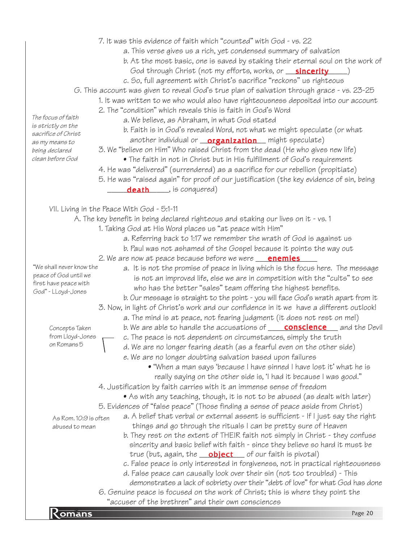- 7. It was this evidence of faith which "counted" with God vs. 22
	- a. This verse gives us a rich, yet condensed summary of salvation
	- b. At the most basic, one is saved by staking their eternal soul on the work of
	- God through Christ (not my efforts, works, or \_\_<mark>\_\_sincerity</mark>\_\_\_\_\_)
	- c. So, full agreement with Christ's sacrifice "reckons" us righteous
- G. This account was given to reveal God's true plan of salvation through grace vs. 23-25
	- 1. It was written to we who would also have righteousness deposited into our account
		- 2. The "condition" which reveals this is faith in God's Word
			- a. We believe, as Abraham, in what God stated
				- b. Faith is in God's revealed Word, not what we might speculate (or what another individual or <u>\_\_**organization** \_\_</u> might speculate)
		- 3. We "believe on Him" Who raised Christ from the dead (He who gives new life)
			- The faith in not in Christ but in His fulfillment of God's requirement
		- 4. He was "delivered" (surrendered) as a sacrifice for our rebellion (propitiate)
		- 5. He was "raised again" for proof of our justification (the key evidence of sin, being death , is conquered)

VII. Living in the Peace With God - 5:1-11

- A. The key benefit in being declared righteous and staking our lives on it vs. 1
	- 1. Taking God at His Word places us "at peace with Him"
		- a. Referring back to 1:17 we remember the wrath of God is against us
		- b. Paul was not ashamed of the Gospel because it points the way out
	- 2. We are now at peace because before we were <u>\_\_\_**enemies** \_\_</u>\_
		- a. It is not the promise of peace in living which is the focus here. The message is not an improved life, else we are in competition with the "cults" to see who has the better "sales" team offering the highest benefits. b. Our message is straight to the point - you will face God's wrath apart from it
	- 3. Now, in light of Christ's work and our confidence in it we have a different outlook! a. The mind is at peace, not fearing judgment (it does not rest on me!)
		- b. We are able to handle the accusations of **\_\_\_\_\_<u>conscience\_\_\_\_</u>** and the Devil
		- c. The peace is not dependent on circumstances, simply the truth
		- d. We are no longer fearing death (as a fearful even on the other side)
		- e. We are no longer doubting salvation based upon failures
			- "When a man says 'because I have sinned I have lost it' what he is really saying on the other side is, 'I had it because I was good."
	- 4. Justification by faith carries with it an immense sense of freedom
		- As with any teaching, though, it is not to be abused (as dealt with later)
	- 5. Evidences of "false peace" (Those finding a sense of peace aside from Christ)

As Rom. 10:9 is often abused to mean

- a. A belief that verbal or external assent is sufficient If I just say the right things and go through the rituals I can be pretty sure of Heaven b. They rest on the extent of THEIR faith not simply in Christ - they confuse sincerity and basic belief with faith - since they believe so hard it must be
- true (but, again, the **\_\_\_\_\_\_\_\_\_\_\_\_\_\_\_\_\_**\_ of our faith is pivotal)
- c. False peace is only interested in forgiveness, not in practical righteousness
- d. False peace can causally look over their sin (not too troubled) This demonstrates a lack of sobriety over their "debt of love" for what God has done 6. Genuine peace is focused on the work of Christ; this is where they point the
- accuser of the trethien and their own consciences<br>Romans Page 20 "accuser of the brethren" and their own consciences

The focus of faith is strictly on the sacrifice of Christ as my means to being declared clean before God

"We shall never know the peace of God until we first have peace with God" - LLoyd-Jones

> Concepts Taken from Lloyd-Jones on Romans 5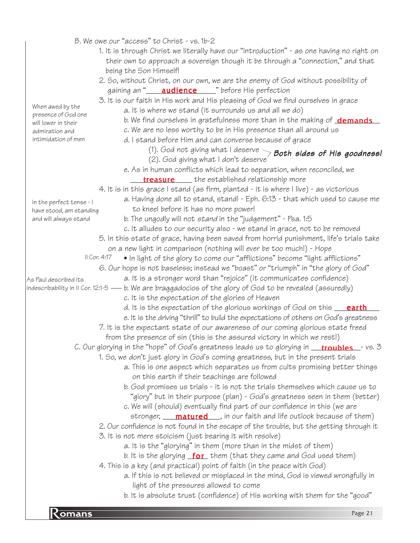|                          | B. We owe our "access" to Christ - vs. 1b-2                                                                                   |
|--------------------------|-------------------------------------------------------------------------------------------------------------------------------|
|                          | 1. It is through Christ we literally have our "introduction" - as one having no right on                                      |
|                          | their own to approach a sovereign though it be through a "connection," and that                                               |
|                          | being the Son Himself!                                                                                                        |
|                          |                                                                                                                               |
|                          | 2. So, without Christ, on our own, we are the enemy of God without possibility of                                             |
|                          | gaining an " <b>____ audience</b> ____ " before His perfection                                                                |
| When awed by the         | 3. It is our faith in His work and His pleasing of God we find ourselves in grace                                             |
| presence of God one      | a. It is where we stand (it surrounds us and all we do)                                                                       |
| will lower in their      | b. We find ourselves in gratefulness more than in the making of <b>demands</b>                                                |
| admiration and           | c. We are no less worthy to be in His presence than all around us                                                             |
| intimidation of men      | d. I stand before Him and can converse because of grace                                                                       |
|                          | (1). God not giving what I deserve $\searrow$ Both sides of His goodness!                                                     |
|                          | (2). God giving what I don't deserve'                                                                                         |
|                          | e. As in human conflicts which lead to separation, when reconciled, we                                                        |
|                          | <b>treasure</b> the established relationship more                                                                             |
|                          | 4. It is in this grace I stand (as firm, planted - it is where I live) - as victorious                                        |
| In the perfect tense - I | a. Having done all to stand, stand! - Eph. 6:13 - that which used to cause me                                                 |
| have stood, am standing  | to kneel before it has no more power!                                                                                         |
| and will always stand    | b. The ungodly will not stand in the "judgement" - Psa. 1:5                                                                   |
|                          | c. It alludes to our security also - we stand in grace, not to be removed                                                     |
|                          | 5. In this state of grace, having been saved from horrid punishment, life's trials take                                       |
|                          | on a new light in comparison (nothing will ever be too much!) - Hope                                                          |
|                          | II Cor. 4:17<br>• In light of the glory to come our "afflictions" become "light afflictions"                                  |
|                          | 6. Our hope is not baseless; instead we "boast" or "triumph" in "the glory of God"                                            |
| As Paul described its    | a. It is a stronger word than "rejoice" (it communicates confidence)                                                          |
|                          | indescribability in II Cor. 12:1-5 — b. We are braggadocios of the glory of God to be revealed (assuredly)                    |
|                          | c. It is the expectation of the glories of Heaven                                                                             |
|                          | d. It is the expectation of the glorious workings of God on this <b>earth</b>                                                 |
|                          | e. It is the driving "thrill" to build the expectations of others on God's greatness                                          |
|                          | 7. It is the expectant state of our awareness of our coming glorious state freed                                              |
|                          | from the presence of sin (this is the assured victory in which we rest!)                                                      |
|                          | C. Our glorying in the "hope" of God's greatness leads us to glorying in <b>troubles</b> - vs. 3                              |
|                          | 1. So, we don't just glory in God's coming greatness, but in the present trials                                               |
|                          | a. This is one aspect which separates us from cults promising better things                                                   |
|                          | on this earth if their teachings are followed                                                                                 |
|                          | b. God promises us trials - it is not the trials themselves which cause us to                                                 |
|                          | "glory" but in their purpose (plan) - God's greatness seen in them (better)                                                   |
|                          | c. We will (should) eventually find part of our confidence in this (we are                                                    |
|                          | stronger, <b>matured</b> , in our faith and life outlook because of them)                                                     |
|                          | 2. Our confidence is not found in the escape of the trouble, but the getting through it                                       |
|                          |                                                                                                                               |
|                          | 3. It is not mere stoicism (just bearing it with resolve)<br>a. It is the "glorying" in them (more than in the midst of them) |
|                          |                                                                                                                               |
|                          | b. It is the glorying $for$ them (that they came and God used them)                                                           |
|                          | 4. This is a key (and practical) point of faith (in the peace with God)                                                       |
|                          | a. If this is not believed or misplaced in the mind, God is viewed wrongfully in                                              |
|                          | light of the pressures allowed to come                                                                                        |
|                          | b. It is absolute trust (confidence) of His working with them for the "good"                                                  |
| Komans                   | Page 21                                                                                                                       |
|                          |                                                                                                                               |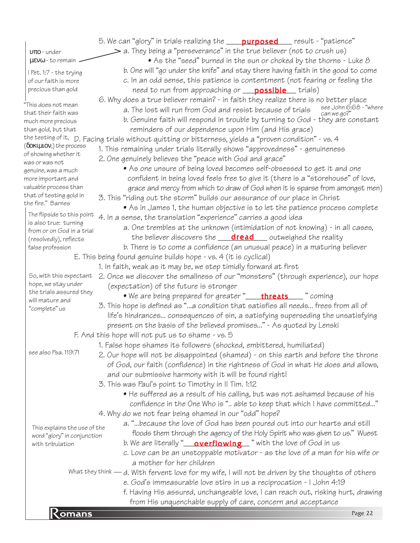|                                                     | 5. We can "glory" in trials realizing the <b>purposed</b> result - "patience"                           |
|-----------------------------------------------------|---------------------------------------------------------------------------------------------------------|
| $0\pi$ o - under                                    | $\geq$ a. They being a "perseverance" in the true believer (not to crush us)                            |
| $\mu$ <i>EV<math>\omega</math> - to remain</i>      | • As the "seed" burned in the sun or choked by the thorns - Luke 8                                      |
| I Pet. 1:7 - the trying                             | b. One will "go under the knife" and stay there having faith in the good to come                        |
| of our faith is more                                | c. In an odd sense, this patience is contentment (not fearing or feeling the                            |
| precious than gold                                  | need to run from approaching or <b>possible</b> trials)                                                 |
|                                                     | 6. Why does a true believer remain? - in faith they realize there is no better place                    |
| "This does not mean                                 | see John 6:68 - "where<br>a. The lost will run from God and resist because of trials                    |
| that their faith was<br>much more precious          | can we go?"<br>b. Genuine faith will respond in trouble by turning to God - they are constant           |
| than gold, but that                                 | reminders of our dependence upon Him (and His grace)                                                    |
|                                                     | the testing of it, D. Facing trials without quitting or bitterness, yields a "proven condition" - vs. 4 |
| $(\delta$ OKI $\mu$ IOV,) the process               | 1. This remaining under trials literally shows "approvedness" - genuineness                             |
| of showing whether it                               |                                                                                                         |
| was or was not                                      | 2. One genuinely believes the "peace with God and grace"                                                |
| genuine, was a much                                 | • As one unsure of being loved becomes self-obsessed to get it and one                                  |
| more important and                                  | confident in being loved feels free to give it (there is a "storehouse" of love,                        |
| valuable process than<br>that of testing gold in    | grace and mercy from which to draw of God when it is sparse from amongst men)                           |
| the fire." Barnes                                   | 3. This "riding out the storm" builds our assurance of our place in Christ                              |
|                                                     | • As in James 1, the human objective is to let the patience process complete                            |
| The flipside to this point<br>is also true: turning | 4. In a sense, the translation "experience" carries a good idea                                         |
| from or on God in a trial                           | a. One trembles at the unknown (intimidation of not knowing) - in all cases,                            |
| (resolvedly), reflects                              | the believer discovers the <b>dread</b> outweighed the reality                                          |
| false profession                                    | b. There is to come a confidence (an unusual peace) in a maturing believer                              |
|                                                     | $E$ . This being found genuine builds hope $-$ vs. 4 (it is cyclical)                                   |
|                                                     | 1. In faith, weak as it may be, we step timidly forward at first                                        |
| So, with this expectant                             | 2. Once we discover the smallness of our "monsters" (through experience), our hope                      |
| hope, we stay under                                 | (expectation) of the future is stronger                                                                 |
| the trials assured they<br>will mature and          | . We are being prepared for greater " <b>____threats</b> ____ " coming                                  |
| "complete" us                                       | 3. This hope is defined as "a condition that satisfies all needs frees from all of                      |
|                                                     | life's hindrances consequences of sin, a satisfying superseding the unsatisfying                        |
|                                                     | present on the basis of the believed promises" - As quoted by Lenski                                    |
|                                                     | F. And this hope will not put us to shame - vs. 5                                                       |
|                                                     | 1. False hope shames its followers (shocked, embittered, humiliated)                                    |
| see also Psa. 119:71                                | 2. Our hope will not be disappointed (shamed) - on this earth and before the throne                     |
|                                                     | of God, our faith (confidence) in the rightness of God in what He does and allows,                      |
|                                                     | and our submissive harmony with it will be found right!                                                 |
|                                                     | 3. This was Paul's point to Timothy in II Tim. 1:12                                                     |
|                                                     | • He suffered as a result of his calling, but was not ashamed because of his                            |
|                                                     | confidence in the One Who is " able to keep that which I have committed"                                |
|                                                     | 4. Why do we not fear being shamed in our "odd" hope?                                                   |
|                                                     | a. "because the love of God has been poured out into our hearts and still                               |
| This explains the use of the                        | floods them through the agency of the Holy Spirit who was given to us." Wuest                           |
| word "glory" in conjunction<br>with tribulation     |                                                                                                         |
|                                                     | c. Love can be an unstoppable motivator - as the love of a man for his wife or                          |
|                                                     | a mother for her children                                                                               |
|                                                     | What they think — d. With fervent love for my wife, I will not be driven by the thoughts of others      |
|                                                     | e. God's immeasurable love stirs in us a reciprocation - I John 4:19                                    |
|                                                     | f. Having His assured, unchangeable love, I can reach out, risking hurt, drawing                        |
|                                                     | from His unquenchable supply of care, concern and acceptance                                            |
|                                                     | Page 22                                                                                                 |
| $\overline{\mathsf{Comans}}$                        |                                                                                                         |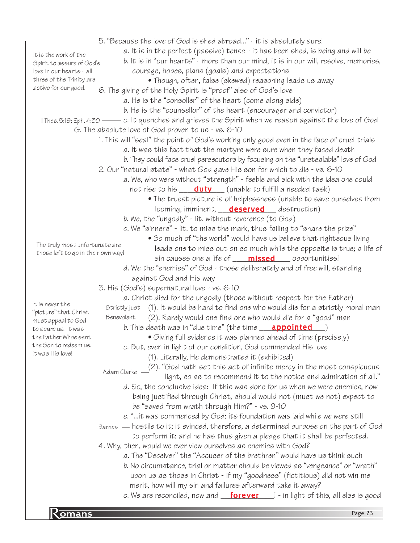particular company of the company of the company of the company of the company of the company of the company of the company of the company of the company of the company of the company of the company of the company of the c 5. "Because the love of God is shed abroad..." - it is absolutely sure! a. It is in the perfect (passive) tense - it has been shed, is being and will be b. It is in "our hearts" - more than our mind, it is in our will, resolve, memories, courage, hopes, plans (goals) and expectations • Though, often, false (skewed) reasoning leads us away 6. The giving of the Holy Spirit is "proof" also of God's love a. He is the "consoller" of the heart (come along side) b. He is the "counsellor" of the heart (encourager and convictor) I Thes. 5:19; Eph. 4:30 —— c. It quenches and grieves the Spirit when we reason against the love of God G. The absolute love of God proven to us - vs. 6-10 1. This will "seal" the point of God's working only good even in the face of cruel trials a. It was this fact that the martyrs were sure when they faced death b. They could face cruel persecutors by focusing on the "unstealable" love of God 2. Our "natural state" - what God gave His son for which to die - vs. 6-10 a. We, who were without "strength" - feeble and sick with the idea one could not rise to his \_\_\_\_<mark>duty</mark> \_\_\_ (unable to fulfill a needed task) • The truest picture is of helplessness (unable to save ourselves from looming, imminent, **deserved** destruction) b. We, the "ungodly" - lit. without reverence (to God) c. We "sinners" - lit. to miss the mark, thus failing to "share the prize" • So much of "the world" would have us believe that righteous living leads one to miss out on so much while the opposite is true; a life of sin causes one a life of **\_\_\_\_\_\_\_\_\_\_\_\_\_\_\_\_\_**\_ opportunities! d. We the "enemies" of God - those deliberately and of free will, standing against God and His way 3. His (God's) supernatural love - vs. 6-10 a. Christ died for the ungodly (those without respect for the Father) Strictly just – (1). It would be hard to find one who would die for a strictly moral man Benevolent — (2). Rarely would one find one who would die for a "good" man b. This death was in "due time" (the time \_\_\_\_<mark>appointed</mark>\_\_\_\_) • Giving full evidence it was planned ahead of time (precisely) c. But, even in light of our condition, God commended His love (1). Literally, He demonstrated it (exhibited) (2). "God hath set this act of infinite mercy in the most conspicuous light, so as to recommend it to the notice and admiration of all." d. So, the conclusive idea: If this was done for us when we were enemies, now being justified through Christ, should would not (must we not) expect to be "saved from wrath through Him?" - vs. 9-10 e. "...it was commenced by God; its foundation was laid while we were still Barnes — hostile to it; it evinced, therefore, a determined purpose on the part of God to perform it; and he has thus given a pledge that it shall be perfected. 4. Why, then, would we ever view ourselves as enemies with God? a. The "Deceiver" the "Accuser of the brethren" would have us think such b. No circumstance, trial or matter should be viewed as "vengeance" or "wrath" upon us as those in Christ - if my "goodness" (fictitious) did not win me merit, how will my sin and failures afterward take it away? c. We are reconciled, now and \_\_\_<mark>forever</mark> \_\_\_! - in light of this, all else is good It is the work of the Spirit to assure of God's love in our hearts - all three of the Trinity are active for our good. The truly most unfortunate are those left to go in their own way! Adam Clarke It is never the "picture" that Christ must appeal to God to spare us. It was the Father Whoe sent the Son to redeem us. It was His love!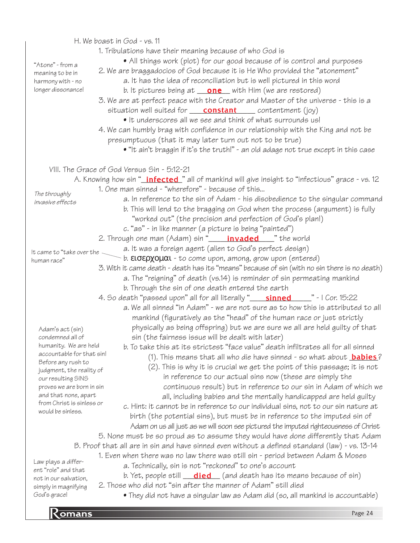**Romans** Page 24 H. We boast in God - vs. 11 1. Tribulations have their meaning because of who God is • All things work (plot) for our good because of is control and purposes 2. We are braggadocios of God because it is He Who provided the "atonement" a. It has the idea of reconciliation but is well pictured in this word b. It pictures being at **\_\_\_\_\_\_\_\_\_\_\_** with Him (we are restored) 3. We are at perfect peace with the Creator and Master of the universe - this is a situation well suited for **\_\_\_\_\_\_\_\_\_\_\_\_\_\_\_\_\_\_\_\_\_**\_\_ contentment (joy) • It underscores all we see and think of what surrounds us! 4. We can humbly brag with confidence in our relationship with the King and not be presumptuous (that it may later turn out not to be true) • "It ain't braggin if it's the truth!" - an old adage not true except in this case VIII. The Grace of God Versus Sin - 5:12-21 A. Knowing how sin "<u>\_**infected\_**</u>" all of mankind will give insight to "infectious" grace - vs. 12 1. One man sinned - "wherefore" - because of this... a. In reference to the sin of Adam - his disobedience to the singular command b. This will lend to the bragging on God when the process (argument) is fully "worked out" (the precision and perfection of God's plan!) c. "as" - in like manner (a picture is being "painted") 2. Through one man (Adam) sin "\_\_\_\_\_<mark>invaded</mark>\_\_\_\_" the world a. It was a foreign agent (alien to God's perfect design)  $\sim$  b. εισερχομαι - to come upon, among, grow upon (entered) 3. With it came death - death has its "means" because of sin (with no sin there is no death) a. The "reigning" of death (vs.14) is reminder of sin permeating mankind b. Through the sin of one death entered the earth 4. So death "passed upon" all for all literally "\_\_\_\_\_\_\_\_\_\_\_\_\_\_\_\_\_\_\_\_\_\_\_\_" - I Cor. 15:22 a. We all sinned "in Adam" - we are not sure as to how this is attributed to all mankind (figuratively as the "head" of the human race or just strictly physically as being offspring) but we are sure we all are held guilty of that sin (the fairness issue will be dealt with later) b. To take this at its strictest "face value" death infiltrates all for all sinned (1). This means that all who die have sinned - so what about <mark>babies</mark>? (2). This is why it is crucial we get the point of this passage; it is not in reference to our actual sins now (these are simply the continuous result) but in reference to our sin in Adam of which we all, including babies and the mentally handicapped are held guilty c. Hint: it cannot be in reference to our individual sins, not to our sin nature at birth (the potential sins), but must be in reference to the imputed sin of Adam on us all just as we will soon see pictured the imputed righteousness of Christ 5. None must be so proud as to assume they would have done differently that Adam B. Proof that all are in sin and have sinned even without a defined standard (law) - vs. 13-14 1. Even when there was no law there was still sin - period between Adam & Moses a. Technically, sin is not "reckoned" to one's account b. Yet, people still \_\_\_<mark>died</mark> \_\_ (and death has its means because of sin) 2. Those who did not "sin after the manner of Adam" still died • They did not have a singular law as Adam did (so, all mankind is accountable) "Atone" - from a meaning to be in harmony with - no longer dissonance! The throughly invasive effects It came to "take over the human race" Adam's act (sin) condemned all of humanity. We are held accountable for that sin! Before any rush to judgment, the reality of our resulting SINS proves we are born in sin and that none, apart from Christ is sinless or would be sinless. Law plays a different "role" and that not in our salvation, simply in magnifying God's grace!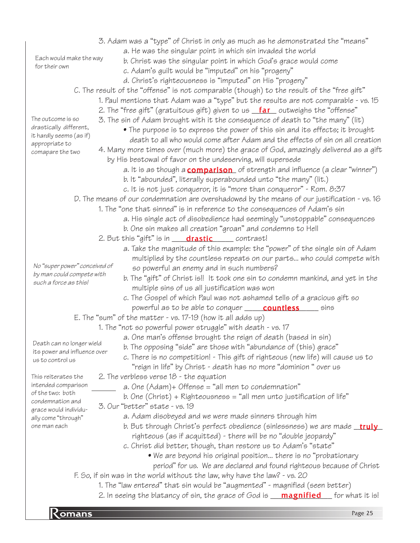|                                                   | 3. Adam was a "type" of Christ in only as much as he demonstrated the "means"                |
|---------------------------------------------------|----------------------------------------------------------------------------------------------|
|                                                   | a. He was the singular point in which sin invaded the world                                  |
| Each would make the way<br>for their own          | b. Christ was the singular point in which God's grace would come                             |
|                                                   | c. Adam's guilt would be "imputed" on his "progeny"                                          |
|                                                   | d. Christ's righteousness is "imputed" on His "progeny"                                      |
|                                                   | C. The result of the "offense" is not comparable (though) to the result of the "free gift"   |
|                                                   | 1. Paul mentions that Adam was a "type" but the results are not comparable - vs. 15          |
|                                                   | 2. The "free gift" (gratuitous gift) given to us <b>far</b> outweighs the "offense"          |
| The outcome is so                                 | 3. The sin of Adam brought with it the consequence of death to "the many" (lit)              |
| drastically different,<br>it hardly seems (as if) | • The purpose is to express the power of this sin and its effects; it brought                |
| appropriate to                                    | death to all who would come after Adam and the effects of sin on all creation                |
| comapare the two                                  | 4. Many more times over (much more) the grace of God, amazingly delivered as a gift          |
|                                                   | by His bestowal of favor on the undeserving, will supersede                                  |
|                                                   | a. It is as though a <b>comparison</b> of strength and influence (a clear "winner")          |
|                                                   | b. It "abounded", literally superabounded unto "the many" (lit.)                             |
|                                                   | c. It is not just conqueror, it is "more than conqueror" - Rom. 8:37                         |
|                                                   | D. The means of our condemnation are overshadowed by the means of our justification - vs. 16 |
|                                                   | 1. The "one that sinned" is in reference to the consequences of Adam's sin                   |
|                                                   | a. His single act of disobedience had seemingly "unstoppable" consequences                   |
|                                                   | b. One sin makes all creation "groan" and condemns to Hell                                   |
|                                                   | 2. But this "gift" is in <b>drastic</b> contrast!                                            |
|                                                   | a. Take the magnitude of this example: the "power" of the single sin of Adam                 |
|                                                   | multiplied by the countless repeats on our parts who could compete with                      |
| No "super power" conceived of                     | so powerful an enemy and in such numbers?                                                    |
| by man could compete with                         | b. The "gift" of Christ is!! It took one sin to condemn mankind, and yet in the              |
| such a force as this!                             | multiple sins of us all justification was won                                                |
|                                                   | c. The Gospel of which Paul was not ashamed tells of a gracious gift so                      |
|                                                   | powerful as to be able to conquer <b>_____ countless</b> _____ sins                          |
|                                                   | E. The "sum" of the matter - vs. $17-19$ (how it all adds up)                                |
|                                                   | 1. The "not so powerful power struggle" with death - vs. 17                                  |
|                                                   | a. One man's offense brought the reign of death (based in sin)                               |
| Death can no longer wield                         | b. The opposing "side" are those with "abundance of (this) grace"                            |
| its power and influence over                      | c. There is no competition! - This gift of righteous (new life) will cause us to             |
| us to control us                                  | "reign in life" by Christ - death has no more "dominion " over us                            |
| This reiterates the                               | 2. The verbless verse $18$ - the equation                                                    |
| intended comparison                               | a. One $(Adam)$ + Offense = "all men to condemnation"                                        |
| of the two: both                                  | b. One (Christ) + Righteousness = "all men unto justification of life"                       |
| condemnation and                                  | 3. Our "better" state - vs. 19                                                               |
| grace would individu-<br>ally come "through"      | a. Adam disobeyed and we were made sinners through him                                       |
| one man each                                      | b. But through Christ's perfect obedience (sinlessness) we are made <b>_truly</b>            |
|                                                   | righteous (as if acquitted) - there will be no "double jeopardy"                             |
|                                                   | c. Christ did better, though, than restore us to Adam's "state"                              |
|                                                   | • We are beyond his original position there is no "probationary                              |
|                                                   | period" for us. We are declared and found righteous because of Christ                        |
|                                                   | F. So, if sin was in the world without the law, why have the law? - vs. 20                   |
|                                                   | 1. The "law entered" that sin would be "augmented" - magnified (seen better)                 |
|                                                   | 2. In seeing the blatancy of sin, the grace of God is <b>magnified</b> for what it is!       |
|                                                   |                                                                                              |
| Komans                                            | Page 25                                                                                      |
|                                                   |                                                                                              |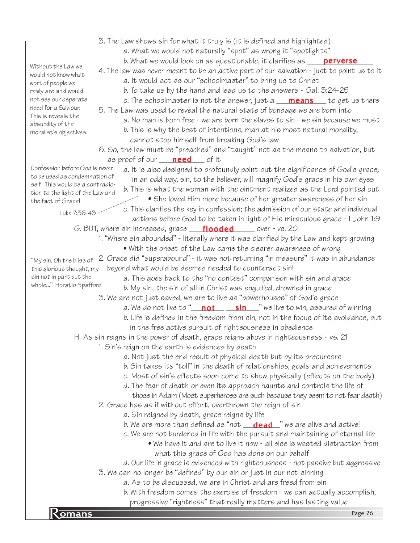- 3. The Law shows sin for what it truly is (it is defined and highlighted)
	- a. What we would not naturally "spot" as wrong it "spotlights"
	- b. What we would look on as questionable, it clarifies as \_\_\_\_\_<mark>perverse</mark>\_\_\_\_
- 4. The law was never meant to be an active part of our salvation just to point us to it a. It would act as our "schoolmaster" to bring us to Christ
	- b. To take us by the hand and lead us to the answers Gal. 3:24-25
	- c. The schoolmaster is not the answer, just a **\_\_\_\_\_\_\_\_\_\_\_\_\_\_\_\_** to get us there
- 5. The Law was used to reveal the natural state of bondage we are born into a. No man is born free - we are born the slaves to sin - we sin because we must
	- b. This is why the best of intentions, man at his most natural morality, cannot stop himself from breaking God's law
- 6. So, the law must be "preached" and "taught" not as the means to salvation, but as proof of our <u>\_\_\_\_**need**\_\_\_</u>\_ of it
- a. It is also designed to profoundly point out the significance of God's grace; in an odd way, sin, to the believer, will magnify God's grace in his own eyes Confession before God is never to be used as condemnation of self. This would be a contradic
	- b. This is what the woman with the ointment realized as the Lord pointed out
	- She loved Him more because of her greater awareness of her sin c. This clarifies the key in confession; the admission of our state and individual actions before God to be taken in light of His miraculous grace - I John 1:9
	- G. BUT, where sin increased, grace **\_\_\_\_\_flooded** \_\_\_\_\_\_ over vs. 20
		- 1. "Where sin abounded" literally where it was clarified by the Law and kept growing
			- With the onset of the Law came the clearer awareness of wrong
		- 2. Grace did "superabound" it was not returning "in measure" it was in abundance beyond what would be deemed needed to counteract sin!
			- a. This goes back to the "no contest" comparison with sin and grace b. My sin, the sin of all in Christ was engulfed, drowned in grace
			- 3. We are not just saved, we are to live as "powerhouses" of God's grace
				- a. We do not live to "\_\_\_<mark>not\_\_\_\_\_\_\_sin\_\_\_</mark>" we live to win, assured of winning
				- b. Life is defined in the freedom from sin, not in the focus of its avoidance, but in the free active pursuit of righteousness in obedience
	- H. As sin reigns in the power of death, grace reigns above in righteousness vs. 21
		- 1. Sin's reign on the earth is evidenced by death
			- a. Not just the end result of physical death but by its precursors
			- b. Sin takes its "toll" in the death of relationships, goals and achievements
			- c. Most of sin's effects soon come to show physically (effects on the body)
			- d. The fear of death or even its approach haunts and controls the life of
			- those in Adam (Most superheroes are such because they seem to not fear death) 2. Grace has as if without effort, overthrown the reign of sin
				- a. Sin reigned by death, grace reigns by life
				- b. We are more than defined as "not \_\_\_**dead**\_\_" we are alive and active!
				- c. We are not burdened in life with the pursuit and maintaining of eternal life
					- We have it and are to live it now all else is wasted distraction from what this grace of God has done on our behalf
				- d. Our life in grace is evidenced with righteousness not passive but aggressive
			- 3. We can no longer be "defined" by our sin or just in our not sinning
				- a. As to be discussed, we are in Christ and are freed from sin
	- progressive "rightness" that really matters and has lasting value<br>Page 26 b. With freedom comes the exercise of freedom - we can actually accomplish,

would not know what sort of people we realy are and would not see our deperate need for a Saviour. This is reveals the absurdity of the moralist's objectives.

Without the Law we

"My sin, Oh the bliss of this glorious thought, my sin not in part but the whole..." Horatio Spafford

tion to the light of the Law and

Luke 7:36-43

the fact of Grace!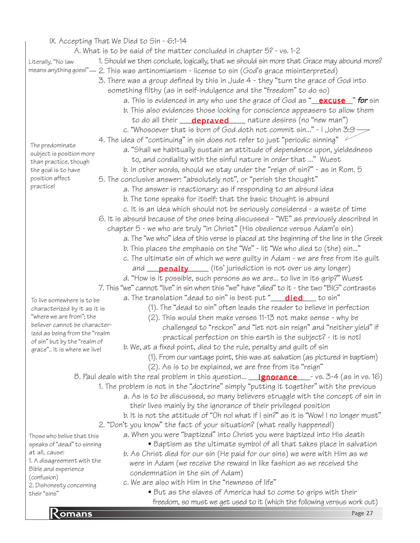## IX. Accepting That We Died to Sin - 6:1-14

|                                                   | $\frac{1}{100}$ . The property of the property of $\frac{1}{100}$<br>A. What is to be said of the matter concluded in chapter 5? - vs. 1-2 |
|---------------------------------------------------|--------------------------------------------------------------------------------------------------------------------------------------------|
|                                                   |                                                                                                                                            |
| Literally, "No law                                | 1. Should we then conclude, logically, that we should sin more that Grace may abound more?                                                 |
| means anything goes!"-                            | 2. This was antinomianism - license to sin (God's grace misinterpreted)                                                                    |
|                                                   | 3. There was a group defined by this in Jude 4 - they "turn the grace of God into                                                          |
|                                                   | something filthy (as in self-indulgence and the "freedom" to do so)                                                                        |
|                                                   | a. This is evidenced in any who use the grace of God as " <b>excuse</b> " for sin                                                          |
|                                                   | b. This also evidences those looking for conscience appeasers to allow them                                                                |
|                                                   | to do all their <b>depraved</b> nature desires (no "new man")                                                                              |
|                                                   | c. "Whosoever that is born of God doth not commit sin" - I John 3:9 $\rightarrow$                                                          |
|                                                   | 4. The idea of "continuing" in sin does not refer to just "periodic sinning" $\sim$                                                        |
| The predominate                                   | a. "Shall we habitually sustain an attitude of dependence upon, yieldedness                                                                |
| subject is position more<br>than practice, though | to, and cordiality with the sinful nature in order that " Wuest                                                                            |
| the goal is to have                               | b. In other words, should we stay under the "reign of sin?" - as in Rom. 5                                                                 |
| position affect                                   | 5. The conclusive answer: "absolutely not", or "perish the thought"                                                                        |
| practice!                                         | a. The answer is reactionary: as if responding to an absurd idea                                                                           |
|                                                   |                                                                                                                                            |
|                                                   | b. The tone speaks for itself: that the basic thought is absurd                                                                            |
|                                                   | c. It is an idea which should not be seriously considered - a waste of time                                                                |
|                                                   | 6. It is absurd because of the ones being discussed - "WE" as previously described in                                                      |
|                                                   | chapter 5 - we who are truly "in Christ" (His obedience versus Adam's sin)                                                                 |
|                                                   | a. The "we who" idea of this verse is placed at the beginning of the line in the Greek                                                     |
|                                                   | b. This places the emphasis on the "We" - lit "We who died to (the) sin"                                                                   |
|                                                   | c. The ultimate sin of which we were guilty in Adam - we are free from its guilt                                                           |
|                                                   | and <b>penalty</b> (its' jurisdiction is not over us any longer)                                                                           |
|                                                   | d. "How is it possible, such persons as we are to live in its grip?" Wuest                                                                 |
|                                                   | 7. This "we" cannot "live" in sin when this "we" have "died" to it - the two "BIG" contrasts                                               |
| To live somewhere is to be                        | a. The translation "dead to sin" is best put "____________________ to sin"                                                                 |
| characterized by it as it is                      | (1). The "dead to sin" often leads the reader to believe in perfection                                                                     |
| "where we are from"; the                          | (2). This would then make verses 11-13 not make sense - why be                                                                             |
| believer cannot be character-                     | challenged to "reckon" and "let not sin reign" and "neither yield" if                                                                      |
| ized as being from the "realm                     | practical perfection on this earth is the subject? - it is not!                                                                            |
| of sin" but by the "realm of                      | b. We, at a fixed point, died to the rule, penalty and guilt of sin                                                                        |
| grace" it is where we live!                       |                                                                                                                                            |
|                                                   | (1). From our vantage point, this was at salvation (as pictured in baptism)                                                                |
|                                                   | (2). As is to be explained, we are free from its "reign"                                                                                   |
|                                                   | B. Paul deals with the real problem in this question <b>ignorance</b> $\blacksquare$ - vs. 3-4 (as in vs. 16)                              |
|                                                   | 1. The problem is not in the "doctrine" simply "putting it together" with the previous                                                     |
|                                                   | a. As is to be discussed, so many believers struggle with the concept of sin in                                                            |
|                                                   | their lives mainly by the ignorance of their privileged position                                                                           |
|                                                   | b. It is not the attitude of "Oh no! what if I sin?" as it is "Wow! I no longer must"                                                      |
|                                                   | 2. "Don't you know" the fact of your situation? (what really happened!)                                                                    |
| Those who belive that this                        | a. When you were "baptized" into Christ you were baptized into His death                                                                   |
| speaks of "dead" to sinning                       | • Baptism as the ultimate symbol of all that takes place in salvation                                                                      |
| at all, cause:                                    | b. As Christ died for our sin (He paid for our sins) we were with Him as we                                                                |
| 1. A disagreement with the                        | were in Adam (we receive the reward in like fashion as we received the                                                                     |
| Bible and experience<br>(confusion)               | condemnation in the sin of Adam)                                                                                                           |
| 2. Dishonesty concerning                          | c. We are also with Him in the "newness of life"                                                                                           |
| their"sins"                                       | • But as the slaves of America had to come to grips with their                                                                             |
|                                                   | freedom, so must we get used to it (which the following versus work out)                                                                   |

**R** omans Page 27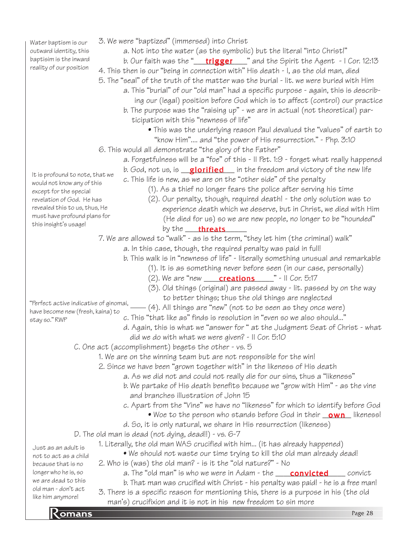Water baptism is our outward identity, this baptisim is the inward reality of our position

It is profound to note, that we would not know any of this except for the special revelation of God. He has revealed this to us, thus, He must have profound plans for

this insight's usage!

- 3. We were "baptized" (immersed) into Christ
	- a. Not into the water (as the symbolic) but the literal "into Christ!"
	- b. Our faith was the "\_\_\_\_<mark>trigger</mark>\_\_\_\_" and the Spirit the Agent I Cor. 12:13
- 4. This then is our "being in connection with" His death I, as the old man, died
- 5. The "seal" of the truth of the matter was the burial lit. we were buried with Him
	- a. This "burial" of our "old man" had a specific purpose again, this is describ-
	- ing our (legal) position before God which is to affect (control) our practice
	- b. The purpose was the "raising up" we are in actual (not theoretical) par ticipation with this "newness of life"
		- This was the underlying reason Paul devalued the "values" of earth to "know Him".... and "the power of His resurrection." - Php. 3:10
- 6. This would all demonstrate "the glory of the Father"
	- a. Forgetfulness will be a "foe" of this II Pet. 1:9 forget what really happened
		- b. God, not us, is we suiffied win the freedom and victory of the new life
		- c. This life is new, as we are on the "other side" of the penalty
			- (1). As a thief no longer fears the police after serving his time
			- (2). Our penalty, though, required death! the only solution was to experience death which we deserve, but in Christ, we died with Him (He died for us) so we are new people, no longer to be "hounded" by the <u>threats</u>
- 7. We are allowed to "walk" as is the term, "they let him (the criminal) walk"
	- a. In this case, though, the required penalty was paid in full!
		- b. This walk is in "newness of life" literally something unusual and remarkable
			- (1). It is as something never before seen (in our case, personally)
			- (2). We are "new  $\frac{\text{creations}}{\text{creations}}$  " II Cor. 5:17
			- (3). Old things (original) are passed away lit. passed by on the way to better things; thus the old things are neglected
- "Perfect active indicative of ginomai, \_\_\_\_ (4). All things are "new" (not to be seen as they once were) have become new (fresh, kaina) to
- stay so." RWP
- c. This "that like as" finds is resolution in "even so we also should..."
- d. Again, this is what we "answer for " at the Judgment Seat of Christ what did we do with what we were given? - II Cor. 5:10
- C. One act (accomplishment) begets the other vs. 5
	- 1. We are on the winning team but are not responsible for the win!
	- 2. Since we have been "grown together with" in the likeness of His death
		- a. As we did not and could not really die for our sins, thus a "likeness"
		- b. We partake of His death benefits because we "grow with Him" as the vine and branches illustration of John 15
		- c. Apart from the "Vine" we have no "likeness" for which to identify before God
			- $\bullet$  Woe to the person who stands before God in their  $\_\text{own\_\,}$  likeness!
		- d. So, it is only natural, we share in His resurrection (likeness)
- D. The old man is dead (not dying, dead!!) vs. 6-7

1. Literally, the old man WAS crucified with him... (it has already happened)

not to act as a child because that is no longer who he is, so we are dead to this old man - don't act like him anymore!

Just as an adult is

- We should not waste our time trying to kill the old man already dead! 2. Who is (was) the old man? - is it the "old nature?" - No
	- a. The "old man" is who we were in Adam the \_\_\_\_\_**convicted**\_\_\_\_\_\_ convict
- b. That man was crucified with Christ his penalty was paid! he is a free man! 3. There is a specific reason for mentioning this, there is a purpose in his (the old
- man's) cructifixion and it is not in his new freedom to sin more range 28<br>Page 28 man's) crucifixion and it is not in his new freedom to sin more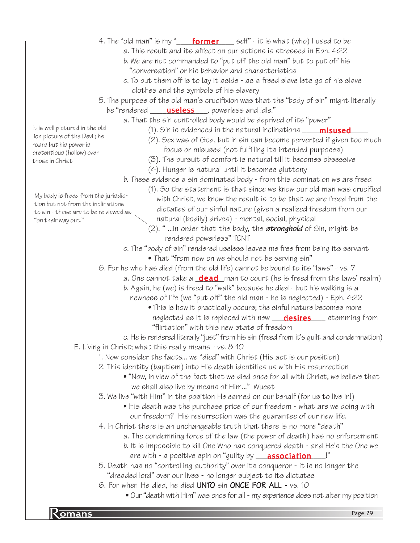- 4. The "old man" is my "\_\_\_\_\_<mark>former</mark>\_\_\_\_\_ self" it is what (who) I used to be
	- a. This result and its affect on our actions is stressed in Eph. 4:22
	- b. We are not commanded to "put off the old man" but to put off his "conversation" or his behavior and characteristics
	- c. To put them off is to lay it aside as a freed slave lets go of his slave clothes and the symbols of his slavery
- 5. The purpose of the old man's crucifixion was that the "body of sin" might literally
- be "rendered <u>sauseless</u> bowerless and idle."
	- a. That the sin controlled body would be deprived of its "power"
		- (1). Sin is evidenced in the natural inclinations \_\_\_\_\_**misused\_\_\_\_** 
			- (2). Sex was of God, but in sin can become perverted if given too much focus or misused (not fulfilling its intended purposes)
			- (3). The pursuit of comfort is natural till it becomes obsessive
			- (4). Hunger is natural until it becomes gluttony
	- b. These evidence a sin dominated body from this domination we are freed
		- (1). So the statement is that since we know our old man was crucified with Christ, we know the result is to be that we are freed from the dictates of our sinful nature (given a realized freedom from our natural (bodily) drives) - mental, social, physical
		- $(2)$ . " ...in order that the body, the **stronghold** of Sin, might be rendered powerless" TCNT
	- c. The "body of sin" rendered useless leaves me free from being its servant • That "from now on we should not be serving sin"
- 6. For he who has died (from the old life) cannot be bound to its "laws" vs. 7
	- a. One cannot take a **\_dead**\_man to court (he is freed from the laws' realm)
	- b. Again, he (we) is freed to "walk" because he died but his walking is a newness of life (we "put off" the old man - he is neglected) - Eph. 4:22
		- This is how it practically occurs; the sinful nature becomes more neglected as it is replaced with new \_\_\_\_<mark>desires</mark> \_\_\_\_ stemming from "flirtation" with this new state of freedom
- c. He is rendered literally "just" from his sin (freed from it's guilt and condemnation)
- E. Living in Christ; what this really means vs. 8-10
	- 1. Now consider the facts... we "died" with Christ (His act is our position)
	- 2. This identity (baptism) into His death identifies us with His resurrection
		- "Now, in view of the fact that we died once for all with Christ, we believe that we shall also live by means of Him..." Wuest
	- 3. We live "with Him" in the position He earned on our behalf (for us to live in!)
		- His death was the purchase price of our freedom what are we doing with our freedom? His resurrection was the guarantee of our new life.
	- 4. In Christ there is an unchangeable truth that there is no more "death"
		- a. The condemning force of the law (the power of death) has no enforcement
		- b. It is impossible to kill One Who has conquered death and He's the One we
			- are with a positive spin on "guilty by \_\_\_\_<mark>association</mark>\_\_\_\_!"
	- 5. Death has no "controlling authority" over its conqueror it is no longer the "dreaded lord" over our lives - no longer subject to its dictates
	- 6. For when He died, he died UNTO sin ONCE FOR ALL vs. 10
		- Our "death with Him" was once for all my experience does not alter my position

It is well pictured in the old lion picture of the Devil; he roars but his power is pretentious (hollow) over those in Christ

My body is freed from the jurisdiction but not from the inclinations to sin - these are to be re viewed as

"on their way out."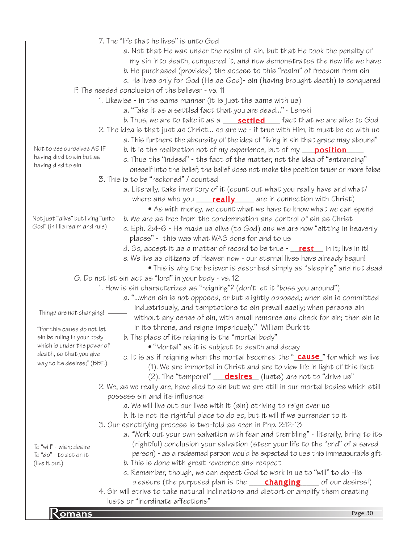|                                                    | 7. The "life that he lives" is unto God                                                         |  |
|----------------------------------------------------|-------------------------------------------------------------------------------------------------|--|
|                                                    | a. Not that He was under the realm of sin, but that He took the penalty of                      |  |
|                                                    | my sin into death, conquered it, and now demonstrates the new life we have                      |  |
|                                                    | b. He purchased (provided) the access to this "realm" of freedom from sin                       |  |
|                                                    | c. He lives only for God (He as God)- sin (having brought death) is conquered                   |  |
|                                                    | F. The needed conclusion of the believer - vs. 11                                               |  |
|                                                    | 1. Likewise - in the same manner (it is just the same with us)                                  |  |
|                                                    | a. "Take it as a settled fact that you are dead" - Lenski                                       |  |
|                                                    | b. Thus, we are to take it as a ____ <b>settled</b> ___ fact that we are alive to God           |  |
|                                                    |                                                                                                 |  |
|                                                    | 2. The idea is that just as Christ so are we - if true with Him, it must be so with us          |  |
| Not to see ourselves AS IF                         | a. This furthers the absurdity of the idea of "living in sin that grace may abound"             |  |
| having died to sin but as                          | b. It is the realization not of my experience, but of my ___ position_                          |  |
| having died to sin                                 | c. Thus the "indeed" - the fact of the matter, not the idea of "entrancing"                     |  |
|                                                    | oneself into the belief; the belief does not make the position truer or more false              |  |
|                                                    | 3. This is to be "reckoned" / counted                                                           |  |
|                                                    | a. Literally, take inventory of it (count out what you really have and what/                    |  |
|                                                    | where and who you _____ really _____ are in connection with Christ)                             |  |
|                                                    | • As with money, we count what we have to know what we can spend                                |  |
| Not just "alive" but living "unto                  | b. We are as free from the condemnation and control of sin as Christ                            |  |
| God" (in His realm and rule)                       | c. Eph. 2:4-6 - He made us alive (to God) and we are now "sitting in heavenly                   |  |
|                                                    | places" - this was what WAS done for and to us                                                  |  |
|                                                    | d. So, accept it as a matter of record to be true $\frac{r}{1 - r}$ in it; live in it!          |  |
|                                                    | e. We live as citizens of Heaven now - our eternal lives have already begun!                    |  |
|                                                    | • This is why the believer is described simply as "sleeping" and not dead                       |  |
|                                                    | G. Do not let sin act as "lord" in your body - vs. 12                                           |  |
|                                                    | 1. How is sin characterized as "reigning"? (don't let it "boss you around")                     |  |
|                                                    | a. "when sin is not opposed, or but slightly opposed,; when sin is committed                    |  |
|                                                    | industriously, and temptations to sin prevail easily; when persons sin                          |  |
| Things are not changing!                           | without any sense of sin, with small remorse and check for sin; then sin is                     |  |
| "For this cause do not let                         | in its throne, and reigns imperiously." William Burkitt                                         |  |
| sin be ruling in your body                         | b. The place of its reigning is the "mortal body"                                               |  |
| which is under the power of                        | • "Mortal" as it is subject to death and decay                                                  |  |
| death, so that you give                            | c. It is as if reigning when the mortal becomes the " $\frac{cause}{cause}$ " for which we live |  |
| way to its desires;" (BBE)                         | (1). We are immortal in Christ and are to view life in light of this fact                       |  |
|                                                    | (2). The "temporal" __ <b>desires</b> (lusts) are not to "drive us"                             |  |
|                                                    | 2. We, as we really are, have died to sin but we are still in our mortal bodies which still     |  |
|                                                    | possess sin and its influence                                                                   |  |
|                                                    | a. We will live out our lives with it (sin) striving to reign over us                           |  |
|                                                    | b. It is not its rightful place to do so, but it will if we surrender to it                     |  |
|                                                    | 3. Our sanctifying process is two-fold as seen in Php. 2:12-13                                  |  |
|                                                    | a. "Work out your own salvation with fear and trembling" - literally, bring to its              |  |
|                                                    | (rightful) conclusion your salvation (steer your life to the "end" of a saved                   |  |
| To "will" - wish; desire<br>To "do" - to act on it | person) - as a redeemed person would be expected to use this immeasurable gift                  |  |
| (live it out)                                      | b. This is done with great reverence and respect                                                |  |
|                                                    | c. Remember, though, we can expect God to work in us to "will" to do His                        |  |
|                                                    | pleasure (the purposed plan is the <b>changing</b> ___ of our desires!)                         |  |
|                                                    | 4. Sin will strive to take natural inclinations and distort or amplify them creating            |  |
|                                                    | lusts or "inordinate affections"                                                                |  |
|                                                    | Page 30                                                                                         |  |
| Komans                                             |                                                                                                 |  |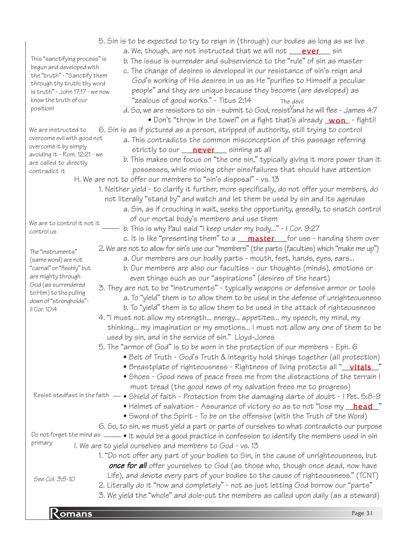**Romans** Page 31 5. Sin is to be expected to try to reign in (through) our bodies as long as we live a. We, though, are not instructed that we will not \_\_\_\_**ever** \_\_\_\_ sin b. The issue is surrender and subservience to the "rule" of sin as master c. The change of desires is developed in our resistance of sin's reign and God's working of His desires in us as He "purifies to Himself a peculiar people" and they are unique because they become (are developed) as "zealous of good works." - Titus 2:14 d. So, we are resistors to sin - submit to God, resist ${}^{\mathcal{V}}$ and he will flee - James 4:7  $\bullet$  Don't "throw in the towel" on a fight that's already  $\_\mathtt{Won}$  - fight!! 6. Sin is as if pictured as a person, stripped of authority, still trying to control a. This contradicts the common misconception of this passage referring strictly to our \_\_\_\_<mark>never</mark> \_\_\_ sinning at all b. This makes one focus on "the one sin," typically giving it more power than it possesses, while missing other sins/failures that should have attention H. We are not to offer our members to "sin's disposal" - vs. 13 1. Neither yield - to clarify it further, more specifically, do not offer your members, do not literally "stand by" and watch and let them be used by sin and its agendas a. Sin, as if crouching in wait, seeks the opportunity, greedily, to snatch control of our mortal body's members and use them b. This is why Paul said "I keep under my body..." - I Cor. 9:27 c. It is like "presenting them" to a **\_\_\_\_\_\_\_\_\_\_\_\_\_\_\_\_\_\_\_**for use - handing them over 2. We are not to allow for sin's use our "members" (the parts (faculties) which "make me up") a. Our members are our bodily parts - mouth, feet, hands, eyes, ears... b. Our members are also our faculties - our thoughts (minds), emotions or even things such as our "aspirations" (desires of the heart) 3. They are not to be "instruments" - typically weapons or defensive armor or tools a. To "yield" them is to allow them to be used in the defense of unrighteousness b. To "yield" them is to allow them to be used in the attack of righteousness 4. "I must not allow my strength... energy... appetites... my speech, my mind, my thinking... my imagination or my emotions... I must not allow any one of them to be used by sin, and in the service of sin." Lloyd-Jones 5. The "armor of God" is to be worn in the protection of our members - Eph. 6 • Belt of Truth - God's Truth & integrity hold things together (all protection) • Breastplate of righteousness - Rightness of living protects all "<u>\_\_**vitals\_\_**</u>" • Shoes - Good news of peace frees me from the distractions of the terrain I must tread (the good news of my salvation frees me to progress) Resist stedfast in the faith  $\bullet$  Shield of faith - Protection from the damaging darts of doubt - I Pet. 5:8-9 • Helmet of salvation - Assurance of victory so as to not "lose my <u>\_**head\_**"</u> • Sword of the Spirit - To be on the offensive (with the Truth of the Word) 6. So, to sin, we must yield a part or parts of ourselves to what contradicts our purpose Do not forget the mind as  $\rule{1em}{0.15mm}$   $\bullet$  It would be a good practice in confession to identify the members used in sin I. We are to yield ourselves and members to God - vs. 13 1. "Do not offer any part of your bodies to Sin, in the cause of unrighteousness, but **once for all** offer yourselves to God (as those who, though once dead, now have Life), and devote every part of your bodies to the cause of righteousness." (TCNT) 2. Literally do it "now and completely" - not as just letting God borrow our "parts" 3. We yield the "whole" and dole-out the members as called upon daily (as a steward) This "sanctifying process" is begun and developed with the "truth" - "Sanctify them through thy truth; thy word is truth" - John 17:17 - we now know the truth of our position! We are to control it not it control us The "instruments" (same word) are not "carnal" or "fleshly" but are mighty through God (as surrendered to Him) to the pulling down of "strongholds"- II Cor. 10:4 We are instructed to overcome evil with good not overcome it by simply avoiding it - Rom. 12:21 - we are called to directly contradict it primary See Col. 3:5-10 The devil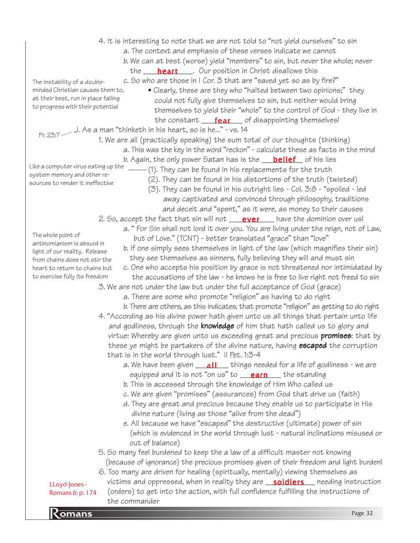| <b>Romans</b>                                    |                                                                                                                                                                             | Page 32 |
|--------------------------------------------------|-----------------------------------------------------------------------------------------------------------------------------------------------------------------------------|---------|
|                                                  | the commander                                                                                                                                                               |         |
| Romans 6; p. 174                                 | (orders) to get into the action, with full confidence fulfilling the instructions of                                                                                        |         |
| LLoyd-Jones -                                    | victims and oppressed, when in reality they are <b>soldiers</b> eeding instruction                                                                                          |         |
|                                                  |                                                                                                                                                                             |         |
|                                                  | 6. Too many are driven for healing (spiritually, mentally) viewing themselves as                                                                                            |         |
|                                                  | (because of ignorance) the precious promises given of their freedom and light burden!                                                                                       |         |
|                                                  | 5. So many feel burdened to keep the a law of a difficult master not knowing                                                                                                |         |
|                                                  | out of balance)                                                                                                                                                             |         |
|                                                  | (which is evidenced in the world through lust - natural inclinations misused or                                                                                             |         |
|                                                  | e. All because we have "escaped" the destructive (ultimate) power of sin                                                                                                    |         |
|                                                  | divine nature (living as those "alive from the dead")                                                                                                                       |         |
|                                                  | d. They are great and precious because they enable us to participate in His                                                                                                 |         |
|                                                  | c. We are given "promises" (assurances) from God that drive us (faith)                                                                                                      |         |
|                                                  | b. This is accessed through the knowledge of Him Who called us                                                                                                              |         |
|                                                  | a. We have been given $\boxed{\quad 11}$ things needed for a life of godliness - we are<br>equipped and it is not "on us" to $\frac{\text{earn}}{\text{earn}}$ the standing |         |
|                                                  | that is in the world through lust." Il Pet. 1:3-4                                                                                                                           |         |
|                                                  | these ye might be partakers of the divine nature, having <b>escaped</b> the corruption                                                                                      |         |
|                                                  | virtue: Whereby are given unto us exceeding great and precious <b>promises</b> : that by                                                                                    |         |
|                                                  | and godliness, through the <b>knowledge</b> of him that hath called us to glory and                                                                                         |         |
|                                                  | 4. "According as his divine power hath given unto us all things that pertain unto life                                                                                      |         |
|                                                  | b. There are others, as this indicates, that promote "religion" as getting to do right                                                                                      |         |
|                                                  | a. There are some who promote "religion" as having to do right                                                                                                              |         |
|                                                  | 3. We are not under the law but under the full acceptance of God (grace)                                                                                                    |         |
| to exercise fully its freedom                    | the accusations of the law - he knows he is free to live right not freed to sin                                                                                             |         |
| heart to return to chains but                    | c. One who accepts his position by grace is not threatened nor intimidated by                                                                                               |         |
| from chains does not stir the                    | they see themselves as sinners, fully believing they will and must sin                                                                                                      |         |
| light of our reality. Release                    | b. If one simply sees themselves in light of the law (which magnifies their sin)                                                                                            |         |
| The whole point of<br>antinomianism is absurd in | but of Love." (TCNT) - better translated "grace" than "love"                                                                                                                |         |
|                                                  | a. "For Sin shall not lord it over you. You are living under the reign, not of Law,                                                                                         |         |
|                                                  | 2. So, accept the fact that sin will not <b>ever</b> have the dominion over us!                                                                                             |         |
|                                                  | and deceit and "spent," as it were, as money to their causes                                                                                                                |         |
|                                                  | away captivated and convinced through philosophy, traditions                                                                                                                |         |
|                                                  | (3). They can be found in his outright lies - Col. 3:8 - "spoiled - led                                                                                                     |         |
| sources to render it ineffective                 | (2). They can be found in his distortions of the truth (twisted)                                                                                                            |         |
| system memory and other re-                      | - (1). They can be found in his replacements for the truth                                                                                                                  |         |
| Like a computer virus eating up the              | b. Again, the only power Satan has is the <b>____belief___</b> of his lies                                                                                                  |         |
|                                                  | a. This was the key in the word "reckon" - calculate these as facts in the mind                                                                                             |         |
|                                                  | 1. We are all (practically speaking) the sum total of our thoughts (thinking)                                                                                               |         |
|                                                  | Pr. 23:7 $-$ J. As a man "thinketh in his heart, so is he" - vs. 14                                                                                                         |         |
|                                                  | the constant <b>fear</b> of disappointing themselves!                                                                                                                       |         |
| to progress with their potential                 | themselves to yield their "whole" to the control of God - they live in                                                                                                      |         |
| at their best, run in place failing              | could not fully give themselves to sin, but neither would bring                                                                                                             |         |
| minded Christian causes them to,                 | • Clearly, these are they who "halted between two opinions;" they                                                                                                           |         |
| The instability of a double-                     | c. So who are those in I Cor. 3 that are "saved yet so as by fire?"                                                                                                         |         |
|                                                  | the <b>heart</b> Cur position in Christ disallows this                                                                                                                      |         |
|                                                  | b. We can at best (worse) yield "members" to sin, but never the whole; never                                                                                                |         |
|                                                  | a. The context and emphasis of these verses indicate we cannot                                                                                                              |         |
|                                                  | 4. It is interesting to note that we are not told to "not yield ourselves" to sin                                                                                           |         |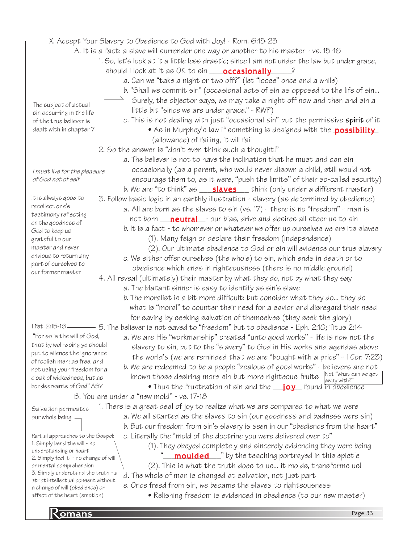X. Accept Your Slavery to Obedience to God with Joy! - Rom. 6:15-23

- A. It is a fact: a slave will surrender one way or another to his master vs. 15-16
	- 1. So, let's look at it a little less drastic; since I am not under the law but under grace, should I look at it as OK to sin \_\_\_\_\_\_\_\_\_\_\_\_\_\_\_\_\_\_\_\_\_\_\_\_\_\_\_\_\_?

a. Can we "take a night or two off?" (let "loose" once and a while)

- b. "Shall we commit sin" (occasional acts of sin as opposed to the life of sin...
	- Surely, the objector says, we may take a night off now and then and sin a little bit "since we are under grace." - RWP)
	- c. This is not dealing with just "occasional sin" but the permissive spirit of it
		- As in Murphey's law if something is designed with the **possibility** (allowance) of failing, it will fail
- 2. So the answer is "don't even think such a thought!"
	- a. The believer is not to have the inclination that he must and can sin occasionally (as a parent, who would never disown a child, still would not encourage them to, as it were, "push the limits" of their so-called security) b. We are "to think" as \_\_\_\_<mark>slaves</mark> \_\_\_ think (only under a different master)
- 3. Follow basic logic in an earthly illustration slavery (as determined by obedience) a. All are born as the slaves to sin (vs. 17) - there is no "freedom" - man is
	- not born \_\_\_<mark>neutral</mark>\_\_- our bias, drive and desires all steer us to sin b. It is a fact - to whomever or whatever we offer up ourselves we are its slaves
		- (1). Many feign or declare their freedom (independence)
	- (2). Our ultimate obedience to God or sin will evidence our true slavery c. We either offer ourselves (the whole) to sin, which ends in death or to obedience which ends in righteousness (there is no middle ground)

4. All reveal (ultimately) their master by what they do, not by what they say a. The blatant sinner is easy to identify as sin's slave

b. The moralist is a bit more difficult: but consider what they do... they do what is "moral" to counter their need for a savior and disregard their need for saving by seeking salvation of themselves (they seek the glory)

5. The believer is not saved to "freedom" but to obedience - Eph. 2:10; Titus 2:14

- a. We are His "workmanship" created "unto good works" life is now not the slavery to sin, but to the "slavery" to God in His works and agendas above the world's (we are reminded that we are "bought with a price" - I Cor. 7:23)
- b. We are redeemed to be a people "zealous of good works" believers are not known those desiring more sin but more righteous fruits  $\begin{bmatrix} \text{Not "what can we get} \\ \text{away with?} \end{bmatrix}$
- Thus the frustration of sin and the **\_\_\_\_\_\_\_\_\_** found in obedience B. You are under a "new mold" - vs. 17-18
	- 1. There is a great deal of joy to realize what we are compared to what we were a. We all started as the slaves to sin (our goodness and badness were sin) b. But our freedom from sin's slavery is seen in our "obedience from the heart"
		- c. Literally the "mold of the doctrine you were delivered over to" (1). They obeyed completely and sincerely evidencing they were being
			- "\_\_\_\_\_\_\_\_\_\_\_\_\_\_\_\_\_" by the teaching portrayed in this epistle (2). This is what the truth does to us... it molds, transforms us!
			-
		- d. The whole of man is changed at salvation, not just part e. Once freed from sin, we became the slaves to righteousness
			- Relishing freedom is evidenced in obedience (to our new master)

The subject of actual sin occurring in the life of the true believer is dealt with in chapter 7

of God not of self

I must live for the pleasure

It is always good to recollect one's testimony reflecting on the goodness of God to keep us grateful to our master and never envious to return any part of ourselves to our former master

I Pet. 2:15-16

"For so is the will of God, that by well-doing ye should put to silence the ignorance of foolish men: as free, and not using your freedom for a cloak of wickedness, but as bondservants of God" ASV

Salvation permeates our whole being

Partial approaches to the Gospel: 1. Simply bend the will - no understanding or heart 2. Simply feel it! - no change of will or mental comprehension 3. Simply understand the truth - a strict intellectual consent without a change of will (obedience) or affect of the heart (emotion)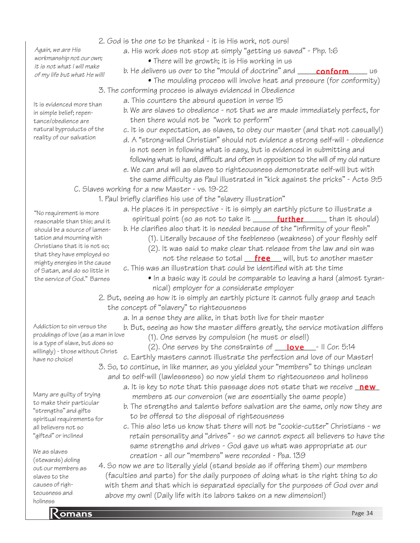Again, we are His workmanship not our own; it is not what I will make of my life but what He will!

It is evidenced more than in simple belief; repentance/obedience are natural byproducts of the reality of our salvation

- 2. God is the one to be thanked it is His work, not ours!
	- a. His work does not stop at simply "getting us saved" Php. 1:6
		- There will be growth; it is His working in us
		- b. He delivers us over to the "mould of doctrine" and \_\_\_\_\_\_<mark>conform</mark>\_\_\_\_\_\_ us
			- The moulding process will involve heat and pressure (for conformity)
- 3. The conforming process is always evidenced in Obedience
	- a. This counters the absurd question in verse 15
	- b. We are slaves to obedience not that we are made immediately perfect, for then there would not be "work to perform"
		- c. It is our expectation, as slaves, to obey our master (and that not casually!)
	- d. A "strong-willed Christian" should not evidence a strong self-will obedience is not seen in following what is easy, but is evidenced in submitting and following what is hard, difficult and often in opposition to the will of my old nature
	- e. We can and will as slaves to righteousness demonstrate self-will but with the same difficulty as Paul illustrated in "kick against the pricks" - Acts 9:5
- C. Slaves working for a new Master vs. 19-22
	- 1. Paul briefly clarifies his use of the "slavery illustration"
		- a. He places it in perspective it is simply an earthly picture to illustrate a spiritual point (so as not to take it \_\_\_\_\_\_\_<mark>further</mark>\_\_\_\_\_\_ than it should)
		- b. He clarifies also that it is needed because of the "infirmity of your flesh"
			- (1). Literally because of the feebleness (weakness) of your fleshly self
			- (2). It was said to make clear that release from the law and sin was not the release to total <u>f**ree** will,</u> but to another master
		- c. This was an illustration that could be identified with at the time
			- In a basic way it could be comparable to leaving a hard (almost tyran nical) employer for a considerate employer
		- 2. But, seeing as how it is simply an earthly picture it cannot fully grasp and teach the concept of "slavery" to righteousness
			- a. In a sense they are alike, in that both live for their master
			- b. But, seeing as how the master differs greatly, the service motivation differs
				- (1). One serves by compulsion (he must or else!!)
		- (2). One serves by the constraints of  $\_\_\_\_\_\_\_\_\_$  II Cor. 5:14 c. Earthly masters cannot illustrate the perfection and love of our Master! 3. So, to continue, in like manner, as you yielded your "members" to things unclean and to self-will (lawlessness) so now yield them to righteousness and holiness
			- a. It is key to note that this passage does not state that we receive <u>mew</u> members at our conversion (we are essentially the same people)
				- b. The strengths and talents before salvation are the same, only now they are to be offered to the disposal of righteousness
			- c. This also lets us know that there will not be "cookie-cutter" Christians we retain personality and "drives" - so we cannot expect all believers to have the same strengths and drives - God gave us what was appropriate at our creation - all our "members" were recorded - Psa. 139
		- 4. So now we are to literally yield (stand beside as if offering them) our members (faculties and parts) for the daily purposes of doing what is the right thing to do with them and that which is separated specially for the purposes of God over and above my own! (Daily life with its labors takes on a new dimension!)

"No requirement is more reasonable than this; and it should be a source of lamentation and mourning with Christians that it is not so; that they have employed so mighty energies in the cause of Satan, and do so little in the service of God." Barnes

Addiction to sin versus the proddings of love (as a man in love is a type of slave, but does so willingly) - those without Christ have no choice!

Many are guilty of trying to make their particular "strengths" and gifts spiritual requirements for all believers not so "gifted" or inclined

We as slaves (stewards) doling out our members as slaves to the causes of righteousness and holiness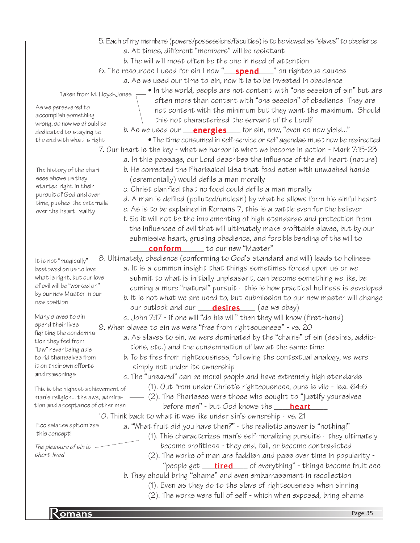**Romans** Page 35 5. Each of my members (powers/possessions/faculties) is to be viewed as "slaves" to obedience a. At times, different "members" will be resistant b. The will will most often be the one in need of attention 6. The resources I used for sin I now "\_\_\_\_<mark>spend</mark>\_\_\_\_" on righteous causes a. As we used our time to sin, now it is to be invested in obedience • In the world, people are not content with "one session of sin" but are often more than content with "one session" of obedience They are not content with the minimum but they want the maximum. Should this not characterized the servant of the Lord? b. As we used our <u>energies</u> for sin, now, "even so now yield..." • The time consumed in self-service or self agendas must now be redirected 7. Our heart is the key - what we harbor is what we become in action - Mark 7:15-23 a. In this passage, our Lord describes the influence of the evil heart (nature) b. He corrected the Pharisaical idea that food eaten with unwashed hands (ceremonially) would defile a man morally c. Christ clarified that no food could defile a man morally d. A man is defiled (polluted/unclean) by what he allows form his sinful heart e. As is to be explained in Romans 7, this is a battle even for the believer f. So it will not be the implementing of high standards and protection from the influences of evil that will ultimately make profitable slaves, but by our submissive heart, grueling obedience, and forcible bending of the will to **conform** to our new "Master" 8. Ultimately, obedience (conforming to God's standard and will) leads to holiness a. It is a common insight that things sometimes forced upon us or we submit to what is initially unpleasant, can become something we like, be coming a more "natural" pursuit - this is how practical holiness is developed b. It is not what we are used to, but submission to our new master will change our outlook and our <u>\_\_\_\_**desires**\_\_\_\_</u> (as we obey) c. John 7:17 - if one will "do his will" then they will know (first-hand) 9. When slaves to sin we were "free from righteousness" - vs. 20 a. As slaves to sin, we were dominated by the "chains" of sin (desires, addic tions, etc.) and the condemnation of law at the same time b. To be free from righteousness, following the contextual analogy, we were simply not under its ownership c. The "unsaved" can be moral people and have extremely high standards (1). Out from under Christ's righteousness, ours is vile - Isa. 64:6 (2). The Pharisees were those who sought to "justify yourselves before men" - but God knows the \_\_\_\_<mark>heart</mark>\_\_\_\_ 10. Think back to what it was like under sin's ownership - vs. 21 a. "What fruit did you have then?" - the realistic answer is "nothing!" (1). This characterizes man's self-moralizing pursuits - they ultimately become profitless - they end, fail, or become contradicted (2). The works of man are faddish and pass over time in popularity - "people get \_\_\_\_\_\_\_\_\_\_\_\_\_\_\_\_\_\_\_\_\_\_\_of everything" - things become fruitless b. They should bring "shame" and even embarrassment in recollection (1). Even as they do to the slave of righteousness when sinning (2). The works were full of self - which when exposed, bring shame Taken from M. Lloyd-Jones As we persevered to accomplish something wrong, so now we should be dedicated to staying to the end with what is right The history of the pharisees shows us they started right in their pursuit of God and over time, pushed the externals over the heart reality It is not "magically" bestowed on us to love what is right, but our love of evil will be "worked on" by our new Master in our new position Many slaves to sin spend their lives fighting the condemnation they feel from "law" never being able to rid themselves from it on their own efforts and reasonings This is the highest achievement of man's religion... the awe, admiration and acceptance of other men Ecclesiates epitomizes this concept! The pleasure of sin is short-lived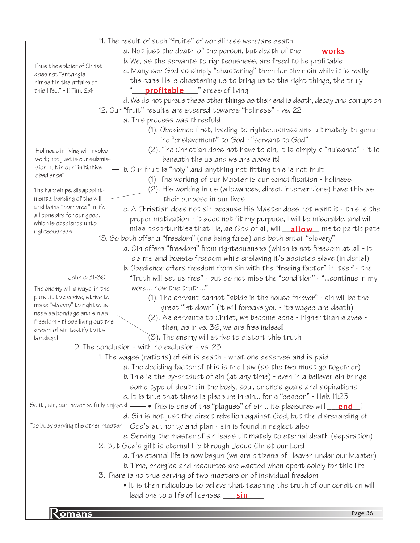|                                                                  | 11. The result of such "fruits" of worldliness were/are death                                                              |
|------------------------------------------------------------------|----------------------------------------------------------------------------------------------------------------------------|
|                                                                  | a. Not just the death of the person, but death of the _____ works                                                          |
|                                                                  | b. We, as the servants to righteousness, are freed to be profitable                                                        |
| Thus the soldier of Christ                                       | c. Many see God as simply "chastening" them for their sin while it is really                                               |
| does not "entangle<br>himself in the affairs of                  | the case He is chastening us to bring us to the right things, the truly                                                    |
| this life" - Il Tim. 2:4                                         | <b>profitable</b> "areas of living                                                                                         |
|                                                                  | d. We do not pursue these other things as their end is death, decay and corruption                                         |
|                                                                  | 12. Our "fruit" results are steered towards "holiness" - vs. 22                                                            |
|                                                                  | a. This process was threefold                                                                                              |
|                                                                  | (1). Obedience first, leading to righteousness and ultimately to genu-                                                     |
|                                                                  | ine "enslavement" to God - "servant to God"                                                                                |
|                                                                  | (2). The Christian does not have to sin, it is simply a "nuisance" - it is                                                 |
| Holiness in living will involve<br>work; not just is our submis- | beneath the us and we are above it!                                                                                        |
| sion but in our "initiative                                      | $-$ b. Our fruit is "holy" and anything not fitting this is not fruit!                                                     |
| obedience"                                                       | (1). The working of our Master is our sanctification - holiness                                                            |
|                                                                  |                                                                                                                            |
| The hardships, disappoint-<br>ments, bending of the will,        | (2). His working in us (allowances, direct interventions) have this as                                                     |
| and being "cornered" in life                                     | their purpose in our lives                                                                                                 |
| all conspire for our good,                                       | c. A Christian does not sin because His Master does not want it - this is the                                              |
| which is obedience unto                                          | proper motivation - it does not fit my purpose, I will be miserable, and will                                              |
| righteousness                                                    | miss opportunities that He, as God of all, will <b>allow</b> me to participate                                             |
|                                                                  | 13. So both offer a "freedom" (one being false) and both entail "slavery"                                                  |
|                                                                  | a. Sin offers "freedom" from righteousness (which is not freedom at all - it                                               |
|                                                                  | claims and boasts freedom while enslaving it's addicted slave (in denial)                                                  |
|                                                                  | b. Obedience offers freedom from sin with the "freeing factor" in itself - the                                             |
| John 8:31-36 -                                                   | "Truth will set us free" - but do not miss the "condition" - "continue in my                                               |
| The enemy will always, in the                                    | word now the truth"                                                                                                        |
| pursuit to deceive, strive to<br>make "slavery" to righteous-    | $(1)$ . The servant cannot "abide in the house forever" - sin will be the                                                  |
| ness as bondage and sin as                                       | great "let down" (it will forsake you - its wages are death)                                                               |
| freedom - those living out the                                   | (2). As servants to Christ, we become sons - higher than slaves -                                                          |
| dream of sin testify to its                                      | then, as in vs. 36, we are free indeed!                                                                                    |
| bondage!                                                         | (3). The enemy will strive to distort this truth                                                                           |
|                                                                  | D. The conclusion - with no exclusion - vs. 23                                                                             |
|                                                                  | 1. The wages (rations) of sin is death - what one deserves and is paid                                                     |
|                                                                  | a. The deciding factor of this is the Law (as the two must go together)                                                    |
|                                                                  | b. This is the by-product of sin (at any time) - even in a believer sin brings                                             |
|                                                                  | some type of death; in the body, soul, or one's goals and aspirations                                                      |
|                                                                  | c. It is true that there is pleasure in sin for a "season" - Heb. 11:25                                                    |
|                                                                  | So it , sin, can never be fully enjoyed —— $\bullet$ This is one of the "plagues" of sin… its pleasures will <u>gand l</u> |
|                                                                  | d. Sin is not just the direct rebellion against God, but the disregarding of                                               |
|                                                                  | Too busy serving the other master $-$ God's authority and plan - sin is found in neglect also                              |
|                                                                  | e. Serving the master of sin leads ultimately to eternal death (separation)                                                |
|                                                                  | 2. But God's gift is eternal life through Jesus Christ our Lord                                                            |
|                                                                  | a. The eternal life is now begun (we are citizens of Heaven under our Master)                                              |
|                                                                  | b. Time, energies and resources are wasted when spent solely for this life                                                 |
|                                                                  | 3. There is no true serving of two masters or of individual freedom                                                        |
|                                                                  | • It is then ridiculous to believe that teaching the truth of our condition will                                           |
|                                                                  | lead one to a life of licensed <u>sin</u>                                                                                  |
|                                                                  |                                                                                                                            |

**Romans** Page 36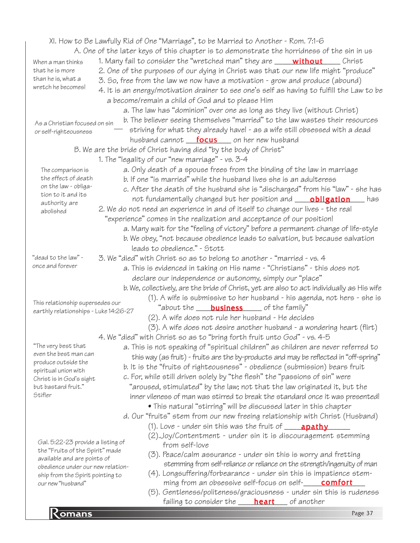|                                                                                                                                                                                                | XI. How to Be Lawfully Rid of One "Marriage", to be Married to Another - Rom. 7:1-6        |  |
|------------------------------------------------------------------------------------------------------------------------------------------------------------------------------------------------|--------------------------------------------------------------------------------------------|--|
|                                                                                                                                                                                                | A. One of the later keys of this chapter is to demonstrate the horridness of the sin in us |  |
| When a man thinks                                                                                                                                                                              | 1. Many fail to consider the "wretched man" they are <b>without</b> Christ                 |  |
| that he is more                                                                                                                                                                                | 2. One of the purposes of our dying in Christ was that our new life might "produce"        |  |
| than he is, what a                                                                                                                                                                             | 3. So, free from the law we now have a motivation - grow and produce (abound)              |  |
| wretch he becomes!                                                                                                                                                                             | 4. It is an energy/motivation drainer to see one's self as having to fulfill the Law to be |  |
|                                                                                                                                                                                                | a become/remain a child of God and to please Him                                           |  |
|                                                                                                                                                                                                | a. The law has "dominion" over one as long as they live (without Christ)                   |  |
|                                                                                                                                                                                                | b. The believer seeing themselves "married" to the law wastes their resources              |  |
| As a Christian focused on sin                                                                                                                                                                  | striving for what they already have! - as a wife still obsessed with a dead                |  |
| or self-righteousness                                                                                                                                                                          | husband cannot <b>focus</b> on her new husband                                             |  |
|                                                                                                                                                                                                | B. We are the bride of Christ having died "by the body of Christ"                          |  |
|                                                                                                                                                                                                | 1. The "legality of our "new marriage" - vs. 3-4                                           |  |
|                                                                                                                                                                                                |                                                                                            |  |
| The comparison is<br>the effect of death                                                                                                                                                       | a. Only death of a spouse frees from the binding of the law in marriage                    |  |
| on the law - obliga-                                                                                                                                                                           | b. If one "is married" while the husband lives she is an adulteress                        |  |
| tion to it and its                                                                                                                                                                             | c. After the death of the husband she is "discharged" from his "law" - she has             |  |
| authority are                                                                                                                                                                                  | not fundamentally changed but her position and <b>_____ obligation</b> ____ has            |  |
| abolished                                                                                                                                                                                      | 2. We do not need an experience in and of itself to change our lives - the real            |  |
|                                                                                                                                                                                                | "experience" comes in the realization and acceptance of our position!                      |  |
|                                                                                                                                                                                                | a. Many wait for the "feeling of victory" before a permanent change of life-style          |  |
|                                                                                                                                                                                                | b. We obey, "not because obedience leads to salvation, but because salvation               |  |
|                                                                                                                                                                                                | leads to obedience." - Stott                                                               |  |
| "dead to the law" -                                                                                                                                                                            | 3. We "died" with Christ so as to belong to another - "married - vs. 4                     |  |
| once and forever                                                                                                                                                                               | a. This is evidenced in taking on His name - "Christians" - this does not                  |  |
|                                                                                                                                                                                                | declare our independence or autonomy, simply our "place"                                   |  |
|                                                                                                                                                                                                | b. We, collectively, are the bride of Christ, yet are also to act individually as His wife |  |
|                                                                                                                                                                                                | (1). A wife is submissive to her husband - his agenda, not hers - she is                   |  |
| This relationship supersedes our<br>"about the <b>business</b> of the family"<br>earthly relationships - Luke 14:26-27                                                                         |                                                                                            |  |
|                                                                                                                                                                                                | (2). A wife does not rule her husband - He decides                                         |  |
|                                                                                                                                                                                                | (3). A wife does not desire another husband - a wondering heart (flirt)                    |  |
|                                                                                                                                                                                                | 4. We "died" with Christ so as to "bring forth fruit unto God" - vs. 4-5                   |  |
| The very best that                                                                                                                                                                             | a. This is not speaking of "spiritual children" as children are never referred to          |  |
| even the best man can                                                                                                                                                                          | this way (as fruit) - fruits are the by-products and may be reflected in "off-spring"      |  |
| produce outside the                                                                                                                                                                            | b. It is the "fruits of righteousness" - obedience (submission) bears fruit                |  |
| spiritual union with<br>Christ is in God's sight                                                                                                                                               | c. For, while still driven solely by "the flesh" the "passions of sin" were                |  |
| but bastard fruit."                                                                                                                                                                            | "aroused, stimulated" by the law; not that the law originated it, but the                  |  |
| Stifler                                                                                                                                                                                        | inner vileness of man was stirred to break the standard once it was presented!             |  |
|                                                                                                                                                                                                | • This natural "stirring" will be discussed later in this chapter                          |  |
|                                                                                                                                                                                                | d. Our "fruits" stem from our new freeing relationship with Christ (Husband)               |  |
|                                                                                                                                                                                                | $(1)$ . Love - under sin this was the fruit of $\_\_\_$ <b>apathy</b>                      |  |
|                                                                                                                                                                                                | (2).Joy/Contentment - under sin it is discouragement stemming                              |  |
| Gal. 5:22-23 provide a listing of                                                                                                                                                              | from self-love                                                                             |  |
| the "Fruits of the Spirit" made                                                                                                                                                                | (3). Peace/calm assurance - under sin this is worry and fretting                           |  |
| available and are points of                                                                                                                                                                    |                                                                                            |  |
| stemming from self-reliance or reliance on the strength/ingenuity of man<br>obedience under our new relation-                                                                                  |                                                                                            |  |
| (4). Longsuffering/forbearance - under sin this is impatience stem-<br>ship from the Spirit pointing to<br>ming from an obsessive self-focus on self- <b>_____comfort</b><br>our new "husband" |                                                                                            |  |
|                                                                                                                                                                                                | (5). Gentleness/politeness/graciousness - under sin this is rudeness                       |  |
|                                                                                                                                                                                                | failing to consider the <b>_____ heart</b> ____ of another                                 |  |
|                                                                                                                                                                                                | Page 37                                                                                    |  |
|                                                                                                                                                                                                |                                                                                            |  |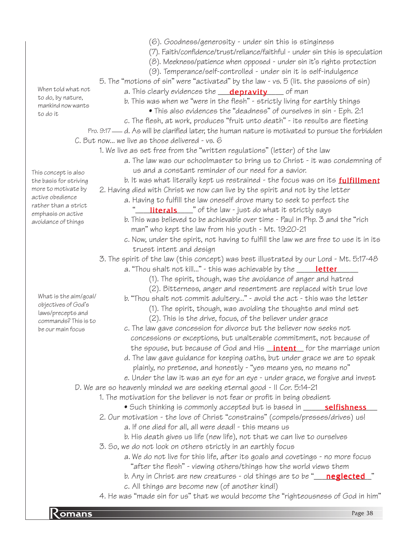- (6). Goodness/generosity under sin this is stinginess
- (7). Faith/confidence/trust/reliance/faithful under sin this is speculation
- (8). Meekness/patience when opposed under sin it's rights protection
- (9). Temperance/self-controlled under sin it is self-indulgence
- 5. The "motions of sin" were "activated" by the law vs. 5 (lit. the passions of sin)
	- a. This clearly evidences the \_\_\_\_<mark>depravity</mark>\_\_\_\_\_ of man
	- b. This was when we "were in the flesh" strictly living for earthly things
		- This also evidences the "deadness" of ourselves in sin Eph. 2:1
- c. The flesh, at work, produces "fruit unto death" its results are fleeting
- Pro. 9:17 d. As will be clarified later, the human nature is motivated to pursue the forbidden C. But now... we live as those delivered - vs. 6
	- 1. We live as set free from the "written regulations" (letter) of the law
		- a. The law was our schoolmaster to bring us to Christ it was condemning of us and a constant reminder of our need for a savior.
	- b. It was what literally kept us restrained the focus was on its  $_{\rm fulliment}$ 2. Having died with Christ we now can live by the spirit and not by the letter
		- a. Having to fulfill the law oneself drove many to seek to perfect the "\_\_\_\_**literals**\_\_\_\_" of the law - just do what it strictly says
			- b. This was believed to be achievable over time Paul in Php. 3 and the "rich man" who kept the law from his youth - Mt. 19:20-21
			- c. Now, under the spirit, not having to fulfill the law we are free to use it in its truest intent and design
	- 3. The spirit of the law (this concept) was best illustrated by our Lord Mt. 5:17-48
		- a. "Thou shalt not kill..." this was achievable by the \_\_\_\_\_\_<mark>letter</mark>\_\_\_\_\_
			- (1). The spirit, though, was the avoidance of anger and hatred
			- (2). Bitterness, anger and resentment are replaced with true love
		- b. "Thou shalt not commit adultery..." avoid the act this was the letter
			- (1). The spirit, though, was avoiding the thoughts and mind set
			- (2). This is the drive, focus, of the believer under grace
		- c. The law gave concession for divorce but the believer now seeks not concessions or exceptions, but unalterable commitment, not because of the spouse, but because of God and His <u>\_**intent**\_</u> for the marriage union
		- d. The law gave guidance for keeping oaths, but under grace we are to speak plainly, no pretense, and honestly - "yes means yes, no means no"
		- e. Under the law it was an eye for an eye under grace, we forgive and invest

D. We are so heavenly minded we are seeking eternal good - II Cor. 5:14-21

1. The motivation for the believer is not fear or profit in being obedient

- Such thinking is commonly accepted but is based in \_\_\_\_\_\_<mark>selfishness</mark>\_\_\_
- 2. Our motivation the love of Christ "constrains" (compels/presses/drives) us!
	- a. If one died for all, all were dead! this means us
		- b. His death gives us life (new life), not that we can live to ourselves
- 3. So, we do not look on others strictly in an earthly focus
	- a. We do not live for this life, after its goals and covetings no more focus "after the flesh" - viewing others/things how the world views them
	- b. Any in Christ are new creatures old things are to be "\_\_\_\_<mark>neglected\_</mark>"
	- c. All things are become new (of another kind!)
- 4. He was "made sin for us" that we would become the "righteousness of God in him"

When told what not to do, by nature, mankind now wants to do it

This concept is also the basis for striving more to motivate by active obedience rather than a strict emphasis on active avoidance of things

What is the aim/goal/ objectives of God's laws/precepts and commands? This is to be our main focus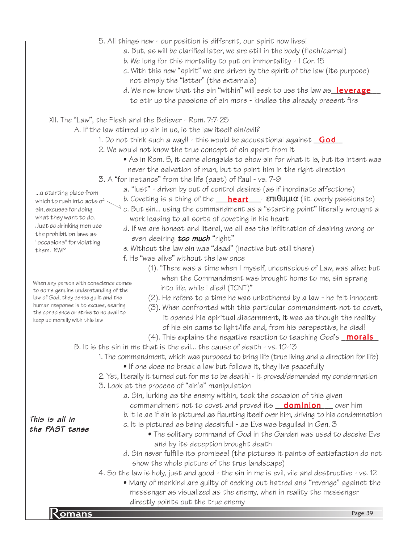- 5. All things new our position is different, our spirit now lives!
	- a. But, as will be clarified later, we are still in the body (flesh/carnal)
	- b. We long for this mortality to put on immortality I Cor. 15
	- c. With this new "spirit" we are driven by the spirit of the law (its purpose) not simply the "letter" (the externals)
	- d. We now know that the sin "within" will seek to use the law as\_leverage\_\_ to stir up the passions of sin more - kindles the already present fire
- XII. The "Law", the Flesh and the Believer Rom. 7:7-25
	- A. If the law stirred up sin in us, is the law itself sin/evil?
		- 1. Do not think such a way!! this would be accusational against <u>\_\_Go**d**\_\_</u>
		- 2. We would not know the true concept of sin apart from it
			- As in Rom. 5, it came alongside to show sin for what it is, but its intent was never the salvation of man, but to point him in the right direction
		- 3. A "for instance" from the life (past) of Paul vs. 7-9
			- a. "lust" driven by out of control desires (as if inordinate affections)
			- b. Coveting is a thing of the \_\_\_\_<mark>heart</mark>\_\_\_- **επιθυμια** (lit. overly passionate)
			- $\searrow$  c. But sin... using the commandment as a "starting point" literally wrought a work leading to all sorts of coveting in his heart
				- d. If we are honest and literal, we all see the infiltration of desiring wrong or even desiring **too much** "right"
				- e. Without the law sin was "dead" (inactive but still there)
				- f. He "was alive" without the law once
					- (1). "There was a time when I myself, unconscious of Law, was alive; but when the Commandment was brought home to me, sin sprang into life, while I died! (TCNT)"
					- (2). He refers to a time he was unbothered by a law he felt innocent
					- (3). When confronted with this particular commandment not to covet, it opened his spiritual discernment, it was as though the reality of his sin came to light/life and, from his perspective, he died!
					- (4). This explains the negative reaction to teaching God's **\_morals\_**
	- B. It is the sin in me that is the evil... the cause of death vs. 10-13
		- 1. The commandment, which was purposed to bring life (true living and a direction for life)
			- If one does no break a law but follows it, they live peacefully
		- 2. Yet, literally it turned out for me to be death! it proved/demanded my condemnation 3. Look at the process of "sin's" manipulation
			- a. Sin, lurking as the enemy within, took the occasion of this given
			- commandment not to covet and proved its <u>\_\_\_<mark>dominion</mark>\_\_\_</u>\_ over him
			- b. It is as if sin is pictured as flaunting itself over him, driving to his condemnation
			- c. It is pictured as being deceitful as Eve was beguiled in Gen. 3
				- The solitary command of God in the Garden was used to deceive Eve and by its deception brought death
			- d. Sin never fulfills its promises! (the pictures it paints of satisfaction do not show the whole picture of the true landscape)
		- 4. So the law is holy, just and good the sin in me is evil, vile and destructive vs. 12
- Examples out the true enemy<br>Romans Page 39 • Many of mankind are guilty of seeking out hatred and "revenge" against the messenger as visualized as the enemy, when in reality the messenger directly points out the true enemy

This is all in the PAST tense

...a starting place from which to rush into acts of sin, excuses for doing what they want to do. Just so drinking men use the prohibition laws as "occasions" for violating them. RWP

When any person with conscience comes to some genuine understanding of the law of God, they sense guilt and the human response is to excuse, searing the conscience or strive to no avail to keep up morally with this law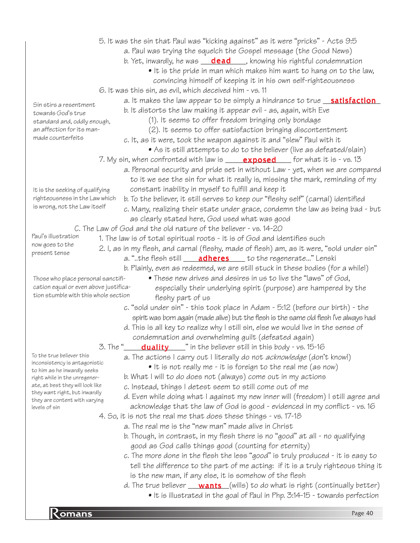|                                                                                                           | 5. It was the sin that Paul was "kicking against" as it were "pricks" - Acts 9:5          |  |
|-----------------------------------------------------------------------------------------------------------|-------------------------------------------------------------------------------------------|--|
|                                                                                                           | a. Paul was trying the squelch the Gospel message (the Good News)                         |  |
|                                                                                                           | b. Yet, inwardly, he was <b>dead</b> , knowing his rightful condemnation                  |  |
|                                                                                                           | • It is the pride in man which makes him want to hang on to the law,                      |  |
|                                                                                                           | convincing himself of keeping it in his own self-righteousness                            |  |
|                                                                                                           | 6. It was this sin, as evil, which deceived him - vs. 11                                  |  |
| Sin stirs a resentment                                                                                    | a. It makes the law appear to be simply a hindrance to true <b>satisfaction</b>           |  |
| towards God's true                                                                                        | b. It distorts the law making it appear evil - as, again, with Eve                        |  |
| standard and, oddly enough,                                                                               | (1). It seems to offer freedom bringing only bondage                                      |  |
| an affection for its man-                                                                                 | (2). It seems to offer satisfaction bringing discontentment                               |  |
| made counterfeits                                                                                         | c. It, as it were, took the weapon against it and "slew" Paul with it                     |  |
|                                                                                                           | • As it still attempts to do to the believer (live as defeated/slain)                     |  |
|                                                                                                           | 7. My sin, when confronted with law is ____ <b>exposed</b> ___ for what it is - vs. 13    |  |
|                                                                                                           | a. Personal security and pride set in without Law - yet, when we are compared             |  |
|                                                                                                           | to it we see the sin for what it really is, missing the mark, reminding of my             |  |
| It is the seeking of qualifying                                                                           | constant inability in myself to fulfill and keep it                                       |  |
| righteousness in the Law which                                                                            | b. To the believer, it still serves to keep our "fleshy self" (carnal) identified         |  |
| is wrong, not the Law itself                                                                              | c. Many, realizing their state under grace, condemn the law as being bad - but            |  |
|                                                                                                           | as clearly stated here, God used what was good                                            |  |
|                                                                                                           | C. The Law of God and the old nature of the believer - vs. 14-20                          |  |
| Paul's illustration                                                                                       | 1. The law is of total spiritual roots - it is of God and identifies such                 |  |
| now goes to the<br>present tense                                                                          | 2. I, as in my flesh, and carnal (fleshy, made of flesh) am, as it were, "sold under sin" |  |
|                                                                                                           | a. "the flesh still <b>_______________________</b> to the regenerate" Lenski              |  |
|                                                                                                           | b. Plainly, even as redeemed, we are still stuck in these bodies (for a while!)           |  |
| • These new drives and desires in us to live the "laws" of God,<br>Those who place personal sanctifi-     |                                                                                           |  |
| cation equal or even above justifica-<br>especially their underlying spirit (purpose) are hampered by the |                                                                                           |  |
| tion stumble with this whole section                                                                      | fleshy part of us                                                                         |  |
|                                                                                                           | c. "sold under sin" - this took place in Adam - 5:12 (before our birth) - the             |  |
|                                                                                                           | spirit was born again (made alive) but the flesh is the same old flesh I've always had    |  |
|                                                                                                           | d. This is all key to realize why I still sin, else we would live in the sense of         |  |
|                                                                                                           | condemnation and overwhelming guilt (defeated again)                                      |  |
|                                                                                                           | $3.$ The "<br><b>duality</b> in the believer still in this body - vs. 15-16               |  |
| To the true believer this                                                                                 | a. The actions I carry out I literally do not acknowledge (don't know!)                   |  |
| inconsistency is antagonistic<br>to him as he inwardly seeks                                              | $\bullet$ It is not really me - it is foreign to the real me (as now)                     |  |
| right while in the unregener-                                                                             | b. What I will to do does not (always) come out in my actions                             |  |
| ate, at best they will look like                                                                          | c. Instead, things I detest seem to still come out of me                                  |  |
| they want right, but inwardly<br>they are content with varying                                            | d. Even while doing what I against my new inner will (freedom) I still agree and          |  |
| levels of sin                                                                                             | acknowledge that the law of God is good - evidenced in my conflict - vs. 16               |  |
|                                                                                                           | 4. So, it is not the real me that does these things - vs. 17-18                           |  |
|                                                                                                           | a. The real me is the "new man" made alive in Christ                                      |  |
|                                                                                                           | b. Though, in contrast, in my flesh there is no "good" at all - no qualifying             |  |
|                                                                                                           | good as God calls things good (counting for eternity)                                     |  |
|                                                                                                           | c. The more done in the flesh the less "good" is truly produced - it is easy to           |  |
|                                                                                                           | tell the difference to the part of me acting: if it is a truly righteous thing it         |  |
|                                                                                                           | is the new man, if any else, it is somehow of the flesh                                   |  |
|                                                                                                           | d. The true believer <u>wants</u> (wills) to do what is right (continually better)        |  |
|                                                                                                           | • It is illustrated in the goal of Paul in Php. 3:14-15 - towards perfection              |  |

**Romans** Page 40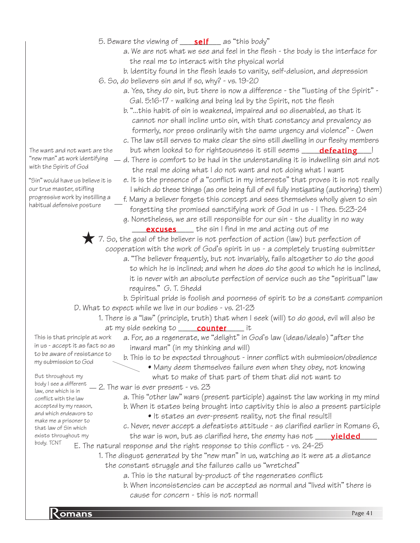- 5. Beware the viewing of \_\_\_\_\_<mark>self</mark>\_\_\_\_as "this body"
	- a. We are not what we see and feel in the flesh the body is the interface for the real me to interact with the physical world
	- b. Identity found in the flesh leads to vanity, self-delusion, and depression
- 6. So, do believers sin and if so, why? vs. 19-20
	- a. Yes, they do sin, but there is now a difference the "lusting of the Spirit" Gal. 5:16-17 - walking and being led by the Spirit, not the flesh
	- b. "...this habit of sin is weakened, impaired and so disenabled, as that it cannot nor shall incline unto sin, with that constancy and prevalency as formerly, nor press ordinarily with the same urgency and violence" - Owen
	- c. The law still serves to make clear the sins still dwelling in our fleshy members but when looked to for righteousness it still seems \_\_\_\_\_\_<mark>defeating</mark>\_\_\_!
- "new man" at work identifying d. There is comfort to be had in the understanding it is indwelling sin and not the real me doing what I do not want and not doing what I want
	- e. It is the presence of a "conflict in my interests" that proves it is not really I which do these things (as one being full of evil fully instigating (authoring) them)
	- f. Many a believer forgets this concept and sees themselves wholly given to sin forgetting the promised sanctifying work of God in us - I Thes. 5:23-24
	- g. Nonetheless, we are still responsible for our sin the duality in no way **excuses** the sin I find in me and acting out of me

 $\triangledown$  7. So, the goal of the believer is not perfection of action (law) but perfection of cooperation with the work of God's spirit in us - a completely trusting submitter a. "The believer frequently, but not invariably, fails altogether to do the good to which he is inclined; and when he does do the good to which he is inclined, it is never with an absolute perfection of service such as the "spiritual" law requires." G. T. Shedd

b. Spiritual pride is foolish and poorness of spirit to be a constant companion D. What to expect while we live in our bodies - vs. 21-23

1. There is a "law" (principle, truth) that when I seek (will) to do good, evil will also be at my side seeking to \_\_\_\_\_\_**counter** \_\_\_\_\_\_ it

This is that principle at work in us - accept it as fact so as to be aware of resistance to my submission to God

- a. For, as a regenerate, we "delight" in God's law (ideas/ideals) "after the inward man" (in my thinking and will) b. This is to be expected throughout - inner conflict with submission/obedience
	- Many deem themselves failure even when they obey, not knowing

But throughout my body I see a different conflict with the law accepted by my reason, and which endeavors to make me a prisoner to that law of Sin which exists throughout my body. TCNT

- body i bee a different  $-2$ . The war is ever present vs. 23 what to make of that part of them that did not want to
	- a. This "other law" wars (present participle) against the law working in my mind b. When it states being brought into captivity this is also a present participle
		- It states an ever-present reality, not the final result!!
	- c. Never, never accept a defeatists attitude as clarified earlier in Romans 6, the war is won, but as clarified here, the enemy has not \_\_\_\_\_<mark>yielded</mark>\_\_\_\_
	- E. The natural response and the right response to this conflict vs. 24-25
		- 1. The disgust generated by the "new man" in us, watching as it were at a distance the constant struggle and the failures calls us "wretched"
			- a. This is the natural by-product of the regenerates conflict
			- b. When inconsistencies can be accepted as normal and "lived with" there is cause for concern - this is not normal!

The want and not want are the with the Spirit of God

"Sin" would have us believe it is our true master, stifling progressive work by instilling a habitual defensive posture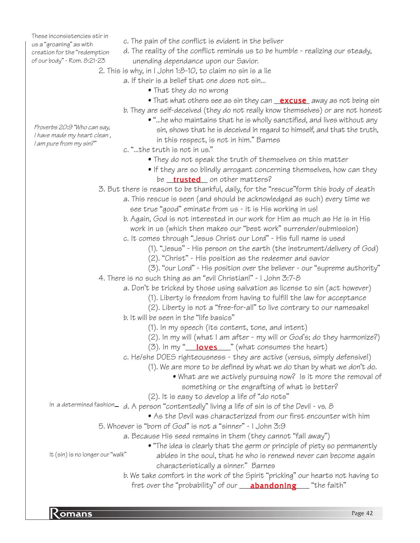These inconsistencies stir in us a "groaning" as with creation for the "redemption of our body" - Rom. 8:21-23

Proverbs 20:9 "Who can say, I have made my heart clean , I am pure from my sin?"

- c. The pain of the conflict is evident in the beliver
- d. The reality of the conflict reminds us to be humble realizing our steady, unending dependance upon our Savior.
- 2. This is why, in I John 1:8-10, to claim no sin is a lie
	- a. If their is a belief that one does not sin...
		- That they do no wrong
		- $\bullet$  That what others see as sin they can  $\_\,$  excuse  $\_\,$  away as not being sin
		- b. They are self-deceived (they do not really know themselves) or are not honest
			- "...he who maintains that he is wholly sanctified, and lives without any sin, shows that he is deceived in regard to himself, and that the truth, in this respect, is not in him." Barnes
	- c. "...the truth is not in us."
		- They do not speak the truth of themselves on this matter
		- If they are so blindly arrogant concerning themselves, how can they be <u>\_\_**trusted**\_\_</u> on other matters?
- 3. But there is reason to be thankful, daily, for the "rescue"form this body of death
	- a. This rescue is seen (and should be acknowledged as such) every time we see true "good" eminate from us - it is His working in us!
	- b. Again, God is not interested in our work for Him as much as He is in His work in us (which then makes our "best work" surrender/submission)
	- c. It comes through "Jesus Christ our Lord" His full name is used
		- (1). "Jesus" His person on the earth (the instrument/delivery of God)
		- (2). "Christ" His position as the redeemer and savior
		- (3). "our Lord" His position over the believer our "supreme authority"
- 4. There is no such thing as an "evil Christian!" I John 3:7-8

a. Don't be tricked by those using salvation as license to sin (act however)

- (1). Liberty is freedom from having to fulfill the law for acceptance
- (2). Liberty is not a "free-for-all" to live contrary to our namesake!
- b. It will be seen in the "life basics"
	- (1). In my speech (its content, tone, and intent)
	- (2). In my will (what I am after my will or God's; do they harmonize?)
	- (3). In my "\_\_\_\_<mark>loves</mark> \_\_\_" (what consumes the heart)
- c. He/she DOES righteousness they are active (versus, simply defensive!)
	- (1). We are more to be defined by what we do than by what we don't do.
		- What are we actively pursuing now? Is it more the removal of something or the engrafting of what is better?
	- (2). It is easy to develop a life of "do nots"
- In a determined fashion— d. A person "contentedly" living a life of sin is of the Devil vs.  $\beta$ 
	- As the Devil was characterized from our first encounter with him
	- 5. Whoever is "born of God" is not a "sinner" I John 3:9
		- a. Because His seed remains in them (they cannot "fall away")
- "The idea is clearly that the germ or principle of piety so permanently abides in the soul, that he who is renewed never can become again characteristically a sinner." Barnes It (sin) is no longer our "walk"
	- b. We take comfort in the work of the Spirit "pricking" our hearts not having to fret over the "probability" of our \_\_\_\_<mark>abandoning</mark>\_\_\_\_\_ "the faith"

particular contract to the contract of the contract of the contract of the contract of the contract of the contract of the contract of the contract of the contract of the contract of the contract of the contract of the con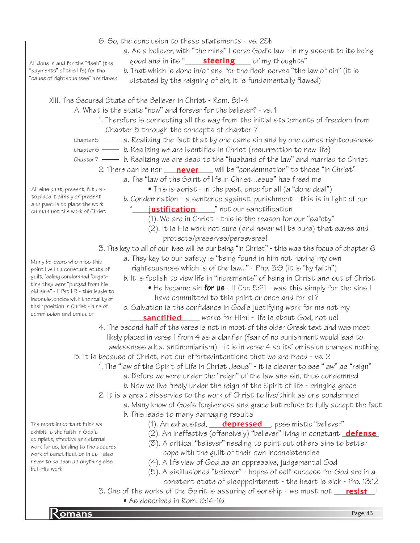- 6. So, the conclusion to these statements vs. 25b
	- a. As a believer, with "the mind" I serve God's law in my assent to its being good and in its "\_\_\_\_\_\_\_\_\_\_\_\_\_\_\_\_ of my thoughts" steering

All done in and for the "flesh" (the "payments" of this life) for the "cause of righteousness" are flawed

b. That which is done in/of and for the flesh serves "the law of sin" (it is dictated by the reigning of sin; it is fundamentally flawed)

XIII. The Secured State of the Believer in Christ - Rom. 8:1-4

- A. What is the state "now" and forever for the believer? vs. 1
	- 1. Therefore is connecting all the way from the initial statements of freedom from Chapter 5 through the concepts of chapter 7
	- <code>Chapter5</code> ——  $\,$  a. Realizing the fact that by one came sin and by one comes righteousness
	- <code>Chapter6</code> —— b. Realizing we are identified in Christ (resurrection to new life)
	- chapter7 —— b. Realizing we are dead to the "husband of the law" and married to Christ
		- 2. There can be nor \_\_\_\_<mark>never</mark> \_\_\_\_ will be "condemnation" to those "in Christ"
			- a. The "law of the Spirit of life in Christ Jesus" has freed me
				- This is aorist in the past, once for all (a "done deal")
			- b. Condemnation a sentence against, punishment this is in light of our
			- "\_\_\_\_\_\_**justification**\_\_\_\_\_\_" not our sanctification
				- (1). We are in Christ this is the reason for our "safety"
				- (2). It is His work not ours (and never will be ours) that saves and protects/preserves/perseveres!
			- 3. The key to all of our lives will be our being "in Christ" this was the focus of chapter 6
				- a. They key to our safety is "being found in him not having my own righteousness which is of the law..." - Php. 3:9 (it is "by faith")
					-
					- b. It is foolish to view life in "increments" of being in Christ and out of Christ
						- He became sin **for us**  $\cdot$  II Cor. 5:21  $\cdot$  was this simply for the sins I have committed to this point or once and for all?
					- c. Salvation is the confidence in God's justifying work for me not my **sanctified** works for Him! - life is about God, not us!
			- 4. The second half of the verse is not in most of the older Greek text and was most likely placed in verse 1 from 4 as a clarifier (fear of no punishment would lead to lawlessness a.k.a. antinomianism) - it is in verse 4 so its' omission changes nothing
	- B. It is because of Christ, not our efforts/intentions that we are freed vs. 2
		- 1. The "law of the Spirit of Life in Christ Jesus" it is clearer to see "law" as "reign"
			- a. Before we were under the "reign" of the law and sin, thus condemned
			- b. Now we live freely under the reign of the Spirit of life bringing grace
		- 2. It is a great disservice to the work of Christ to live/think as one condemned
			- a. Many know of God's forgiveness and grace but refuse to fully accept the fact b. This leads to many damaging results
				- (1). An exhausted, **\_\_\_\_depressed\_\_\_**, pessimistic "believer"
				- (2). An ineffective (offensively) "believer" living in constant <u>\_**defense**</u>
				- (3). A critical "believer" needing to point out others sins to better cope with the guilt of their own inconsistencies
				- (4). A life view of God as an oppressive, judgemental God
				- (5). A disillusioned "believer" hopes of self-success for God are in a
					- constant state of disappointment the heart is sick Pro. 13:12
- Romans Page 43 3. One of the works of the Spirit is assuring of sonship - we must not \_\_<mark>\_\_resist\_\_</mark>! • As described in Rom. 8:14-16

The most important faith we exhibit is the faith in God's complete, effective and eternal work for us, leading to the assured work of sanctification in us - also never to be seen as anything else but His work

point live in a constant state of guilt, feeling condemned forgetting they were "purged from his old sins" - II Pet 1:9 - this leads to inconsistencies with the reality of their position in Christ - sins of commission and omission

Many believers who miss this

All sins past, present, future to place it simply on present and past is to place the work on man not the work of Christ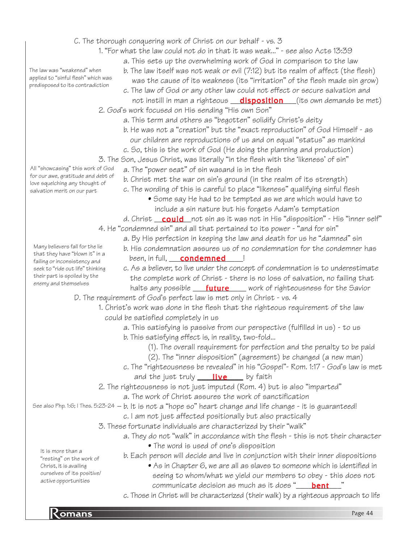- C. The thorough conquering work of Christ on our behalf vs. 3
	- 1. "For what the law could not do in that it was weak..." see also Acts 13:39

a. This sets up the overwhelming work of God in comparison to the law

b. The law itself was not weak or evil (7:12) but its realm of affect (the flesh)

 was the cause of its weakness (its "irritation" of the flesh made sin grow) c. The law of God or any other law could not effect or secure salvation and

- not instill in man a righteous \_\_\_<mark>disposition</mark>\_\_\_(its own demands be met) 2. God's work focused on His sending "His own Son"
	- a. This term and others as "begotten" solidify Christ's deity
	- b. He was not a "creation" but the "exact reproduction" of God Himself as our children are reproductions of us and on equal "status" as mankind
	- c. So, this is the work of God (He doing the planning and production)
- 3. The Son, Jesus Christ, was literally "in the flesh with the 'likeness' of sin"
	- a. The "power seat" of sin wasand is in the flesh
	- b. Christ met the war on sin's ground (in the realm of its strength)
	- c. The wording of this is careful to place "likeness" qualifying sinful flesh
		- Some say He had to be tempted as we are which would have to include a sin nature but his forgets Adam's temptation
	- d. Christ \_\_**could** \_not sin as it was not in His "disposition" His "inner self"
- 4. He "condemned sin" and all that pertained to its power "and for sin"
	- a. By His perfection in keeping the law and death for us he "damned" sin
	- b. His condemnation assures us of no condemnation for the condemner has been, in full, condemned [10]
	- c. As a believer, to live under the concept of condemnation is to underestimate the complete work of Christ - there is no loss of salvation, no failing that halts any possible \_\_\_\_<mark>future</mark> \_\_\_\_ work of righteousness for the Savior

D. The requirement of God's perfect law is met only in Christ - vs. 4

- 1. Christ's work was done in the flesh that the righteous requirement of the law could be satisfied completely in us
	- a. This satisfying is passive from our perspective (fulfilled in us) to us
	- b. This satisfying effect is, in reality, two-fold...
		- (1). The overall requirement for perfection and the penalty to be paid
		- (2). The "inner disposition" (agreement) be changed (a new man)
	- c. The "righteousness be revealed" in his "Gospel"- Rom. 1:17 God's law is met and the just truly \_\_\_\_\_\_<mark>live</mark> \_\_\_\_ by faith
- 2. The righteousness is not just imputed (Rom. 4) but is also "imparted"
	- a. The work of Christ assures the work of sanctification
- See also Php. 1:6; I Thes. 5:23-24  $-$  b. It is not a "hope so" heart change and life change it is guaranteed!
	- c. I am not just affected positionally but also practically
	- 3. These fortunate individuals are characterized by their "walk"
		- a. They do not "walk" in accordance with the flesh this is not their character
			- The word is used of one's disposition
			- b. Each person will decide and live in conjunction with their inner dispositions
				- As in Chapter 6, we are all as slaves to someone which is identified in seeing to whom/what we yield our members to obey - this does not communicate decision as much as it does "\_\_\_\_\_<mark>bent</mark>\_\_\_\_"
			- c. Those in Christ will be characterized (their walk) by a righteous approach to life

The law was "weakened" when applied to "sinful flesh" which was predisposed to its contradiction

All "showcasing" this work of God for our awe, gratitude and debt of love squelching any thought of salvation merit on our part

Many believers fall for the lie that they have "blown it" in a failing or inconsistency and seek to "ride out life" thinking their part is spoiled by the enemy and themselves

It is more than a "resting" on the work of Christ, it is availing ourselves of its positive/ active opportunities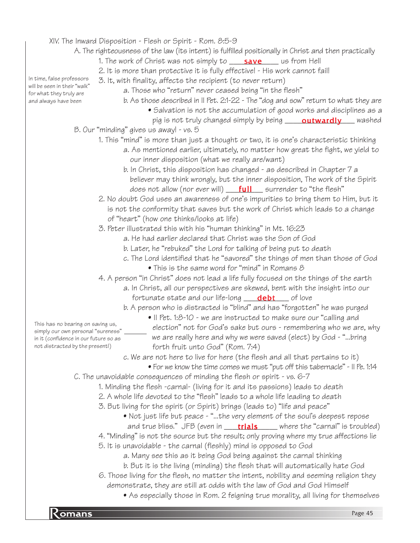#### XIV. The Inward Disposition - Flesh or Spirit - Rom. 8:5-9

- A. The righteousness of the law (its intent) is fulfilled positionally in Christ and then practically
	- 1. The work of Christ was not simply to \_\_\_\_<mark>save</mark> \_\_\_\_ us from Hell
	- 2. It is more than protective it is fully effective! His work cannot fail!

3. It, with finality, affects the recipient (to never return) In time, false professors will be seen in their "walk"

a. Those who "return" never ceased being "in the flesh"

for what they truly are and always have been

- 
- b. As those described in II Pet. 2:1-22 The "dog and sow" return to what they are • Salvation is not the accumulation of good works and disciplines as a
- pig is not truly changed simply by being \_\_\_\_\_**outwardly** \_\_\_\_ washed B. Our "minding" gives us away! - vs. 5
	- 1. This "mind" is more than just a thought or two, it is one's characteristic thinking
		- a. As mentioned earlier, ultimately, no matter how great the fight, we yield to our inner disposition (what we really are/want)
		- b. In Christ, this disposition has changed as described in Chapter 7 a believer may think wrongly, but the inner disposition, The work of the Spirit does not allow (nor ever will) \_\_\_<mark>full</mark>\_\_\_ surrender to "the flesh"
	- 2. No doubt God uses an awareness of one's impurities to bring them to Him, but it is not the conformity that saves but the work of Christ which leads to a change of "heart" (how one thinks/looks at life)
	- 3. Peter illustrated this with his "human thinking" in Mt. 16:23
		- a. He had earlier declared that Christ was the Son of God
		- b. Later, he "rebuked" the Lord for talking of being put to death
		- c. The Lord identified that he "savored" the things of men than those of God
			- This is the same word for "mind" in Romans 8

4. A person "in Christ" does not lead a life fully focused on the things of the earth

- a. In Christ, all our perspectives are skewed, bent with the insight into our fortunate state and our life-long \_\_\_\_\_<mark>debt</mark> \_\_\_\_ of love
- b. A person who is distracted is "blind" and has "forgotten" he was purged
	- II Pet. 1:8-10 we are instructed to make sure our "calling and

This has no bearing on saving us, simply our own personal "sureness" in it (confidence in our future so as not distracted by the present!)

- election" not for God's sake but ours remembering who we are, why we are really here and why we were saved (elect) by God - "...bring forth fruit unto God" (Rom. 7:4)
- c. We are not here to live for here (the flesh and all that pertains to it)
	- For we know the time comes we must "put off this tabernacle" II Pe. 1:14
- C. The unavoidable consequences of minding the flesh or spirit vs. 6-7
	- 1. Minding the flesh -carnal- (living for it and its passions) leads to death
	- 2. A whole life devoted to the "flesh" leads to a whole life leading to death
	- 3. But living for the spirit (or Spirit) brings (leads to) "life and peace"
		- Not just life but peace "...the very element of the soul's deepest repose
	- and true bliss." JFB (even in \_\_\_\_\_\_\_\_\_\_\_\_\_\_\_\_\_\_\_\_\_\_ where the "carnal" is troubled) 4. "Minding" is not the source but the result; only proving where my true affections lie
	- 5. It is unavoidable the carnal (fleshly) mind is opposed to God
		- a. Many see this as it being God being against the carnal thinking
		- b. But it is the living (minding) the flesh that will automatically hate God
	- 6. Those living for the flesh, no matter the intent, nobility and seeming religion they
		- demonstrate, they are still at odds with the law of God and God Himself
			- As especially those in Rom. 2 feigning true morality, all living for themselves

**R** omans Page 45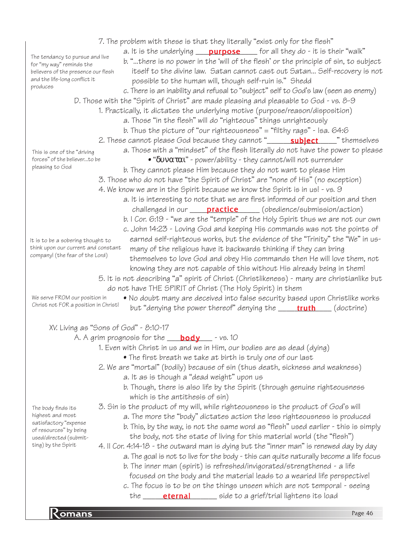7. The problem with these is that they literally "exist only for the flesh" a. It is the underlying \_\_\_\_<mark>purpose</mark> \_\_\_\_ for all they do - it is their "walk" b. "...there is no power in the 'will of the flesh' or the principle of sin, to subject itself to the divine law. Satan cannot cast out Satan... Self-recovery is not possible to the human will, though self-ruin is." Shedd c. There is an inability and refusal to "subject" self to God's law (seen as enemy) D. Those with the "Spirit of Christ" are made pleasing and pleasable to God - vs. 8-9 1. Practically, it dictates the underlying motive (purpose/reason/disposition) a. Those "in the flesh" will do "righteous" things unrighteously b. Thus the picture of "our righteousness" = "filthy rags" - Isa. 64:6 2. These cannot please God because they cannot "\_\_\_\_\_\_\_**subject**\_\_\_\_\_" themselves a. Those with a "mindset" of the flesh literally do not have the power to please • "δυναται" - power/ability - they cannot/will not surrender b. They cannot please Him because they do not want to please Him 3. Those who do not have "the Spirit of Christ" are "none of His" (no exception) 4. We know we are in the Spirit because we know the Spirit is in us! - vs. 9 a. It is interesting to note that we are first informed of our position and then challenged in our **\_\_\_\_\_\_\_\_\_\_\_\_\_\_\_\_\_\_\_\_** (obedience/submission/action) b. I Cor. 6:19 - "we are the "temple" of the Holy Spirit thus we are not our own c. John 14:23 - Loving God and keeping His commands was not the points of earned self-righteous works, but the evidence of the "Trinity" the "We" in us many of the religious have it backwards thinking if they can bring themselves to love God and obey His commands then He will love them, not knowing they are not capable of this without His already being in them! 5. It is not describing "a" spirit of Christ (Christlikeness) - many are christianlike but do not have THE SPIRIT of Christ (The Holy Spirit) in them • No doubt many are deceived into false security based upon Christlike works but "denying the power thereof" denying the \_\_\_\_\_<mark>truth</mark> \_\_\_\_ (doctrine) XV. Living as "Sons of God" - 8:10-17 A. A grim prognosis for the \_\_<mark>\_\_body</mark> \_\_\_ – vs. 10 1. Even with Christ in us and we in Him, our bodies are as dead (dying) • The first breath we take at birth is truly one of our last 2. We are "mortal" (bodily) because of sin (thus death, sickness and weakness) a. It as is though a "dead weight" upon us b. Though, there is also life by the Spirit (through genuine righteousness which is the antithesis of sin) 3. Sin is the product of my will, while righteousness is the product of God's will a. The more the "body" dictates action the less righteousness is produced b. This, by the way, is not the same word as "flesh" used earlier - this is simply the body, not the state of living for this material world (the "flesh") 4. II Cor. 4:14-18 - the outward man is dying but the "inner man" is renewed day by day a. The goal is not to live for the body - this can quite naturally become a life focus b. The inner man (spirit) is refreshed/invigorated/strengthened - a life focused on the body and the material leads to a wearied life perspective! c. The focus is to be on the things unseen which are not temporal - seeing The tendancy to pursue and live for "my way" reminds the believers of the presence our flesh and the life-long conflict it produces This is one of the "driving forces" of the believer...to be pleasing to God It is to be a sobering thought to think upon our current and constant company! (the fear of the Lord) We serve FROM our position in Christ not FOR a position in Christ! The body finds its highest and most satisfactory "expense of resources" by being used/directed (submitting) by the Spirit

the **\_\_\_\_\_\_\_\_\_\_\_\_\_\_\_\_\_\_\_\_\_**\_\_ side to a grief/trial lightens its load

**Romans** Page 46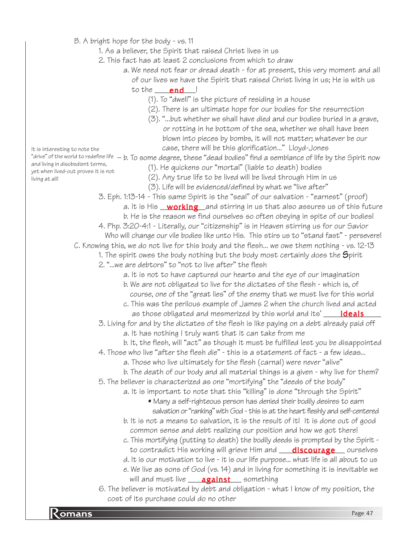- B. A bright hope for the body vs. 11
	- 1. As a believer, the Spirit that raised Christ lives in us
	- 2. This fact has at least 2 conclusions from which to draw
		- a. We need not fear or dread death for at present, this very moment and all of our lives we have the Spirit that raised Christ living in us; He is with us to the <u>\_\_\_\_\_\_\_\_\_\_\_\_\_</u>!
			- (1). To "dwell" is the picture of residing in a house
			- (2). There is an ultimate hope for our bodies for the resurrection
			- (3). "...but whether we shall have died and our bodies buried in a grave, or rotting in he bottom of the sea, whether we shall have been blown into pieces by bombs, it will not matter; whatever be our case, there will be this glorification..." Lloyd-Jones

It is interesting to note the

- and living in disobedient terms, yet when lived-out proves it is not living at all!
- "drive" of the world to redefine life  $-$  b. To some degree, these "dead bodies" find a semblance of life by the Spirit now (1). He quickens our "mortal" (liable to death) bodies
	- (2). Any true life to be lived will be lived through Him in us
	- (3). Life will be evidenced/defined by what we "live after"
	- 3. Eph. 1:13-14 This same Spirit is the "seal" of our salvation "earnest" (proof)
		- a. It is His \_\_**working**\_\_and stirring in us that also assures us of this future b. He is the reason we find ourselves so often obeying in spite of our bodies!
	- 4. Php. 3:20-4:1 Literally, our "citizenship" is in Heaven stirring us for our Savior
	- Who will change our vile bodies like unto His. This stirs us to "stand fast" persevere!
	- C. Knowing this, we do not live for this body and the flesh... we owe them nothing vs. 12-13
		- 1. The spirit owes the body nothing but the body most certainly does the Spirit
		- 2. "...we are debtors" to "not to live after" the flesh
			- a. It is not to have captured our hearts and the eye of our imagination
			- b. We are not obligated to live for the dictates of the flesh which is, of
			- course, one of the "great lies" of the enemy that we must live for this world
			- c. This was the perilous example of James 2 when the church lived and acted as those obligated and mesmerized by this world and its' \_\_\_\_\_\_\_\_\_\_\_\_\_\_\_\_\_\_\_\_\_\_\_
		- 3. Living for and by the dictates of the flesh is like paying on a debt already paid off
			- a. It has nothing I truly want that it can take from me
			- b. It, the flesh, will "act" as though it must be fulfilled lest you be disappointed
		- 4. Those who live "after the flesh die" this is a statement of fact a few ideas...
			- a. Those who live ultimately for the flesh (carnal) were never "alive"
			- b. The death of our body and all material things is a given why live for them?
		- 5. The believer is characterized as one "mortifying" the "deeds of the body"
			- a. It is important to note that this "killing" is done "through the Spirit"
				- Many a self-righteous person has denied their bodily desires to earn salvation or "ranking" with God - this is at the heart fleshly and self-centered
			- b. It is not a means to salvation, it is the result of it! It is done out of good common sense and debt realizing our position and how we got there!
			- c. This mortifying (putting to death) the bodily deeds is prompted by the Spirit to contradict His working will grieve Him and **\_\_\_\_<mark>discourage</mark>\_\_\_\_** ourselves
			- d. It is our motivation to live it is our life purpose... what life is all about to us
			- e. We live as sons of God (vs. 14) and in living for something it is inevitable we will and must live \_\_\_\_**against**\_\_\_\_something
		- 6. The believer is motivated by debt and obligation what I know of my position, the cost of its purchase could do no other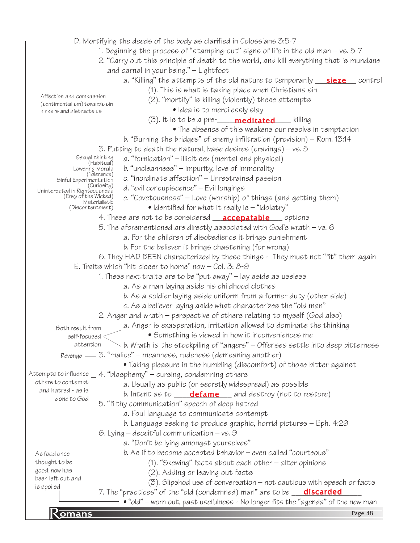• "old" – worn out, past usefulness - No longer fits the "agenda" of the new man<br>Page 48 D. Mortifying the deeds of the body as clarified in Colossians 3:5-7 1. Beginning the process of "stamping-out" signs of life in the old man – vs. 5-7 2. "Carry out this principle of death to the world, and kill everything that is mundane and carnal in your being." – Lightfoot a. "Killing" the attempts of the old nature to temporarily <u>\_\_**\_\_sieze** \_\_</u>\_\_ control (1). This is what is taking place when Christians sin (2). "mortify" is killing (violently) these attempts • Idea is to mercilessly slay (3). It is to be a pre-\_\_\_\_\_\_\_\_\_\_\_\_\_\_\_\_\_\_ killing meditated • The absence of this weakens our resolve in temptation b. "Burning the bridges" of enemy infiltration (provision) – Rom. 13:14 3. Putting to death the natural, base desires (cravings) – vs.  $5$ a. "fornication" – illicit sex (mental and physical) b. "uncleanness" – impurity, love of immorality c. "inordinate affection" – Unrestrained passion d. "evil concupiscence" – Evil longings e. "Covetousness" – Love (worship) of things (and getting them) • Identified for what it really is – "idolatry" 4. These are not to be considered <u>\_\_**accepatable** \_\_</u>\_\_ options 5. The aforementioned are directly associated with God's wrath – vs. 6 a. For the children of disobedience it brings punishment b. For the believer it brings chastening (for wrong) 6. They HAD BEEN characterized by these things - They must not "fit" them again E. Traits which "hit closer to home" now – Col. 3: 8-9 1. These next traits are to be "put away" – lay aside as useless a. As a man laying aside his childhood clothes b. As a soldier laying aside uniform from a former duty (other side) c. As a believer laying aside what characterizes the "old man" 2. Anger and wrath – perspective of others relating to myself (God also) a. Anger is exasperation, irritation allowed to dominate the thinking • Something is viewed in how it inconveniences me b. Wrath is the stockpiling of "angers" – Offenses settle into deep bitterness Revenge — 3. "malice" – meanness, rudeness (demeaning another) • Taking pleasure in the humbling (discomfort) of those bitter against Attempts to influence  $\_$  4. "blasphemy" – cursing, condemning others a. Usually as public (or secretly widespread) as possible b. Intent as to **\_\_\_\_\_\_\_\_\_\_\_\_\_\_\_\_\_\_\_\_**\_ and destroy (not to restore) 5. "filthy communication" speech of deep hatred a. Foul language to communicate contempt b. Language seeking to produce graphic, horrid pictures – Eph. 4:29 6. Lying  $-$  deceitful communication  $-$  vs.  $9$ a. "Don't be lying amongst yourselves" b. As if to become accepted behavior – even called "courteous" (1). "Skewing" facts about each other – alter opinions (2). Adding or leaving out facts (3). Slipshod use of conversation – not cautious with speech or facts 7. The "practices" of the "old (condemned) man" are to be \_\_<mark>\_\_discarded</mark>\_\_\_\_\_ Sexual thinking (Habitual) Lowering Morals (Tolerance) Sinful Experimentation (Curiosity) Uninterested in Righteousness (Envy of the Wicked) Materialistic (Discontentment) Affection and compassion (sentimentalism) towards sin hinders and distracts us Both result from self-focused attention others to contempt and hatred - as is done to God As food once thought to be good, now has been left out and is spoiled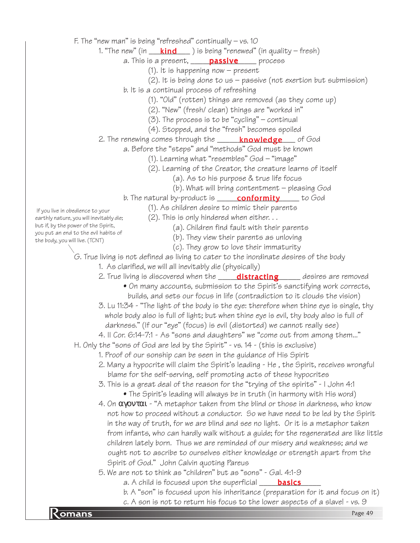F. The "new man" is being "refreshed" continually – vs. 10

1. "The new" (in \_\_\_\_<mark>kind</mark>\_\_\_\_) is being "renewed" (in quality – fresh)

a. This is a present, **passive** process

- (1). It is happening now present
- $(2)$ . It is being done to us passive (not exertion but submission)
- b. It is a continual process of refreshing
	- (1). "Old" (rotten) things are removed (as they come up)
	- (2). "New" (fresh/ clean) things are "worked in"
	- $(3)$ . The process is to be "cycling" continual
	- (4). Stopped, and the "fresh" becomes spoiled
- 2. The renewing comes through the \_\_\_\_\_\_<mark>knowledge</mark>\_\_\_\_ of God
	- a. Before the "steps" and "methods" God must be known
		- (1). Learning what "resembles" God "image"
		- (2). Learning of the Creator, the creature learns of itself
			- (a). As to his purpose & true life focus
			- (b). What will bring contentment pleasing God
		- b. The natural by-product is \_\_\_\_\_\_**conformity** \_\_\_\_\_\_ to God
			- (1). As children desire to mimic their parents
- If you live in obedience to your earthly nature, you will inevitably die; but if, by the power of the Spirit, you put an end to the evil habits of the body, you will live. (TCNT)
- (a). Children find fault with their parents
	- (b). They view their parents as unloving
	- (c). They grow to love their immaturity

G. True living is not defined as living to cater to the inordinate desires of the body

(2). This is only hindered when either. . .

- 1. As clarified, we will all inevitably die (physically)
- 2. True living is discovered when the window **distracting** when desires are removed
	- On many accounts, submission to the Spirit's sanctifying work corrects, builds, and sets our focus in life (contradiction to it clouds the vision)
- 3. Lu 11:34 "The light of the body is the eye: therefore when thine eye is single, thy whole body also is full of light; but when thine eye is evil, thy body also is full of darkness." (If our "eye" (focus) is evil (distorted) we cannot really see)
- 4. II Cor. 6:14-7:1 As "sons and daughters" we "come out from among them..."
- H. Only the "sons of God are led by the Spirit" vs. 14 (this is exclusive)
	- 1. Proof of our sonship can be seen in the guidance of His Spirit
	- 2. Many a hypocrite will claim the Spirit's leading He , the Spirit, receives wrongful blame for the self-serving, self promoting acts of these hypocrites
	- 3. This is a great deal of the reason for the "trying of the spirits" I John 4:1 • The Spirit's leading will always be in truth (in harmony with His word)
	- 4. On  $\alpha$ γοντ $\alpha$ ι "A metaphor taken from the blind or those in darkness, who know not how to proceed without a conductor. So we have need to be led by the Spirit in the way of truth, for we are blind and see no light. Or it is a metaphor taken from infants, who can hardly walk without a guide; for the regenerated are like little children lately born. Thus we are reminded of our misery and weakness; and we ought not to ascribe to ourselves either knowledge or strength apart from the Spirit of God." John Calvin quoting Pareus
	- 5. We are not to think as "children" but as "sons" Gal. 4:1-9
		- a. A child is focused upon the superficial \_\_\_\_\_<mark>basics</mark>\_\_\_\_
		- b. A "son" is focused upon his inheritance (preparation for it and focus on it)
- c. A son is not to return his focus to the lower aspects of a slave! vs. 9<br>Page 49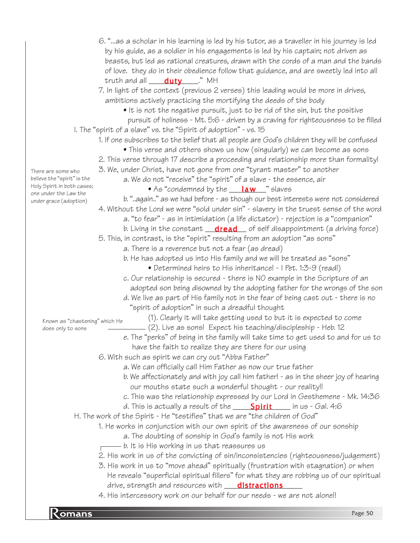|                                                     | 6. "as a scholar in his learning is led by his tutor, as a traveller in his journey is led  |
|-----------------------------------------------------|---------------------------------------------------------------------------------------------|
|                                                     | by his guide, as a soldier in his engagements is led by his captain; not driven as          |
|                                                     | beasts, but led as rational creatures, drawn with the cords of a man and the bands          |
|                                                     | of love. they do in their obedience follow that guidance, and are sweetly led into all      |
|                                                     | truth and all ____ <b>duty</b> ____." MH                                                    |
|                                                     | 7. In light of the context (previous 2 verses) this leading would be more in drives,        |
|                                                     | ambitions actively practicing the mortifying the deeds of the body                          |
|                                                     | • It is not the negative pursuit, just to be rid of the sin, but the positive               |
|                                                     | pursuit of holiness - Mt. 5:6 - driven by a craving for righteousness to be filled          |
|                                                     | I. The "spirit of a slave" vs. the "Spirit of adoption" - vs. 15                            |
|                                                     | 1. If one subscribes to the belief that all people are God's children they will be confused |
|                                                     | • This verse and others shows us how (singularly) we can become as sons                     |
|                                                     | 2. This verse through 17 describe a proceeding and relationship more than formality!        |
| There are some who                                  | 3. We, under Christ, have not gone from one "tyrant master" to another                      |
| believe the "spirit" is the                         | a. We do not "receive" the "spirit" of a slave - the essence, air                           |
| Holy Spirit in both cases;<br>one under the Law the | • As "condemned by the <u>__<b>law</b></u> " slaves                                         |
| under grace (adoption)                              | b. "again" as we had before - as though our best interests were not considered              |
|                                                     | 4. Without the Lord we were "sold under sin" - slavery in the truest sense of the word      |
|                                                     | a. "to fear" - as in intimidation (a life dictator) - rejection is a "companion"            |
|                                                     | b. Living in the constant <b>dread</b> of self disappointment (a driving force)             |
|                                                     | 5. This, in contrast, is the "spirit" resulting from an adoption "as sons"                  |
|                                                     | a. There is a reverence but not a fear (as dread)                                           |
|                                                     | b. He has adopted us into His family and we will be treated as "sons"                       |
|                                                     | • Determined heirs to His inheritance! - I Pet. 1:3-9 (read!)                               |
|                                                     | c. Our relationship is secured - there is NO example in the Scripture of an                 |
|                                                     | adopted son being disowned by the adopting father for the wrongs of the son                 |
|                                                     | d. We live as part of His family not in the fear of being cast out - there is no            |
|                                                     | "spirit of adoption" in such a dreadful thought                                             |
| Known as "chastening" which He                      | (1). Clearly it will take getting used to but it is expected to come                        |
| does only to sons                                   | (2). Live as sons! Expect his teaching/discipleship - Heb. 12                               |
|                                                     | e. The "perks" of being in the family will take time to get used to and for us to           |
|                                                     | have the faith to realize they are there for our using                                      |
|                                                     | 6. With such as spirit we can cry out "Abba Father"                                         |
|                                                     | a. We can officially call Him Father as now our true father                                 |
|                                                     | b. We affectionately and with joy call him father! - as in the sheer joy of hearing         |
|                                                     | our mouths state such a wonderful thought - our reality!!                                   |
|                                                     | c. This was the relationship expressed by our Lord in Gesthemene - Mk. 14:36                |
|                                                     | d. This is actually a result of the $Spirit$ in us - Gal. 4:6                               |
|                                                     | H. The work of the Spirit - He "testifies" that we are "the children of God"                |
|                                                     | 1. He works in conjunction with our own spirit of the awareness of our sonship              |
|                                                     | a. The doubting of sonship in God's family is not His work                                  |
|                                                     | $-$ b. It is His working in us that reassures us                                            |
|                                                     | 2. His work in us of the convicting of sin/inconsistencies (righteousness/judgement)        |
|                                                     | 3. His work in us to "move ahead" spiritually (frustration with stagnation) or when         |
|                                                     | He reveals "superficial spiritual fillers" for what they are robbing us of our spiritual    |
|                                                     | drive, strength and resources with <b>distractions</b>                                      |
|                                                     | 4. His intercessory work on our behalf for our needs - we are not alone!!                   |
|                                                     |                                                                                             |
| <u>Komans</u>                                       | Page 50                                                                                     |
|                                                     |                                                                                             |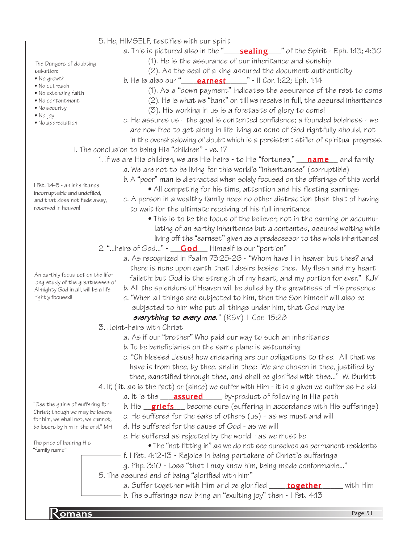- 5. He, HIMSELF, testifies with our spirit
	- a. This is pictured also in the "\_\_\_\_\_<mark>sealing</mark>\_\_\_\_" of the Spirit Eph. 1:13; 4:30 (1). He is the assurance of our inheritance and sonship

The Dangers of doubting salvation:

- No growth
- 
- 
- 
- 
- 
- No appreciation

- 
- 
- 
- No security
- 
- 

- No outreach
- No extending faith
- No contentment
- 
- No joy
- 

I Pet. 1:4-5 - an inheritance incorruptable and undefiled, and that does not fade away,

reserved in heaven!

- (2). As the seal of a king assured the document authenticity b. He is also our "\_\_\_\_\_**earnest**\_\_\_\_\_\_" - II Cor. 1:22; Eph. 1:14
- 
- (1). As a "down payment" indicates the assurance of the rest to come (2). He is what we "bank" on till we receive in full, the assured inheritance
- (3). His working in us is a foretaste of glory to come!
- c. He assures us the goal is contented confidence; a founded boldness we are now free to get along in life living as sons of God rightfully should, not in the overshadowing of doubt which is a persistent stifler of spiritual progress.
- I. The conclusion to being His "children" vs. 17
	- 1. If we are His children, we are His heirs to His "fortunes," \_\_\_<mark>name</mark> \_\_ and family
		- a. We are not to be living for this world's "inheritances" (corruptible)
		- b. A "poor" man is distracted when solely focused on the offerings of this world • All competing for his time, attention and his fleeting earnings
		- c. A person in a wealthy family need no other distraction than that of having to wait for the ultimate receiving of his full inheritance
			- This is to be the focus of the believer; not in the earning or accumu lating of an earthy inheritance but a contented, assured waiting while living off the "earnest" given as a predecessor to the whole inheritance!
		- 2. "…heirs of God…" \_\_<mark>\_God</mark> \_\_ Himself is our "portion"
			- a. As recognized in Psalm 73:25-26 "Whom have I in heaven but thee? and there is none upon earth that I desire beside thee. My flesh and my heart faileth: but God is the strength of my heart, and my portion for ever." KJV
			- b. All the splendors of Heaven will be dulled by the greatness of His presence
			- c. "When all things are subjected to him, then the Son himself will also be subjected to him who put all things under him, that God may be

## everything to every one." (RSV) | Cor. 15:28

- 3. Joint-heirs with Christ
	- a. As if our "brother" Who paid our way to such an inheritance
	- b. To be beneficiaries on the same plane is astounding!
	- c. "Oh blessed Jesus! how endearing are our obligations to thee! All that we have is from thee, by thee, and in thee: We are chosen in thee, justified by thee, sanctified through thee, and shall be glorified with thee..." W. Burkitt
- 4. If, (lit. as is the fact) or (since) we suffer with Him it is a given we suffer as He did
	- a. It is the \_\_\_\_**assured** \_\_\_\_\_ by-product of following in His path
	- b. His \_**\_griefs** \_\_\_ become ours (suffering in accordance with His sufferings)
	- c. He suffered for the sake of others (us) as we must and will
	- d. He suffered for the cause of God as we will
	- e. He suffered as rejected by the world as we must be
		- The "not fitting in" as we do not see ourselves as permanent residents
	- f. I Pet. 4:12-13 Rejoice in being partakers of Christ's sufferings

g. Php. 3:10 - Loss "that I may know him, being made conformable..."

5. The assured end of being "glorified with him"

- a. Suffer together with Him and be glorified **\_\_\_\_\_\_together** \_\_\_\_\_\_ with Him
- b. The sufferings now bring an "exulting joy" then I Pet. 4:13

"See the gains of suffering for Christ; though we may be losers for him, we shall not, we cannot, be losers by him in the end." MH

The price of bearing His "family name"

An earthly focus set on the lifelong study of the greatnesses of Almighty God in all, will be a life rightly focused!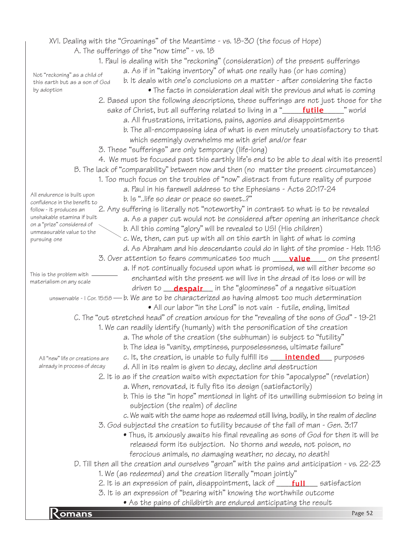|                                                             | $\bullet$ As the pains of childbirth are endured anticipating the result                                                                                         |
|-------------------------------------------------------------|------------------------------------------------------------------------------------------------------------------------------------------------------------------|
|                                                             | 3. It is an expression of "bearing with" knowing the worthwhile outcome                                                                                          |
|                                                             | 2. It is an expression of pain, disappointment, lack of <b>full</b> satisfaction                                                                                 |
|                                                             | D. Till then all the creation and ourselves "groan" with the pains and anticipation - vs. 22-23<br>1. We (as redeemed) and the creation literally "moan jointly" |
|                                                             | ferocious animals, no damaging weather, no decay, no death!                                                                                                      |
|                                                             | released form its subjection. No thorns and weeds, not poison, no                                                                                                |
|                                                             | • Thus, it anxiously awaits his final revealing as sons of God for then it will be                                                                               |
|                                                             | 3. God subjected the creation to futility because of the fall of man - Gen. 3:17                                                                                 |
|                                                             | c. We wait with the same hope as redeemed still living, bodily, in the realm of decline                                                                          |
|                                                             | subjection (the realm) of decline                                                                                                                                |
|                                                             | b. This is the "in hope" mentioned in light of its unwilling submission to being in                                                                              |
|                                                             | a. When, renovated, it fully fits its design (satisfactorily)                                                                                                    |
|                                                             | 2. It is as if the creation waits with expectation for this "apocalypse" (revelation)                                                                            |
| already in process of decay                                 | d. All in its realm is given to decay, decline and destruction                                                                                                   |
| All "new" life or creations are                             | c. It, the creation, is unable to fully fulfill its <b>____ intended</b><br>$_p$ purposes                                                                        |
|                                                             | b. The idea is "vanity, emptiness, purposelessness, ultimate failure"                                                                                            |
|                                                             | a. The whole of the creation (the subhuman) is subject to "futility"                                                                                             |
|                                                             | 1. We can readily identify (humanly) with the personification of the creation                                                                                    |
|                                                             | C. The "out stretched head" of creation anxious for the "revealing of the sons of God" - 19-21                                                                   |
|                                                             | • All our labor "in the Lord" is not vain - futile, ending, limited                                                                                              |
|                                                             | unswervable - I Cor. 15:58 — b. We are to be characterized as having almost too much determination                                                               |
|                                                             | driven to <b>despair</b> in the "gloominess" of a negative situation                                                                                             |
| This is the problem with<br>materialism on any scale        | enchanted with the present we will live in the dread of its loss or will be                                                                                      |
|                                                             | a. If not continually focused upon what is promised, we will either become so                                                                                    |
|                                                             | 3. Over attention to fears communicates too much __ <b>value</b> ___ on the present!                                                                             |
|                                                             | d. As Abraham and his descendants could do in light of the promise - Heb. 11:16                                                                                  |
| pursuing one                                                | c. We, then, can put up with all on this earth in light of what is coming                                                                                        |
| on a "prize" considered of<br>unmeasurable value to the     | b. All this coming "glory" will be revealed to US! (His children)                                                                                                |
| unshakable stamina if built                                 | a. As a paper cut would not be considered after opening an inheritance check                                                                                     |
| follow - it produces an                                     | 2. Any suffering is literally not "noteworthy" in contrast to what is to be revealed                                                                             |
| All endurence is built upon<br>confidence in the benefit to | b. ls "life so dear or peace so sweet?"                                                                                                                          |
|                                                             | a. Paul in his farewell address to the Ephesians - Acts 20:17-24                                                                                                 |
|                                                             | 1. Too much focus on the troubles of "now" distract from future reality of purpose                                                                               |
|                                                             | B. The lack of "comparability" between now and then (no matter the present circumstances)                                                                        |
|                                                             | 4. We must be focused past this earthly life's end to be able to deal with its present!                                                                          |
|                                                             | 3. These "sufferings" are only temporary (life-long)                                                                                                             |
|                                                             | which seemingly overwhelms me with grief and/or fear                                                                                                             |
|                                                             | b. The all-encompassing idea of what is even minutely unsatisfactory to that                                                                                     |
|                                                             | a. All frustrations, irritations, pains, agonies and disappointments                                                                                             |
|                                                             |                                                                                                                                                                  |
|                                                             | 2. Based upon the following descriptions, these sufferings are not just those for the                                                                            |
| this earth but as a son of God<br>by adoption               | • The facts in consideration deal with the previous and what is coming                                                                                           |
| Not "reckoning" as a child of                               | a. As if in "taking inventory" of what one really has (or has coming)<br>b. It deals with one's conclusions on a matter - after considering the facts            |
|                                                             | 1. Paul is dealing with the "reckoning" (consideration) of the present sufferings                                                                                |
|                                                             | A. The sufferings of the "now time" - vs. 18                                                                                                                     |
|                                                             | XVI. Dealing with the "Groanings" of the Meantime - vs. 18-30 (the focus of Hope)                                                                                |
|                                                             |                                                                                                                                                                  |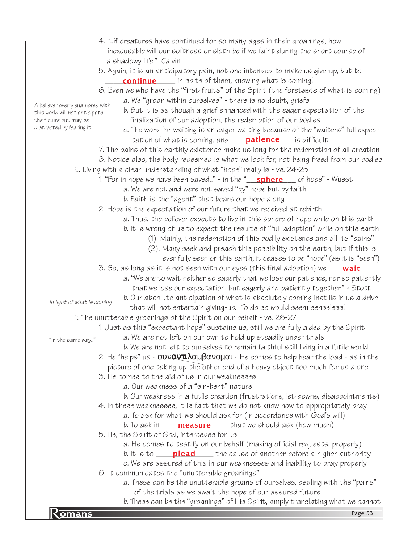- 4. "..if creatures have continued for so many ages in their groanings, how inexcusable will our softness or sloth be if we faint during the short course of a shadowy life." Calvin
- 5. Again, it is an anticipatory pain, not one intended to make us give-up, but to **continue** in spite of them, knowing what is coming!
- 6. Even we who have the "first-fruits" of the Spirit (the foretaste of what is coming) a. We "groan within ourselves" - there is no doubt, griefs A believer overly enamored with
	- b. But it is as though a grief enhanced with the eager expectation of the finalization of our adoption, the redemption of our bodies
		- c. The word for waiting is an eager waiting because of the "waiters" full expec tation of what is coming, and **patience** is difficult
	- 7. The pains of this earthly existence make us long for the redemption of all creation
	- 8. Notice also, the body redeemed is what we look for, not being freed from our bodies E. Living with a clear understanding of what "hope" really is - vs. 24-25
		- 1. "For in hope we have been saved.." in the "\_\_\_\_<mark>sphere</mark>\_\_\_\_ of hope" Wuest
			- a. We are not and were not saved "by" hope but by faith
			- b. Faith is the "agent" that bears our hope along
		- 2. Hope is the expectation of our future that we received at rebirth
			- a. Thus, the believer expects to live in this sphere of hope while on this earth
			- b. It is wrong of us to expect the results of "full adoption" while on this earth
				- (1). Mainly, the redemption of this bodily existence and all its "pains"
				- (2). Many seek and preach this possibility on the earth, but if this is
					- ever fully seen on this earth, it ceases to be "hope" (as it is "seen")
		- 3. So, as long as it is not seen with our eyes (this final adoption) we \_\_\_\_<mark>wait</mark>\_\_\_\_
			- a. "We are to wait neither so eagerly that we lose our patience, nor so patiently
				- that we lose our expectation, but eagerly and patiently together." Stott

b. Our absolute anticipation of what is absolutely coming instills in us a drive that will not entertain giving-up. To do so would seem senseless! In light of what is coming

- F. The unutterable groanings of the Spirit on our behalf vs. 26-27
	- 1. Just as this "expectant hope" sustains us, still we are fully aided by the Spirit
		- a. We are not left on our own to hold up steadily under trials
- "In the same way.."

this world will not anticipate the future but may be distracted by fearing it

- b. We are not left to ourselves to remain faithful still living in a futile world 2. He "helps" us -  $\sigma$ υναντιλαμ $\beta$ ανομαι - He comes to help bear the load - as in the
- picture of one taking up the other end of a heavy object too much for us alone
- 3. He comes to the aid of us in our weaknesses
	- a. Our weakness of a "sin-bent" nature
	- b. Our weakness in a futile creation (frustrations, let-downs, disappointments)
- 4. In these weaknesses, it is fact that we do not know how to appropriately pray
	- a. To ask for what we should ask for (in accordance with God's will)
		- b. To ask in \_\_\_\_\_<mark>measure</mark> \_\_\_\_\_ that we should ask (how much)
- 5. He, the Spirit of God, intercedes for us
	- a. He comes to testify on our behalf (making official requests, properly)
	- b. It is to \_\_\_\_\_<mark>plead</mark>\_\_\_\_\_ the cause of another before a higher authority
- c. We are assured of this in our weaknesses and inability to pray properly
- 6. It communicates the "unutterable groanings"
	- a. These can be the unutterable groans of ourselves, dealing with the "pains" of the trials as we await the hope of our assured future
- b. These can be the "groanings" of His Spirit, amply translating what we cannot<br>Page 53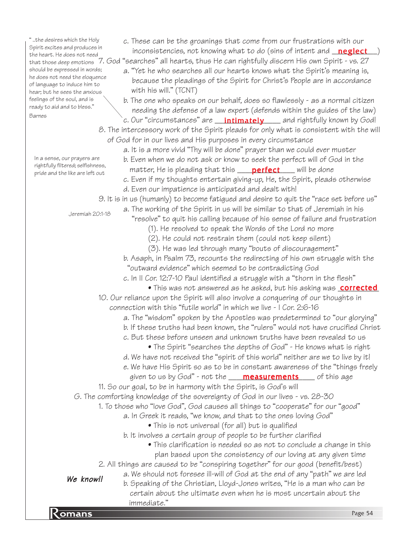" ..the desires which the Holy Spirit excites an the heart. He do that those deep should be expres he does not need of language to in hear; but he sees feelings of the so ready to aid and Barnes

In a sense, our rightfully filter pride and the li

| nd produces in                         | inconsistencies, not knowing what to do (sins of intent and <b>neglect</b> )                              |
|----------------------------------------|-----------------------------------------------------------------------------------------------------------|
| oes not need                           | <sub>pemotions</sub> 7. God "searches" all hearts, thus He can rightfully discern His own Spirit - vs. 27 |
| ssed in words;                         | a. "Yet he who searches all our hearts knows what the Spirit's meaning is,                                |
| d the eloquence:                       |                                                                                                           |
| induce him to                          | because the pleadings of the Spirit for Christ's People are in accordance                                 |
| es the anxious                         | with his will." (TCNT)                                                                                    |
| soul, and is<br>d to bless."           | b. The one who speaks on our behalf, does so flawlessly - as a normal citizen                             |
|                                        | needing the defense of a law expert (defends within the guides of the law)                                |
|                                        | c. Our "circumstances" are <b>intimately</b> and rightfully known by God!                                 |
|                                        | 8. The intercessory work of the Spirit pleads for only what is consistent with the will                   |
|                                        | of God for in our lives and His purposes in every circumstance                                            |
|                                        | a. It is a more vivid "Thy will be done" prayer than we could ever muster                                 |
| r prayers are                          | b. Even when we do not ask or know to seek the perfect will of God in the                                 |
| red; selfishness,<br>like are left out | matter, He is pleading that this <b>____ perfect</b> ____ will be done                                    |
|                                        | c. Even if my thoughts entertain giving-up, He, the Spirit, pleads otherwise                              |
|                                        | d. Even our impatience is anticipated and dealt with!                                                     |
|                                        | 9. It is in us (humanly) to become fatigued and desire to quit the "race set before us"                   |
|                                        | a. The working of the Spirit in us will be similar to that of Jeremiah in his                             |
| Jeremiah 20:1-18                       | "resolve" to quit his calling because of his sense of failure and frustration                             |
|                                        |                                                                                                           |
|                                        | (1). He resolved to speak the Words of the Lord no more                                                   |
|                                        | (2). He could not restrain them (could not keep silent)                                                   |
|                                        | (3). He was led through many "bouts of discouragement"                                                    |
|                                        | b. Asaph, in Psalm 73, recounts the redirecting of his own struggle with the                              |
|                                        | "outward evidence" which seemed to be contradicting God                                                   |
|                                        | c. In II Cor. 12:7-10 Paul identified a struggle with a "thorn in the flesh"                              |
|                                        | • This was not answered as he asked, but his asking was <b>corrected</b>                                  |
|                                        | 10. Our reliance upon the Spirit will also involve a conquering of our thoughts in                        |
|                                        | connection with this "futile world" in which we live - I Cor. 2:6-16                                      |
|                                        | a. The "wisdom" spoken by the Apostles was predetermined to "our glorying"                                |
|                                        | b. If these truths had been known, the "rulers" would not have crucified Christ                           |
|                                        | c. But these before unseen and unknown truths have been revealed to us                                    |
|                                        | • The Spirit "searches the depths of God" - He knows what is right                                        |
|                                        | d. We have not received the "spirit of this world" neither are we to live by it!                          |
|                                        | e. We have His Spirit so as to be in constant awareness of the "things freely                             |
|                                        | given to us by God" - not the <b>____ measurements</b> ____ of this age                                   |
|                                        | 11. So our goal, to be in harmony with the Spirit, is God's will                                          |
|                                        |                                                                                                           |
|                                        | G. The comforting knowledge of the sovereignty of God in our lives - vs. 28-30                            |
|                                        | 1. To those who "love God", God causes all things to "cooperate" for our "good"                           |
|                                        | a. In Greek it reads, "we know, and that to the ones loving God"                                          |
|                                        | • This is not universal (for all) but is qualified                                                        |
|                                        | b. It involves a certain group of people to be further clarified                                          |
|                                        | • This clarification is needed so as not to conclude a change in this                                     |
|                                        | plan based upon the consistency of our loving at any given time                                           |
|                                        | 2. All things are caused to be "conspiring together" for our good (benefit/best)                          |
| We know!!                              | a. We should not foresee ill-will of God at the end of any "path" we are led                              |
|                                        | b. Speaking of the Christian, Lloyd-Jones writes, "He is a man who can be                                 |

certain about the ultimate even when he is most uncertain about the

c. These can be the groanings that come from our frustrations with our

**R** omans **Page 54**<br>Page 54

immediate."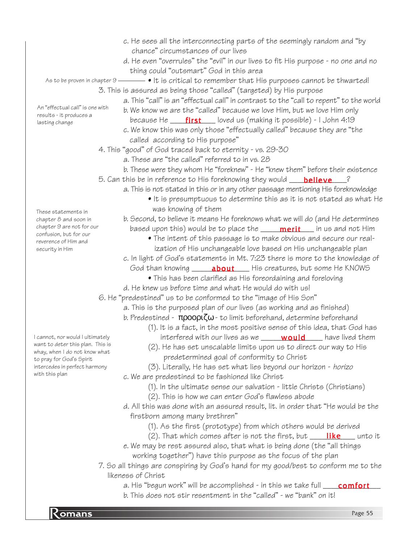- c. He sees all the interconnecting parts of the seemingly random and "by chance" circumstances of our lives d. He even "overrules" the "evil" in our lives to fit His purpose - no one and no thing could "outsmart" God in this area  $\bullet$  It is critical to remember that His purposes cannot be thwarted! 3. This is assured as being those "called" (targeted) by His purpose a. This "call" is an "effectual call" in contrast to the "call to repent" to the world b. We know we are the "called" because we love Him, but we love Him only because He \_\_\_\_\_\_\_\_\_\_\_\_\_\_\_\_\_ loved us (making it possible) - I John 4:19 c. We know this was only those "effectually called" because they are "the called according to His purpose" 4. This "good" of God traced back to eternity - vs. 29-30 a. These are "the called" referred to in vs. 28 b. These were they whom He "foreknew" - He "knew them" before their existence 5. Can this be in reference to His foreknowing they would \_\_\_\_<mark>believe</mark>\_\_\_\_? a. This is not stated in this or in any other passage mentioning His foreknowledge • It is presumptuous to determine this as it is not stated as what He was knowing of them b. Second, to believe it means He foreknows what we will do (and He determines based upon this) would be to place the \_\_\_\_\_<mark>merit</mark>\_\_\_\_ in us and not Him • The intent of this passage is to make obvious and secure our real ization of His unchangeable love based on His unchangeable plan c. In light of God's statements in Mt. 7:23 there is more to the knowledge of God than knowing \_\_\_\_\_**about** \_\_\_\_ His creatures, but some He KNOWS • This has been clarified as His foreordaining and foreloving d. He knew us before time and what He would do with us! 6. He "predestined" us to be conformed to the "image of His Son" a. This is the purposed plan of our lives (as working and as finished) b. Predestined -  $\pi \rho o \circ \rho \zeta \omega$  - to limit beforehand, determine beforehand (1). It is a fact, in the most positive sense of this idea, that God has interfered with our lives as we \_\_\_\_\_\_**would** \_\_\_\_ have lived them (2). He has set unscalable limits upon us to direct our way to His predetermined goal of conformity to Christ (3). Literally, He has set what lies beyond our horizon - horizo c. We are predestined to be fashioned like Christ (1). In the ultimate sense our salvation - little Christs (Christians) (2). This is how we can enter God's flawless abode d. All this was done with an assured result, lit. in order that "He would be the firstborn among many brethren" (1). As the first (prototype) from which others would be derived (2). That which comes after is not the first, but  $\_\_$  **like**  $\_\_$  unto it e. We may be rest assured also, that what is being done (the "all things working together") have this purpose as the focus of the plan 7. So all things are conspiring by God's hand for my good/best to conform me to the likeness of Christ a. His "begun work" will be accomplished - in this we take full \_\_\_\_\_\_\_\_\_\_\_\_\_\_\_\_ As to be proven in chapter  $9$  — An "effectual call" is one with results - it produces a lasting change These statements in chapter 8 and soon in chapter 9 are not for our confusion, but for our reverence of Him and security in Him I cannot, nor would I ultimately want to deter this plan. This is whay, when I do not know what to pray for God's Spirit intercedes in perfect harmony with this plan
	- b. This does not stir resentment in the "called" we "bank" on it!

**Romans** Page 55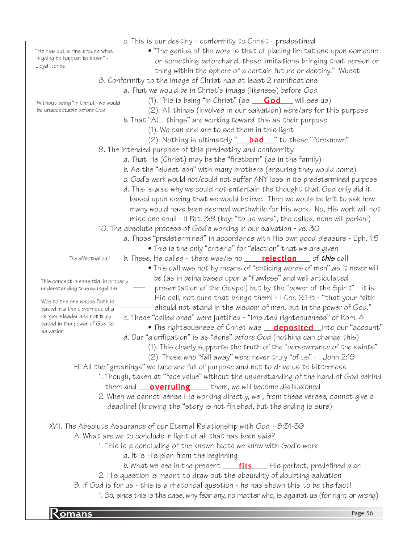|                                           | c. This is our destiny - conformity to Christ - predestined                                                |
|-------------------------------------------|------------------------------------------------------------------------------------------------------------|
| "He has put a ring around what            | • "The genius of the word is that of placing limitations upon someone                                      |
| is going to happen to them" -             | or something beforehand, these limitations bringing that person or                                         |
| Lloyd-Jones                               | thing within the sphere of a certain future or destiny." Wuest                                             |
|                                           | 8. Conformity to the image of Christ has at least 2 ramifications                                          |
|                                           | a. That we would be in Christ's image (likeness) before God                                                |
| Without being "in Christ" we would        | (1). This is being "in Christ" (as $\overline{\phantom{0}}$ God will see us)                               |
| be unacceptable before God                | (2). All things (involved in our salvation) were/are for this purpose                                      |
|                                           | b. That "ALL things" are working toward this as their purpose                                              |
|                                           | (1). We can and are to see them in this light                                                              |
|                                           | (2). Nothing is ultimately " <b>bad</b> " to these "foreknown"                                             |
|                                           | 9. The intended purpose of this predestiny and conformity                                                  |
|                                           | a. That He (Christ) may be the "firstborn" (as in the family)                                              |
|                                           | b. As the "eldest son" with many brothers (ensuring they would come)                                       |
|                                           | c. God's work would not/could not suffer ANY loss in its predetermined purpose                             |
|                                           |                                                                                                            |
|                                           | d. This is also why we could not entertain the thought that God only did it                                |
|                                           | based upon seeing that we would believe. Then we would be left to ask how                                  |
|                                           | many would have been deemed worthwhile for His work. No, His work will not                                 |
|                                           | miss one soul! - Il Pet. 3:9 (key: "to us-ward", the called, none will perish!)                            |
|                                           | 10. The absolute process of God's working in our salvation - vs. 30                                        |
|                                           | a. Those "predetermined" in accordance with His own good pleasure - Eph. 1:5                               |
|                                           | • This is the only "criteria" for "election" that we are given                                             |
|                                           | The effectual call — b. These, He called - there was/is no <b>_____rejection</b> _____ of <b>this</b> call |
|                                           | • This call was not by means of "enticing words of men" as it never will                                   |
| This concept is essential in properly     | be (as in being based upon a "flawless" and well articulated                                               |
| understanding true evangelism             | presentation of the Gospel) but by the "power of the Spirit" - it is                                       |
| Woe to the one whose faith is             | His call, not ours that brings them! - I Cor. 2:1-5 - "that your faith                                     |
| based in a the cleverness of a            | should not stand in the wisdom of men, but in the power of God."                                           |
| religious leader and not truly            | c. These "called ones" were justified - "imputed righteousness" of Rom. 4                                  |
| based in the power of God to<br>salvation | • The righteousness of Christ was <b>deposited</b> into our "account"                                      |
|                                           | d. Our "glorification" is as "done" before God (nothing can change this)                                   |
|                                           | (1). This clearly supports the truth of the "perseverance of the saints"                                   |
|                                           | (2). Those who "fall away" were never truly "of us" - I John 2:19                                          |
|                                           | H. All the "groanings" we face are full of purpose and not to drive us to bitterness                       |
|                                           | 1. Though, taken at "face value" without the understanding of the hand of God behind                       |
|                                           | them and $\overline{\overline{\text{overruling}}}$ them, we will become disillusioned                      |
|                                           | 2. When we cannot sense His working directly, we, from these verses, cannot give a                         |
|                                           | deadline! (knowing the "story is not finished, but the ending is sure)                                     |
|                                           |                                                                                                            |
|                                           | XVII. The Absolute Assurance of our Eternal Relationship with God - 8:31-39                                |
|                                           | A. What are we to conclude in light of all that has been said?                                             |
|                                           | 1. This is a concluding of the known facts we know with God's work                                         |
|                                           | a. It is His plan from the beginning                                                                       |
|                                           |                                                                                                            |
|                                           | b. What we see in the present ____ <b>fits</b> ____His perfect, predefined plan                            |
|                                           | 2. His question is meant to draw out the absurdity of doubting salvation                                   |
|                                           | B. If God is for us - this is a rhetorical question - he has shown this to be the fact!                    |
|                                           | 1. So, since this is the case, why fear any, no matter who, is against us (for right or wrong)             |
|                                           | Page 56                                                                                                    |
| <b>omans</b>                              |                                                                                                            |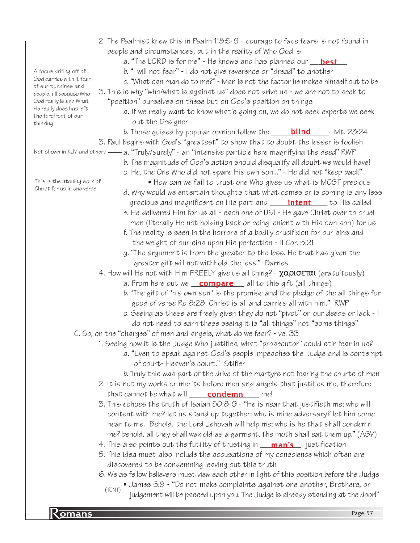|                                                    | 2. The Psalmist knew this in Psalm 118:5-9 - courage to face fears is not found in                                                                    |  |  |  |
|----------------------------------------------------|-------------------------------------------------------------------------------------------------------------------------------------------------------|--|--|--|
|                                                    | people and circumstances, but in the reality of Who God is                                                                                            |  |  |  |
|                                                    | a. "The LORD is for me" - He knows and has planned our <b>best</b>                                                                                    |  |  |  |
| A focus drifing off of                             | b. "I will not fear" - I do not give reverence or "dread" to another                                                                                  |  |  |  |
| God carries with it fear                           | c. "What can man do to me?" - Man is not the factor he makes himself out to be                                                                        |  |  |  |
| of surroundings and<br>people, all because Who     | 3. This is why "who/what is against us" does not drive us - we are not to seek to                                                                     |  |  |  |
| God really is and What                             | "position" ourselves on these but on God's position on things                                                                                         |  |  |  |
| He really does has left                            | a. If we really want to know what's going on, we do not seek experts we seek                                                                          |  |  |  |
| the forefront of our<br>thinking                   | out the Designer                                                                                                                                      |  |  |  |
|                                                    | b. Those guided by popular opinion follow the $\rule{1em}{0.15mm}$ - Mt. 23:24                                                                        |  |  |  |
|                                                    | 3. Paul begins with God's "greatest" to show that to doubt the lesser is foolish                                                                      |  |  |  |
|                                                    | Not shown in KJV and others —— a. "Truly/surely" - an "intensive particle here magnifying the deed" RWP                                               |  |  |  |
|                                                    | b. The magnitude of God's action should disqualify all doubt we would have!                                                                           |  |  |  |
|                                                    | c. He, the One Who did not spare His own son" - He did not "keep back"                                                                                |  |  |  |
| This is the atoning work of                        | • How can we fail to trust one Who gives us what is MOST precious                                                                                     |  |  |  |
| Christ for us in one verse                         | d. Why would we entertain thoughts that what comes or is coming is any less                                                                           |  |  |  |
|                                                    | gracious and magnificent on His part and <b>_____ intent</b> ____ to His called                                                                       |  |  |  |
|                                                    | e. He delivered Him for us all - each one of US! - He gave Christ over to cruel                                                                       |  |  |  |
|                                                    | men (literally He not holding back or being lenient with His own son) for us                                                                          |  |  |  |
|                                                    | f. The reality is seen in the horrors of a bodily crucifixion for our sins and                                                                        |  |  |  |
|                                                    | the weight of our sins upon His perfection - Il Cor. 5:21                                                                                             |  |  |  |
|                                                    | g. "The argument is from the greater to the less. He that has given the                                                                               |  |  |  |
|                                                    | greater gift will not withhold the less." Barnes                                                                                                      |  |  |  |
|                                                    |                                                                                                                                                       |  |  |  |
|                                                    | 4. How will He not with Him FREELY give us all thing? - $\chi \alpha \rho \sigma \sigma \alpha \iota$ (gratuitously)                                  |  |  |  |
|                                                    | a. From here out we <b>compare</b> all to this gift (all things)<br>b. "The gift of "his own son" is the promise and the pledge of the all things for |  |  |  |
|                                                    | good of verse Ro 8:28. Christ is all and carries all with him." RWP                                                                                   |  |  |  |
|                                                    |                                                                                                                                                       |  |  |  |
|                                                    | c. Seeing as these are freely given they do not "pivot" on our deeds or lack - I                                                                      |  |  |  |
|                                                    | do not need to earn these seeing it is "all things" not "some things"                                                                                 |  |  |  |
|                                                    | C. So, on the "charges" of men and angels, what do we fear? - vs. 33                                                                                  |  |  |  |
|                                                    | 1. Seeing how it is the Judge Who justifies, what "prosecutor" could stir fear in us?                                                                 |  |  |  |
|                                                    | a. "Even to speak against God's people impeaches the Judge and is contempt                                                                            |  |  |  |
|                                                    | of court-Heaven's court." Stifler                                                                                                                     |  |  |  |
|                                                    | b. Truly this was part of the drive of the martyrs not fearing the courts of men                                                                      |  |  |  |
|                                                    | 2. It is not my works or merits before men and angels that justifies me, therefore                                                                    |  |  |  |
|                                                    | that cannot be what will condemn me!                                                                                                                  |  |  |  |
|                                                    | 3. This echoes the truth of Isaiah 50:8-9 - "He is near that justifieth me; who will                                                                  |  |  |  |
|                                                    | content with me? let us stand up together: who is mine adversary? let him come                                                                        |  |  |  |
|                                                    | near to me. Behold, the Lord Jehovah will help me; who is he that shall condemn                                                                       |  |  |  |
|                                                    | me? behold, all they shall wax old as a garment, the moth shall eat them up." (ASV)                                                                   |  |  |  |
|                                                    |                                                                                                                                                       |  |  |  |
|                                                    | 5. This idea must also include the accusations of my conscience which often are                                                                       |  |  |  |
| discovered to be condemning leaving out this truth |                                                                                                                                                       |  |  |  |
|                                                    | 6. We as fellow believers must view each other in light of this position before the Judge                                                             |  |  |  |
|                                                    | • James 5:9 - "Do not make complaints against one another, Brothers, or<br>(TCNT)                                                                     |  |  |  |
|                                                    | judgement will be passed upon you. The Judge is already standing at the door!"                                                                        |  |  |  |

**Romans** Page 57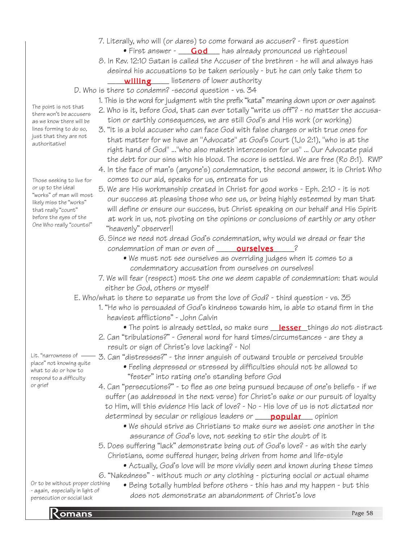- 7. Literally, who will (or dares) to come forward as accuser? first question • First answer - **God** has already pronounced us righteous!
- 8. In Rev. 12:10 Satan is called the Accuser of the brethren he will and always has desired his accusations to be taken seriously - but he can only take them to
- \_\_\_\_\_\_\_\_\_\_\_\_\_\_\_ listeners of lower authority willing

#### D. Who is there to condemn? -second question - vs. 34

- 1. This is the word for judgment with the prefix "kata" meaning down upon or over against
- 2. Who is it, before God, that can ever totally "write us off"? no matter the accusa tion or earthly consequences, we are still God's and His work (or working)
- 3. "It is a bold accuser who can face God with false charges or with true ones for that matter for we have an "Advocate" at God's Court (1Jo 2:1), "who is at the right hand of God" ..."who also maketh intercession for us" ... Our Advocate paid the debt for our sins with his blood. The score is settled. We are free (Ro 8:1). RWP
- 4. In the face of man's (anyone's) condemnation, the second answer, it is Christ Who comes to our aid, speaks for us, entreats for us
- 5. We are His workmanship created in Christ for good works Eph. 2:10 it is not our success at pleasing those who see us, or being highly esteemed by man that will define or ensure our success, but Christ speaking on our behalf and His Spirit at work in us, not pivoting on the opinions or conclusions of earthly or any other "heavenly" observer!!
- 6. Since we need not dread God's condemnation, why would we dread or fear the condemnation of man or even of \_\_\_\_\_<mark>ourselves</mark>\_\_\_\_\_?
	- We must not see ourselves as overriding judges when it comes to a condemnatory accusation from ourselves on ourselves!
- 7. We will fear (respect) most the one we deem capable of condemnation: that would either be God, others or myself
- E. Who/what is there to separate us from the love of God? third question vs. 35
	- 1. "He who is persuaded of God's kindness towards him, is able to stand firm in the heaviest afflictions" - John Calvin
		- The point is already settled, so make sure <u>\_\_**lesser**\_</u>things do not distract
	- 2. Can "tribulations?" General word for hard times/circumstances are they a result or sign of Christ's love lacking? - No!
- Lit. "narrowness of place" not knowing quite what to do or how to respond to a difficulty or grief
	- 3. Can "distresses?" the inner anguish of outward trouble or perceived trouble
		- Feeling depressed or stressed by difficulties should not be allowed to "fester" into rating one's standing before God
	- 4. Can "persecutions?" to flee as one being pursued because of one's beliefs if we suffer (as addressed in the next verse) for Christ's sake or our pursuit of loyalty to Him, will this evidence His lack of love? - No - His love of us is not dictated nor determined by secular or religious leaders or \_\_\_\_<mark>popular</mark>\_\_\_\_ opinion
		- We should strive as Christians to make sure we assist one another in the assurance of God's love, not seeking to stir the doubt of it
	- 5. Does suffering "lack" demonstrate being out of God's love? as with the early Christians, some suffered hunger, being driven from home and life-style
		- Actually, God's love will be more vividly seen and known during these times
	- 6. "Nakedness" without much or any clothing picturing social or actual shame
- Or to be without proper clothing - again, especially in light of persecution or social lack

• Being totally humbled before others - this has and my happen - but this does not demonstrate an abandonment of Christ's love

lines forming to do so, just that they are not authoritative!

The point is not that there won't be accusers as we know there will be

Those seeking to live for or up to the ideal "works" of man will most likely miss the "works" that really "count" before the eyes of the One Who really "counts!"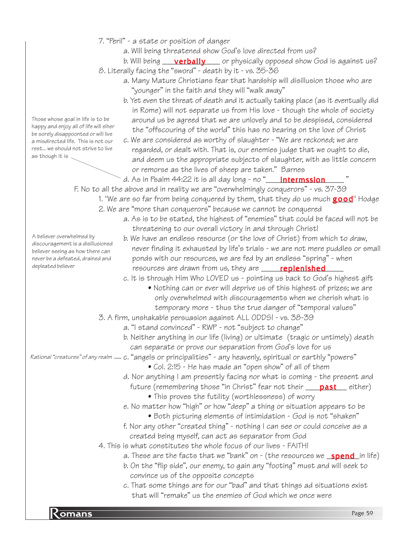- 7. "Peril" a state or position of danger
	- a. Will being threatened show God's love directed from us?

b. Will being \_\_\_\_**verbally** \_\_\_\_ or physically opposed show God is against us? 8. Literally facing the "sword" - death by it - vs. 35-36

- a. Many Mature Christians fear that hardship will disillusion those who are "younger" in the faith and they will "walk away"
- b. Yet even the threat of death and it actually taking place (as it eventually did in Rome) will not separate us from His love - though the whole of society around us be agreed that we are unlovely and to be despised, considered the "offscouring of the world" this has no bearing on the love of Christ
- c. We are considered as worthy of slaughter "We are reckoned; we are regarded, or dealt with. That is, our enemies judge that we ought to die, and deem us the appropriate subjects of slaughter, with as little concern or remorse as the lives of sheep are taken." Barnes

d. As in Psalm 44:22 it is all day long - no "\_\_\_\_\_**intermssion\_\_\_\_\_**\_ "

F. No to all the above and in reality we are "overwhelmingly conquerors" - vs. 37-39

- 1. "We are so far from being conquered by them, that they do us much **good**" Hodge 2. We are "more than conquerors" because we cannot be conquered
	- a. As is to be stated, the highest of "enemies" that could be faced will not be threatening to our overall victory in and through Christ!
		- b. We have an endless resource (or the love of Christ) from which to draw, never finding it exhausted by life's trials - we are not mere puddles or small ponds with our resources, we are fed by an endless "spring" - when resources are drawn from us, they are **\_\_\_\_\_<mark>replenished</mark>\_\_\_\_**

c. It is through Him Who LOVED us - pointing us back to God's highest gift

• Nothing can or ever will deprive us of this highest of prizes; we are only overwhelmed with discouragements when we cherish what is temporary more - thus the true danger of "temporal values"

3. A firm, unshakable persuasion against ALL ODDS! - vs. 38-39

- a. "I stand convinced" RWP not "subject to change"
- b. Neither anything in our life (living) or ultimate (tragic or untimely) death can separate or prove our separation from God's love for us

Rational "creatures" of any realm — c. "angels or principalities" - any heavenly, spiritual or earthly "powers"

- Col. 2:15 He has made an "open show" of all of them
- d. Nor anything I am presently facing nor what is coming the present and future (remembering those "in Christ" fear not their \_\_\_\_<mark>past</mark>\_\_\_ either)
	- This proves the futility (worthlessness) of worry
- e. No matter how "high" or how "deep" a thing or situation appears to be
	- Both picturing elements of intimidation God is not "shaken"
- f. Nor any other "created thing" nothing I can see or could conceive as a created being myself, can act as separator from God
- 4. This is what constitutes the whole focus of our lives FAITH!
	- a. These are the facts that we "bank" on (the resources we <u>\_**spend\_**i</u>n life)
	- b. On the "flip side", our enemy, to gain any "footing" must and will seek to convince us of the opposite concepts
	- c. That some things are for our "bad" and that things ad situations exist that will "remake" us the enemies of God which we once were

Those whose goal in life is to be happy and enjoy all of life will eiher be sorely disappoonted or will live a misdirected life. This is not our rest... we should not strive to live as though it is

believer seeing as how there can never be a defeated, drained and depleated believer

A believer overwhelmed by discouragement is a disillusioned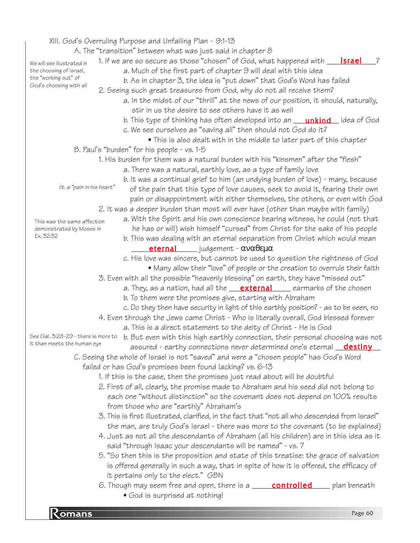|                                                         | XIII. God's Overruling Purpose and Unfailing Plan - 9:1-13                                    |              |
|---------------------------------------------------------|-----------------------------------------------------------------------------------------------|--------------|
|                                                         | A. The "transition" between what was just said in chapter 8                                   |              |
| We will see illustrated in                              | 1. If we are so secure as those "chosen" of God, what happened with <b>Israel</b>             | ?            |
| the choosing of Israel,                                 | a. Much of the first part of chapter 9 will deal with this idea                               |              |
| the "working out" of<br>God's choosing with all         | b. As in chapter 3, the idea is "put down" that God's Word has failed                         |              |
|                                                         | 2. Seeing such great treasures from God, why do not all receive them?                         |              |
|                                                         | a. In the midst of our "thrill" at the news of our position, it should, naturally,            |              |
|                                                         | stir in us the desire to see others have it as well                                           |              |
|                                                         | b. This type of thinking has often developed into an <b>unkind</b> idea of God                |              |
|                                                         | c. We see ourselves as "saving all" then should not God do it?                                |              |
|                                                         | • This is also dealt with in the middle to later part of this chapter                         |              |
|                                                         | B. Paul's "burden" for his people - vs. 1-5                                                   |              |
|                                                         | 1. His burden for them was a natural burden with his "kinsmen" after the "flesh"              |              |
|                                                         | a. There was a natural, earthly love, as a type of family love                                |              |
|                                                         | b. It was a continual grief to him (an undying burden of love) - many, because                |              |
| lit. a "pain in his heart"                              | of the pain that this type of love causes, seek to avoid it, fearing their own                |              |
|                                                         | pain or disappointment with either themselves, the others, or even with God                   |              |
|                                                         | 2. It was a deeper burden than most will ever have (other than maybe with family)             |              |
|                                                         | a. With the Spirit and his own conscience bearing witness, he could (not that                 |              |
| This was the same affection<br>demonstrated by Moses in | he has or will) wish himself "cursed" from Christ for the sake of his people                  |              |
| Ex. 32:32                                               | b. This was dealing with an eternal separation from Christ which would mean                   |              |
|                                                         | eternal judgement - αναθεμα                                                                   |              |
|                                                         | c. His love was sincere, but cannot be used to question the rightness of God                  |              |
|                                                         | • Many allow their "love" of people or the creation to overrule their faith                   |              |
|                                                         | 3. Even with all the possible "heavenly blessing" on earth, they have "missed out"            |              |
|                                                         | a. They, as a nation, had all the <b>external</b> earmarks of the chosen                      |              |
|                                                         | b. To them were the promises give, starting with Abraham                                      |              |
|                                                         | c. Do they then have security in light of this earthly position? - as to be seen, no          |              |
|                                                         | 4. Even through the Jews came Christ - Who is literally overall, God blessed forever          |              |
|                                                         | a. This is a direct statement to the deity of Christ - He is God                              |              |
| See Gal. 3:28-29 - there is more to                     | b. But even with this high earthly connection, their personal choosing was not                |              |
| it than meets the human eye                             | assured - earthy connections never determined one's eternal <b>destiny</b>                    |              |
|                                                         | C. Seeing the whole of Israel is not "saved" and were a "chosen people" has God's Word        |              |
|                                                         | failed or has God's promises been found lacking? vs. 6-13                                     |              |
|                                                         | 1. If this is the case, then the promises just read about will be doubtful                    |              |
|                                                         | 2. First of all, clearly, the promise made to Abraham and his seed did not belong to          |              |
|                                                         | each one "without distinction" so the covenant does not depend on 100% results                |              |
|                                                         | from those who are "earthly" Abraham's                                                        |              |
|                                                         | 3. This is first illustrated, clarified, in the fact that "not all who descended from Israel" |              |
|                                                         | the man, are truly God's Israel - there was more to the covenant (to be explained)            |              |
|                                                         | 4. Just as not all the descendants of Abraham (all his children) are in this idea as it       |              |
|                                                         | said "through Isaac your descendants will be named" - vs. 7                                   |              |
|                                                         | 5. "So then this is the proposition and state of this treatise: the grace of salvation        |              |
|                                                         | is offered generally in such a way, that in spite of how it is offered, the efficacy of       |              |
|                                                         | it pertains only to the elect." GBN                                                           |              |
|                                                         | 6. Though may seem free and open, there is a <b>controlled</b>                                | plan beneath |
|                                                         | • God is surprised at nothing!                                                                |              |
|                                                         |                                                                                               |              |
| $Ro$ $\overline{\mathrm{C}}$                            |                                                                                               | Page 60      |
|                                                         |                                                                                               |              |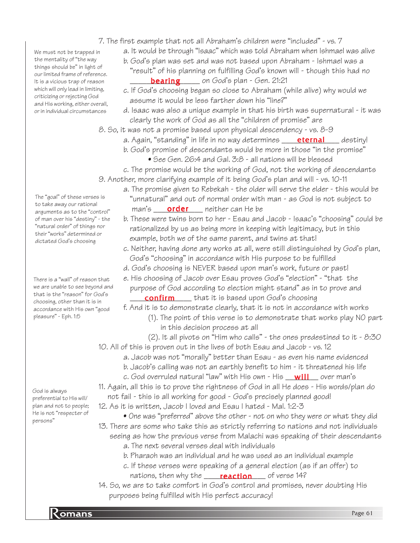- 7. The first example that not all Abraham's children were "included" vs. 7
	- a. It would be through "Isaac" which was told Abraham when Ishmael was alive
	- b. God's plan was set and was not based upon Abraham Ishmael was a
	- "result" of his planning on fulfilling God's known will though this had no **bearing** on God's plan - Gen. 21:21
	- c. If God's choosing began so close to Abraham (while alive) why would we assume it would be less farther down his "line?"
	- d. Isaac was also a unique example in that his birth was supernatural it was clearly the work of God as all the "children of promise" are

8. So, it was not a promise based upon physical descendency - vs. 8-9

- a. Again, "standing" in life in no way determines \_\_\_\_\_**eternal**\_\_\_\_\_ destiny!
	- b. God's promise of descendants would be more in those "in the promise"
		- See Gen. 26:4 and Gal. 3:8 all nations will be blessed
- c. The promise would be the working of God, not the working of descendants
- 9. Another, more clarifying example of it being God's plan and will vs. 10-11
	- a. The promise given to Rebekah the older will serve the elder this would be "unnatural" and out of normal order with man - as God is not subject to man's \_\_\_\_\_<mark>order</mark> \_\_\_\_ neither can He be
	- b. These were twins born to her Esau and Jacob Isaac's "choosing" could be rationalized by us as being more in keeping with legitimacy, but in this example, both we of the same parent, and twins at that!
	- c. Neither, having done any works at all, were still distinguished by God's plan, God's "choosing" in accordance with His purpose to be fulfilled
	- d. God's choosing is NEVER based upon man's work, future or past!
	- e. His choosing of Jacob over Esau proves God's "election" "that the purpose of God according to election might stand" as in to prove and **confirm** that it is based upon God's choosing

f. And it is to demonstrate clearly, that it is not in accordance with works

- (1). The point of this verse is to demonstrate that works play NO part in this decision process at all
- (2). It all pivots on "Him who calls" the ones predestined to it 8:30
- 10. All of this is proven out in the lives of both Esau and Jacob vs. 12
	- a. Jacob was not "morally" better than Esau as even his name evidenced
		- b. Jacob's calling was not an earthly benefit to him it threatened his life
	- c. God overruled natural "law" with His own His \_\_<mark>will\_\_\_</mark> over man's
- 11. Again, all this is to prove the rightness of God in all He does His words/plan do
- not fail this is all working for good God's precisely planned good!
- 12. As it is written, Jacob I loved and Esau I hated Mal. 1:2-3
- One was "preferred" above the other not on who they were or what they did 13. There are some who take this as strictly referring to nations and not individuals seeing as how the previous verse from Malachi was speaking of their descendants
	- a. The next several verses deal with individuals
	- b. Pharaoh was an individual and he was used as an individual example
	- c. If these verses were speaking of a general election (as if an offer) to nations, then why the \_\_\_\_\_<mark>reaction</mark>\_\_\_\_ of verse 14?
- 14. So, we are to take comfort in God's control and promises, never doubting His purposes being fulfilled with His perfect accuracy!

The "goal" of these verses is to take away our rational arguments as to the "control" of man over his "destiny" - the "natural order" of things nor their "works" determined or dictated God's choosing

We must not be trapped in the mentality of "the way things should be" in light of our limited frame of reference. It is a vicious trap of reason which will only lead in limiting, criticizing or rejecting God and His working, either overall, or in individual circumstances

There is a "wall" of reason that we are unable to see beyond and that is the "reason" for God's choosing, other than it is in accordance with His own "good pleasure" - Eph. 1:5

God is always preferential to His will/ plan and not to people; He is not "respecter of persons"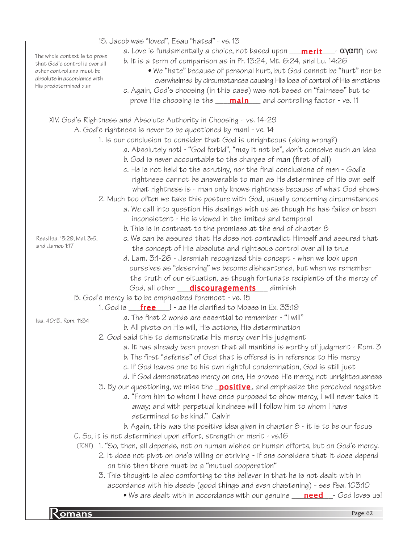| $\mathsf{\leq}$ omans                                                                        | Page 62                                                                                                                                                                                                                                                                                                                                                                                                                                                                     |
|----------------------------------------------------------------------------------------------|-----------------------------------------------------------------------------------------------------------------------------------------------------------------------------------------------------------------------------------------------------------------------------------------------------------------------------------------------------------------------------------------------------------------------------------------------------------------------------|
|                                                                                              | 2. It does not pivot on one's willing or striving - if one considers that it does depend<br>on this then there must be a "mutual cooperation"<br>3. This thought is also comforting to the believer in that he is not dealt with in<br>accordance with his deeds (good things and even chastening) - see Psa. 103:10<br>• We are dealt with in accordance with our genuine <b>need</b> - God loves us!                                                                      |
|                                                                                              | C. So, it is not determined upon effort, strength or merit - vs.16<br>(TCNT) 1. "So, then, all depends, not on human wishes or human efforts, but on God's mercy.                                                                                                                                                                                                                                                                                                           |
|                                                                                              | 3. By our questioning, we miss the <b>positive</b> , and emphasize the perceived negative<br>a. "From him to whom I have once purposed to show mercy, I will never take it<br>away; and with perpetual kindness will I follow him to whom I have<br>determined to be kind." Calvin<br>b. Again, this was the positive idea given in chapter $8$ - it is to be our focus                                                                                                     |
|                                                                                              | a. It has already been proven that all mankind is worthy of judgment - Rom. 3<br>b. The first "defense" of God that is offered is in reference to His mercy<br>c. If God leaves one to his own rightful condemnation, God is still just<br>d. If God demonstrates mercy on one, He proves His mercy, not unrighteousness                                                                                                                                                    |
| Isa. 40:13, Rom. 11:34                                                                       | 1. God is ${\bf free}$   - as He clarified to Moses in Ex. 33:19<br>a. The first 2 words are essential to remember - "I will"<br>b. All pivots on His will, His actions, His determination<br>2. God said this to demonstrate His mercy over His judgment                                                                                                                                                                                                                   |
|                                                                                              | B. God's mercy is to be emphasized foremost - vs. 15                                                                                                                                                                                                                                                                                                                                                                                                                        |
|                                                                                              | ourselves as "deserving" we become disheartened, but when we remember<br>the truth of our situation, as though fortunate recipients of the mercy of<br>God, all other <b>discouragements</b> diminish                                                                                                                                                                                                                                                                       |
| Read Isa. 15:29, Mal. 3:6, ——<br>and James 1:17                                              | c. We can be assured that He does not contradict Himself and assured that<br>the concept of His absolute and righteous control over all is true<br>d. Lam. 3:1-26 - Jeremiah recognized this concept - when we look upon                                                                                                                                                                                                                                                    |
|                                                                                              | a. We call into question His dealings with us as though He has failed or been<br>inconsistent - He is viewed in the limited and temporal<br>b. This is in contrast to the promises at the end of chapter $8$                                                                                                                                                                                                                                                                |
|                                                                                              | a. Absolutely not! - "God forbid", "may it not be", don't conceive such an idea<br>b. God is never accountable to the charges of man (first of all)<br>c. He is not held to the scrutiny, nor the final conclusions of men - God's<br>rightness cannot be answerable to man as He determines of His own self<br>what rightness is - man only knows rightness because of what God shows<br>2. Much too often we take this posture with God, usually concerning circumstances |
|                                                                                              | A. God's rightness is never to be questioned by man! - vs. 14<br>1. Is our conclusion to consider that God is unrighteous (doing wrong?)                                                                                                                                                                                                                                                                                                                                    |
|                                                                                              | XIV. God's Rightness and Absolute Authority in Choosing - vs. 14-29                                                                                                                                                                                                                                                                                                                                                                                                         |
| absolute in accordance with<br>His predetermined plan                                        | overwhelmed by circumstances causing His loss of control of His emotions<br>c. Again, God's choosing (in this case) was not based on "fairness" but to<br>prove His choosing is the <b>____ main___</b> and controlling factor - vs. 11                                                                                                                                                                                                                                     |
| The whole context is to prove<br>that God's control is over all<br>other control and must be | b. It is a term of comparison as in Pr. 13:24, Mt. 6:24, and Lu. 14:26<br>• We "hate" because of personal hurt, but God cannot be "hurt" nor be                                                                                                                                                                                                                                                                                                                             |
|                                                                                              | 15. Jacob was "loved", Esau "hated" - vs. 13<br>a. Love is fundamentally a choice, not based upon $\frac{m}{m}$ $\frac{m}{m}$ $\frac{1}{m}$ $\alpha \gamma \alpha \pi \eta$ love                                                                                                                                                                                                                                                                                            |
|                                                                                              |                                                                                                                                                                                                                                                                                                                                                                                                                                                                             |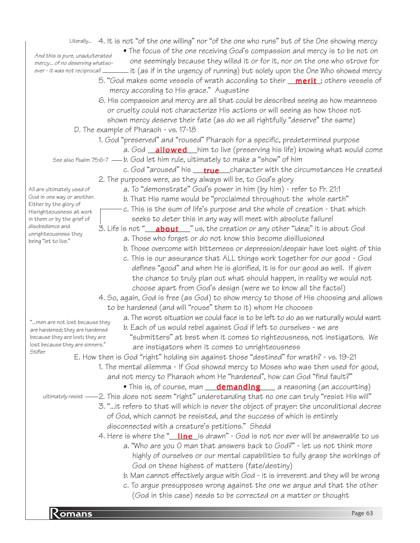|                                                                  |  | Literally 4. It is not "of the one willing" nor "of the one who runs" but of the One showing mercy                                                                  |
|------------------------------------------------------------------|--|---------------------------------------------------------------------------------------------------------------------------------------------------------------------|
|                                                                  |  | • The focus of the one receiving God's compassion and mercy is to be not on                                                                                         |
| And this is pure, unadulterated<br>mercy of no deserving whatso- |  | one seemingly because they willed it or for it, nor on the one who strove for                                                                                       |
| ever - it was not reciprocal! _                                  |  | it (as if in the urgency of running) but solely upon the One Who showed mercy                                                                                       |
|                                                                  |  | 5. "God makes some vessels of wrath according to their <b>merit</b> ; others vessels of                                                                             |
|                                                                  |  | mercy according to His grace." Augustine                                                                                                                            |
|                                                                  |  | 6. His compassion and mercy are all that could be described seeing as how meanness                                                                                  |
|                                                                  |  | or cruelty could not characterize His actions or will seeing as how those not                                                                                       |
|                                                                  |  | shown mercy deserve their fate (as do we all rightfully "deserve" the same)                                                                                         |
|                                                                  |  | D. The example of Pharaoh - vs. 17-18                                                                                                                               |
|                                                                  |  | 1. God "preserved" and "roused" Pharaoh for a specific, predetermined purpose                                                                                       |
|                                                                  |  |                                                                                                                                                                     |
|                                                                  |  | a. God <b>_allowed</b> him to live (preserving his life) knowing what would come<br>See also Psalm 75:6-7 — b. God let him rule, ultimately to make a "show" of him |
|                                                                  |  |                                                                                                                                                                     |
|                                                                  |  | c. God "aroused" his <u>true</u> character with the circumstances He created                                                                                        |
|                                                                  |  | 2. The purposes were, as they always will be, to God's glory                                                                                                        |
| All are ultimately used of<br>God in one way or another.         |  | a. To "demonstrate" God's power in him (by him) - refer to Pr. 21:1                                                                                                 |
| Either by the glory of                                           |  | b. That His name would be "proclaimed throughout the whole earth"                                                                                                   |
| Hisrighteousness at work                                         |  | c. This is the sum of life's purpose and the whole of creation - that which                                                                                         |
| in them or by the grief of<br>disobedience and                   |  | seeks to deter this in any way will meet with absolute failure!                                                                                                     |
| unrighteousness they                                             |  | 3. Life is not " <b>__about</b> __" us, the creation or any other "idea;" it is about God                                                                           |
| being "let to live."                                             |  | a. Those who forget or do not know this become disillusioned                                                                                                        |
|                                                                  |  | b. Those overcome with bitterness or depression/despair have lost sight of this                                                                                     |
|                                                                  |  | c. This is our assurance that ALL things work together for our good - God                                                                                           |
|                                                                  |  | defines "good" and when He is glorified, it is for our good as well. If given                                                                                       |
|                                                                  |  | the chance to truly plan out what should happen, in reality we would not                                                                                            |
|                                                                  |  | choose apart from God's design (were we to know all the facts!)                                                                                                     |
|                                                                  |  | 4. So, again, God is free (as God) to show mercy to those of His choosing and allows                                                                                |
|                                                                  |  | to be hardened (and will "rouse" them to it) whom He chooses                                                                                                        |
| "men are not lost because they                                   |  | a. The worst situation we could face is to be left to do as we naturally would want                                                                                 |
| are hardened; they are hardened                                  |  | b. Each of us would rebel against God if left to ourselves - we are                                                                                                 |
| because they are lost; they are                                  |  | "submitters" at best when it comes to righteousness, not instigators. We                                                                                            |
| lost because they are sinners."                                  |  | are instigators when it comes to unrighteousness                                                                                                                    |
| Stifler                                                          |  | E. How then is God "right" holding sin against those "destined" for wrath? - vs. 19-21                                                                              |
|                                                                  |  | 1. The mental dilemma - If God showed mercy to Moses who was then used for good,                                                                                    |
|                                                                  |  | and not mercy to Pharaoh whom He "hardened", how can God "find fault?"                                                                                              |
|                                                                  |  | • This is, of course, man <b>demanding</b> a reasoning (an accounting)                                                                                              |
| ultimately resist –                                              |  | 2. This does not seem "right" understanding that no one can truly "resist His will"                                                                                 |
|                                                                  |  | 3. "it refers to that will which is never the object of prayer: the unconditional decree                                                                            |
|                                                                  |  | of God, which cannot be resisted, and the success of which is entirely                                                                                              |
|                                                                  |  | disconnected with a creature's petitions." Shedd                                                                                                                    |
|                                                                  |  | 4. Here is where the " <i>line</i> is drawn" - God is not nor ever will be answerable to us                                                                         |
|                                                                  |  | a. "Who are you O man that answers back to God?" - let us not think more                                                                                            |
|                                                                  |  | highly of ourselves or our mental capabilities to fully grasp the workings of                                                                                       |
|                                                                  |  | God on these highest of matters (fate/destiny)                                                                                                                      |
|                                                                  |  | b. Man cannot effectively argue with God - it is irreverent and they will be wrong                                                                                  |
|                                                                  |  | c. To argue presupposes wrong against the one we argue and that the other                                                                                           |
|                                                                  |  | (God in this case) needs to be corrected on a matter or thought                                                                                                     |
|                                                                  |  |                                                                                                                                                                     |
| $K$ omans                                                        |  | Page 63                                                                                                                                                             |
|                                                                  |  |                                                                                                                                                                     |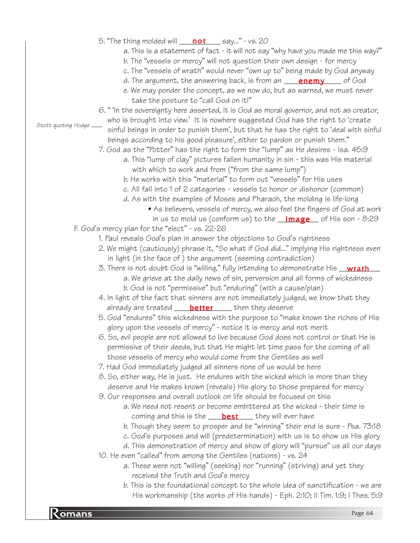**Romans** Page 64 5. "The thing molded will \_\_\_\_\_\_\_\_\_\_ say..." - vs. 20 not a. This is a statement of fact - it will not say "why have you made me this way?" b. The "vessels or mercy" will not question their own design - for mercy c. The "vessels of wrath" would never "own up to" being made by God anyway d. The argument, the answering back, is from an \_\_\_\_<mark>enemy</mark>\_\_\_\_\_ of God e. We may ponder the concept, as we now do, but as warned, we must never take the posture to "call God on it!" 6. " 'In the sovereignty here asserted, it is God as moral governor, and not as creator, who is brought into view.' It is nowhere suggested God has the right to 'create sinful beings in order to punish them', but that he has the right to 'deal with sinful beings according to his good pleasure', either to pardon or punish them." 7. God as the "Potter" has the right to form the "lump" as He desires - Isa. 45:9 a. This "lump of clay" pictures fallen humanity in sin - this was His material with which to work and from ("from the same lump") b. He works with this "material" to form out "vessels" for His uses c. All fall into 1 of 2 categories - vessels to honor or dishonor (common) d. As with the examples of Moses and Pharaoh, the molding is life-long • As believers, vessels of mercy, we also feel the fingers of God at work in us to mold us (conform us) to the  $\_\mathrm{image}$  of His son - 8:29 F. God's mercy plan for the "elect" - vs. 22-26 1. Paul reveals God's plan in answer the objections to God's rightness 2. We might (cautiously) phrase it, "So what if God did..." implying His rightness even in light (in the face of ) the argument (seeming contradiction) 3. There is not doubt God is "willing," fully intending to demonstrate His \_\_<mark>wrath</mark>\_\_\_ a. We grieve at the daily news of sin, perversion and all forms of wickedness b. God is not "permissive" but "enduring" (with a cause/plan) 4. In light of the fact that sinners are not immediately judged, we know that they already are treated <u>better</u> then they deserve 5. God "endures" this wickedness with the purpose to "make known the riches of His glory upon the vessels of mercy" - notice it is mercy and not merit 6. So, evil people are not allowed to live because God does not control or that He is permissive of their deeds, but that He might let time pass for the coming of all those vessels of mercy who would come from the Gentiles as well 7. Had God immediately judged all sinners none of us would be here 8. So, either way, He is just. He endures with the wicked which is more than they deserve and He makes known (reveals) His glory to those prepared for mercy 9. Our responses and overall outlook on life should be focused on this a. We need not resent or become embittered at the wicked - their time is coming and this is the \_\_\_\_\_<mark>best</mark>\_\_\_\_\_they will ever have b. Though they seem to prosper and be "winning" their end is sure - Psa. 73:18 c. God's purposes and will (predetermination) with us is to show us His glory d. This demonstration of mercy and show of glory will "pursue" us all our days 10. He even "called" from among the Gentiles (nations) - vs. 24 a. These were not "willing" (seeking) nor "running" (striving) and yet they received the Truth and God's mercy b. This is the foundational concept to the whole idea of sanctification - we are His workmanship (the works of His hands) - Eph. 2:10; II Tim. 1:9; I Thes. 5:9 Stott quoting Hodge